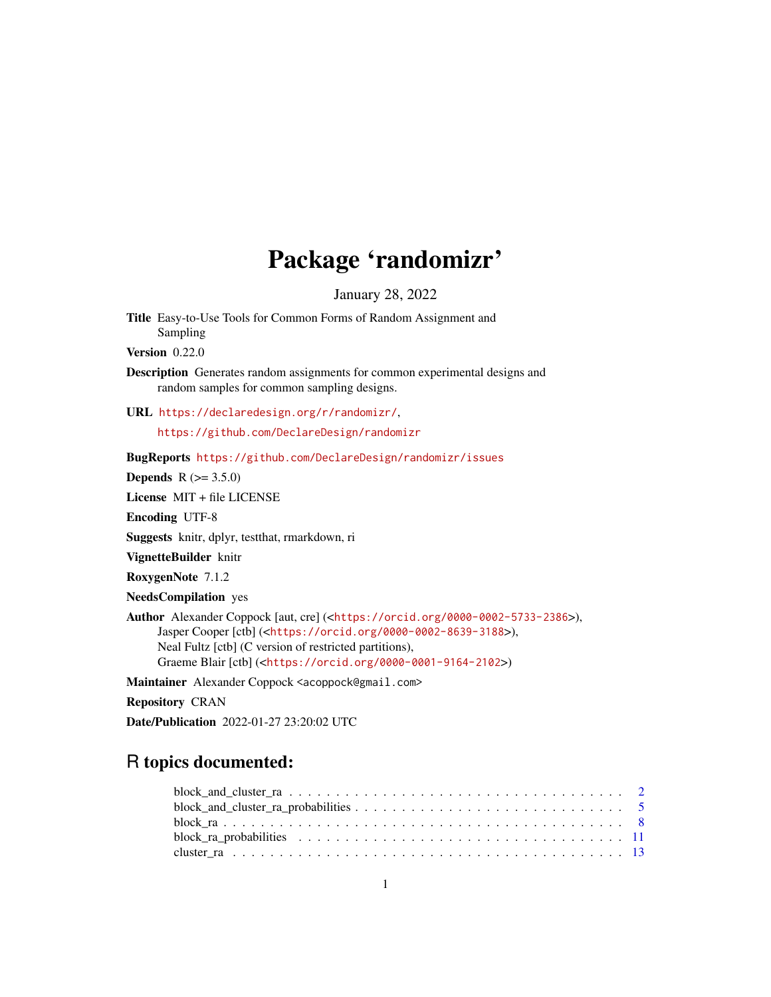# Package 'randomizr'

January 28, 2022

Title Easy-to-Use Tools for Common Forms of Random Assignment and Sampling

Version 0.22.0

Description Generates random assignments for common experimental designs and random samples for common sampling designs.

URL <https://declaredesign.org/r/randomizr/>, <https://github.com/DeclareDesign/randomizr>

BugReports <https://github.com/DeclareDesign/randomizr/issues>

**Depends** R  $(>= 3.5.0)$ 

License MIT + file LICENSE

Encoding UTF-8

Suggests knitr, dplyr, testthat, rmarkdown, ri

VignetteBuilder knitr

RoxygenNote 7.1.2

NeedsCompilation yes

Author Alexander Coppock [aut, cre] (<<https://orcid.org/0000-0002-5733-2386>>), Jasper Cooper [ctb] (<<https://orcid.org/0000-0002-8639-3188>>), Neal Fultz [ctb] (C version of restricted partitions), Graeme Blair [ctb] (<<https://orcid.org/0000-0001-9164-2102>>)

Maintainer Alexander Coppock <acoppock@gmail.com>

Repository CRAN

Date/Publication 2022-01-27 23:20:02 UTC

# R topics documented: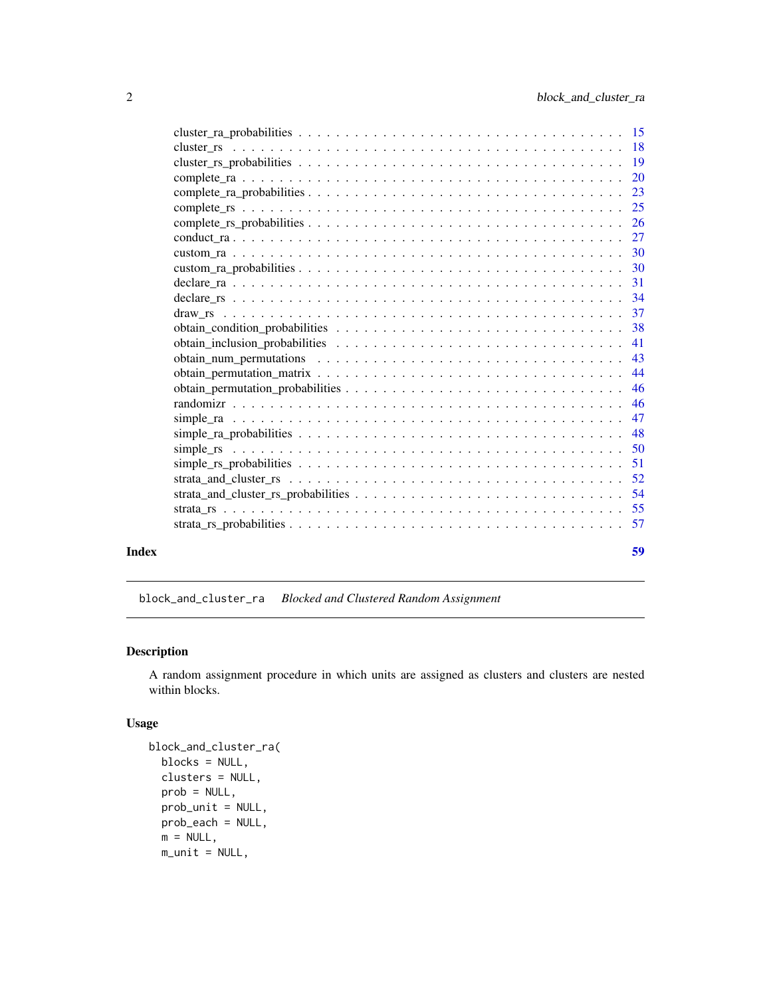<span id="page-1-0"></span>

|       |                                                                                                                               | 20 |
|-------|-------------------------------------------------------------------------------------------------------------------------------|----|
|       |                                                                                                                               | 23 |
|       |                                                                                                                               | 25 |
|       |                                                                                                                               | 26 |
|       |                                                                                                                               |    |
|       |                                                                                                                               |    |
|       |                                                                                                                               |    |
|       |                                                                                                                               | 31 |
|       |                                                                                                                               |    |
|       |                                                                                                                               |    |
|       |                                                                                                                               | 38 |
|       |                                                                                                                               | 41 |
|       |                                                                                                                               | 43 |
|       |                                                                                                                               | 44 |
|       |                                                                                                                               |    |
|       |                                                                                                                               | 46 |
|       |                                                                                                                               |    |
|       |                                                                                                                               | 48 |
|       | simple rs $\dots \dots \dots \dots \dots \dots \dots \dots \dots \dots \dots \dots \dots \dots \dots \dots \dots \dots \dots$ | 50 |
|       |                                                                                                                               |    |
|       |                                                                                                                               | 52 |
|       |                                                                                                                               |    |
|       |                                                                                                                               |    |
|       |                                                                                                                               |    |
| Index |                                                                                                                               | 59 |

block\_and\_cluster\_ra *Blocked and Clustered Random Assignment*

# Description

A random assignment procedure in which units are assigned as clusters and clusters are nested within blocks.

```
block_and_cluster_ra(
 blocks = NULL,
 clusters = NULL,
 prob = NULL,
 prob_unit = NULL,
 prob_each = NULL,
 m = NULL,m\_unit = NULL,
```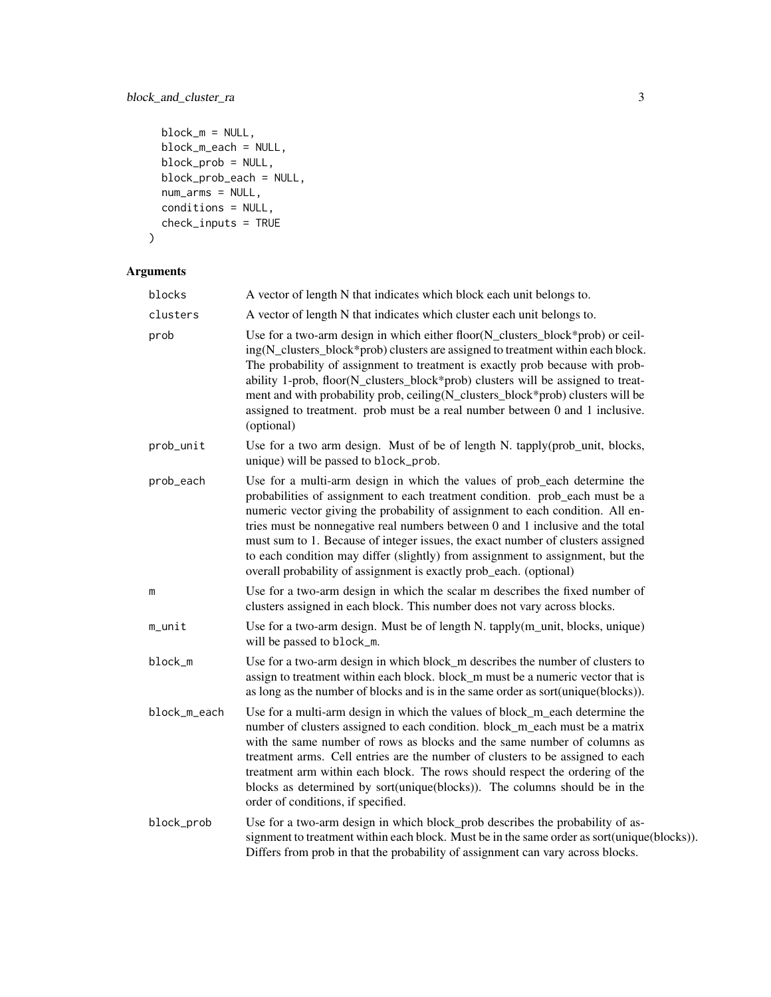# block\_and\_cluster\_ra 3

```
block_m = NULL,block_m_each = NULL,
block_prob = NULL,
block_prob_each = NULL,
num_arms = NULL,
conditions = NULL,
check_inputs = TRUE
```

```
\mathcal{L}
```

| blocks       | A vector of length N that indicates which block each unit belongs to.                                                                                                                                                                                                                                                                                                                                                                                                                                                                                                    |
|--------------|--------------------------------------------------------------------------------------------------------------------------------------------------------------------------------------------------------------------------------------------------------------------------------------------------------------------------------------------------------------------------------------------------------------------------------------------------------------------------------------------------------------------------------------------------------------------------|
| clusters     | A vector of length N that indicates which cluster each unit belongs to.                                                                                                                                                                                                                                                                                                                                                                                                                                                                                                  |
| prob         | Use for a two-arm design in which either floor(N_clusters_block*prob) or ceil-<br>ing(N_clusters_block*prob) clusters are assigned to treatment within each block.<br>The probability of assignment to treatment is exactly prob because with prob-<br>ability 1-prob, floor(N_clusters_block*prob) clusters will be assigned to treat-<br>ment and with probability prob, ceiling(N_clusters_block*prob) clusters will be<br>assigned to treatment. prob must be a real number between 0 and 1 inclusive.<br>(optional)                                                 |
| prob_unit    | Use for a two arm design. Must of be of length N. tapply(prob_unit, blocks,<br>unique) will be passed to block_prob.                                                                                                                                                                                                                                                                                                                                                                                                                                                     |
| prob_each    | Use for a multi-arm design in which the values of prob_each determine the<br>probabilities of assignment to each treatment condition. prob_each must be a<br>numeric vector giving the probability of assignment to each condition. All en-<br>tries must be nonnegative real numbers between 0 and 1 inclusive and the total<br>must sum to 1. Because of integer issues, the exact number of clusters assigned<br>to each condition may differ (slightly) from assignment to assignment, but the<br>overall probability of assignment is exactly prob_each. (optional) |
| m            | Use for a two-arm design in which the scalar m describes the fixed number of<br>clusters assigned in each block. This number does not vary across blocks.                                                                                                                                                                                                                                                                                                                                                                                                                |
| m_unit       | Use for a two-arm design. Must be of length N. tapply(m_unit, blocks, unique)<br>will be passed to block_m.                                                                                                                                                                                                                                                                                                                                                                                                                                                              |
| block_m      | Use for a two-arm design in which block_m describes the number of clusters to<br>assign to treatment within each block. block_m must be a numeric vector that is<br>as long as the number of blocks and is in the same order as sort(unique(blocks)).                                                                                                                                                                                                                                                                                                                    |
| block_m_each | Use for a multi-arm design in which the values of block_m_each determine the<br>number of clusters assigned to each condition. block_m_each must be a matrix<br>with the same number of rows as blocks and the same number of columns as<br>treatment arms. Cell entries are the number of clusters to be assigned to each<br>treatment arm within each block. The rows should respect the ordering of the<br>blocks as determined by sort(unique(blocks)). The columns should be in the<br>order of conditions, if specified.                                           |
| block_prob   | Use for a two-arm design in which block_prob describes the probability of as-<br>signment to treatment within each block. Must be in the same order as sort(unique(blocks)).<br>Differs from prob in that the probability of assignment can vary across blocks.                                                                                                                                                                                                                                                                                                          |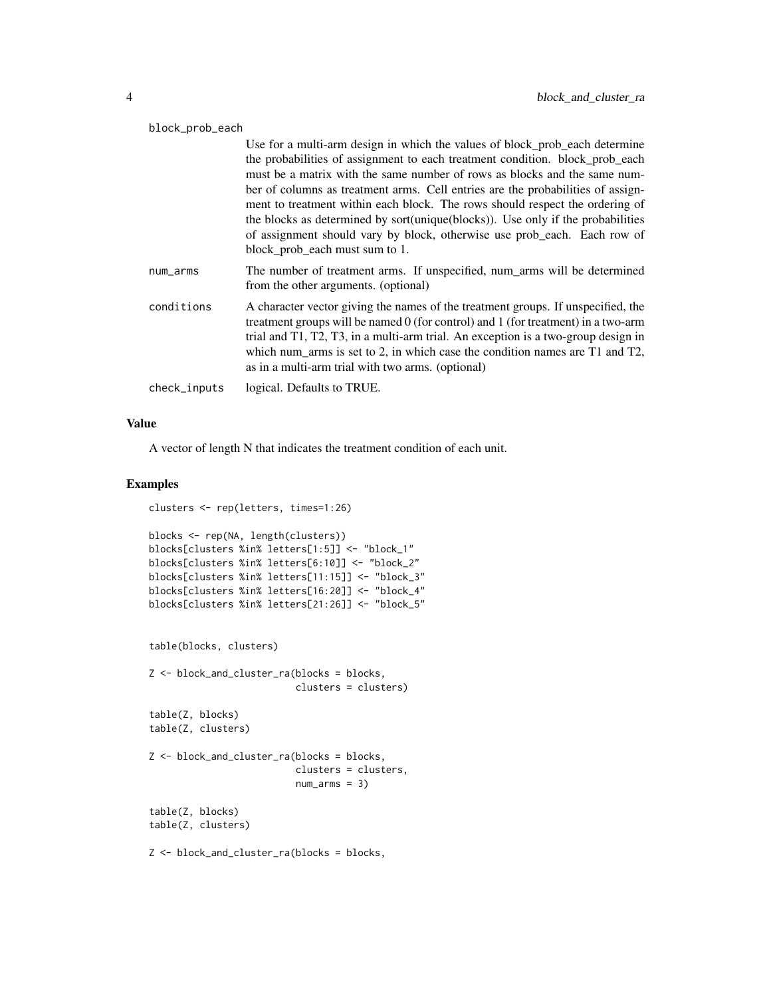| block_prob_each |                                                                                                                                                                                                                                                                                                                                                                                                                                                                                                                                                                                                              |  |
|-----------------|--------------------------------------------------------------------------------------------------------------------------------------------------------------------------------------------------------------------------------------------------------------------------------------------------------------------------------------------------------------------------------------------------------------------------------------------------------------------------------------------------------------------------------------------------------------------------------------------------------------|--|
|                 | Use for a multi-arm design in which the values of block_prob_each determine<br>the probabilities of assignment to each treatment condition. block_prob_each<br>must be a matrix with the same number of rows as blocks and the same num-<br>ber of columns as treatment arms. Cell entries are the probabilities of assign-<br>ment to treatment within each block. The rows should respect the ordering of<br>the blocks as determined by sort(unique(blocks)). Use only if the probabilities<br>of assignment should vary by block, otherwise use prob_each. Each row of<br>block_prob_each must sum to 1. |  |
| num_arms        | The number of treatment arms. If unspecified, num_arms will be determined<br>from the other arguments. (optional)                                                                                                                                                                                                                                                                                                                                                                                                                                                                                            |  |
| conditions      | A character vector giving the names of the treatment groups. If unspecified, the<br>treatment groups will be named $0$ (for control) and 1 (for treatment) in a two-arm<br>trial and T1, T2, T3, in a multi-arm trial. An exception is a two-group design in<br>which num_arms is set to 2, in which case the condition names are $T1$ and $T2$ ,<br>as in a multi-arm trial with two arms. (optional)                                                                                                                                                                                                       |  |
| check_inputs    | logical. Defaults to TRUE.                                                                                                                                                                                                                                                                                                                                                                                                                                                                                                                                                                                   |  |

A vector of length N that indicates the treatment condition of each unit.

#### Examples

```
clusters <- rep(letters, times=1:26)
blocks <- rep(NA, length(clusters))
blocks[clusters %in% letters[1:5]] <- "block_1"
blocks[clusters %in% letters[6:10]] <- "block_2"
blocks[clusters %in% letters[11:15]] <- "block_3"
blocks[clusters %in% letters[16:20]] <- "block_4"
blocks[clusters %in% letters[21:26]] <- "block_5"
table(blocks, clusters)
Z <- block_and_cluster_ra(blocks = blocks,
                         clusters = clusters)
table(Z, blocks)
table(Z, clusters)
Z <- block_and_cluster_ra(blocks = blocks,
                          clusters = clusters,
                          num_arms = 3)table(Z, blocks)
table(Z, clusters)
Z <- block_and_cluster_ra(blocks = blocks,
```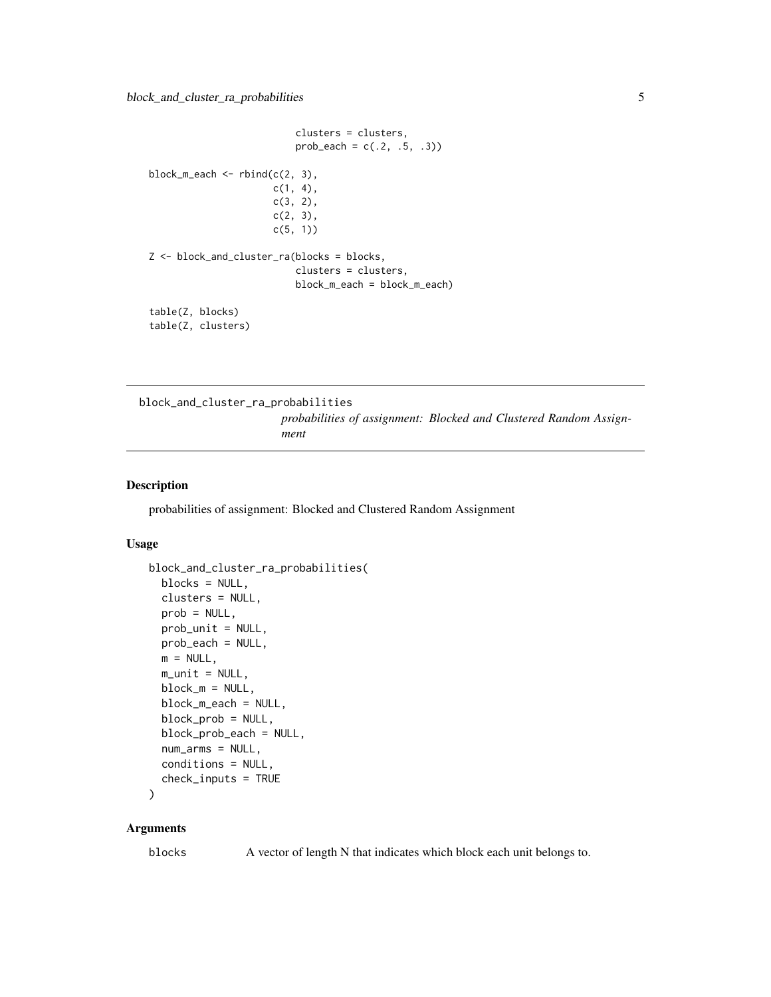<span id="page-4-0"></span>clusters = clusters,  $prob\_each = c(.2, .5, .3))$ block\_m\_each  $\leq$  rbind(c(2, 3),  $c(1, 4)$ , c(3, 2),  $c(2, 3)$ , c(5, 1)) Z <- block\_and\_cluster\_ra(blocks = blocks, clusters = clusters, block\_m\_each = block\_m\_each) table(Z, blocks) table(Z, clusters)

block\_and\_cluster\_ra\_probabilities

*probabilities of assignment: Blocked and Clustered Random Assignment*

#### Description

probabilities of assignment: Blocked and Clustered Random Assignment

#### Usage

```
block_and_cluster_ra_probabilities(
  blocks = NULL,
  clusters = NULL,
  prob = NULL,
 prob_unit = NULL,
 prob_each = NULL,
 m = NULL,m\_unit = NULL,block_m = NULL,
  block_m_each = NULL,
  block_prob = NULL,
  block_prob_each = NULL,
  num_arms = NULL,
  conditions = NULL,
  check_inputs = TRUE
```

```
)
```
#### Arguments

blocks A vector of length N that indicates which block each unit belongs to.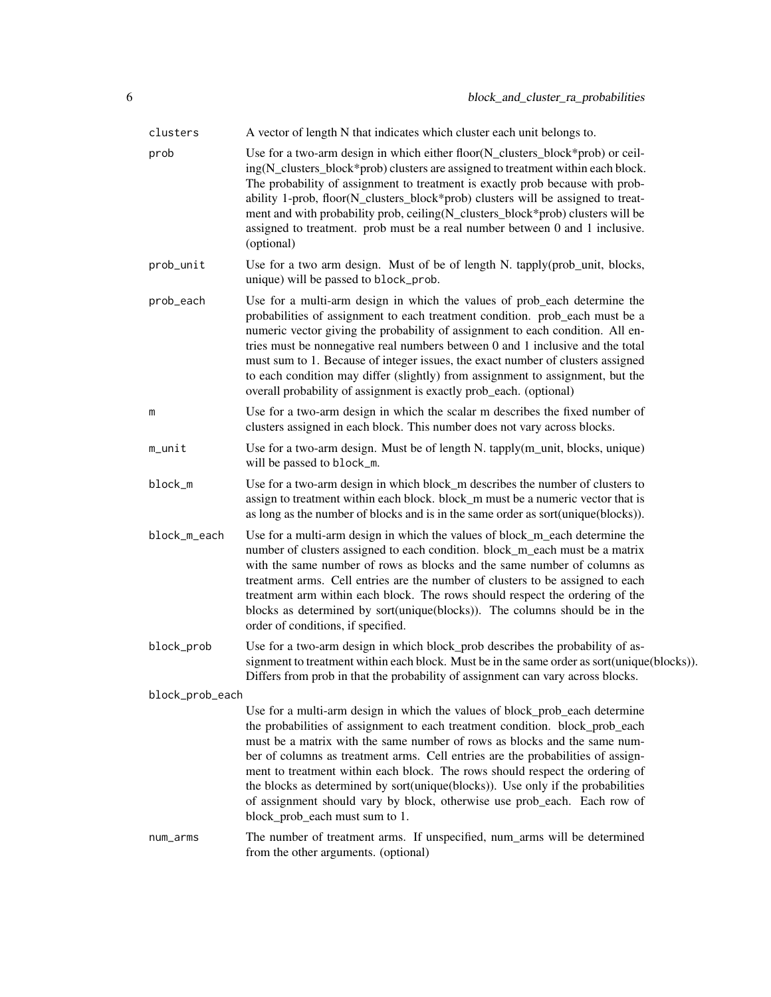| clusters        | A vector of length N that indicates which cluster each unit belongs to.                                                                                                                                                                                                                                                                                                                                                                                                                                                                                                                                      |
|-----------------|--------------------------------------------------------------------------------------------------------------------------------------------------------------------------------------------------------------------------------------------------------------------------------------------------------------------------------------------------------------------------------------------------------------------------------------------------------------------------------------------------------------------------------------------------------------------------------------------------------------|
| prob            | Use for a two-arm design in which either floor(N_clusters_block*prob) or ceil-<br>ing(N_clusters_block*prob) clusters are assigned to treatment within each block.<br>The probability of assignment to treatment is exactly prob because with prob-<br>ability 1-prob, floor(N_clusters_block*prob) clusters will be assigned to treat-<br>ment and with probability prob, ceiling(N_clusters_block*prob) clusters will be<br>assigned to treatment. prob must be a real number between 0 and 1 inclusive.<br>(optional)                                                                                     |
| prob_unit       | Use for a two arm design. Must of be of length N. tapply(prob_unit, blocks,<br>unique) will be passed to block_prob.                                                                                                                                                                                                                                                                                                                                                                                                                                                                                         |
| prob_each       | Use for a multi-arm design in which the values of prob_each determine the<br>probabilities of assignment to each treatment condition. prob_each must be a<br>numeric vector giving the probability of assignment to each condition. All en-<br>tries must be nonnegative real numbers between 0 and 1 inclusive and the total<br>must sum to 1. Because of integer issues, the exact number of clusters assigned<br>to each condition may differ (slightly) from assignment to assignment, but the<br>overall probability of assignment is exactly prob_each. (optional)                                     |
| m               | Use for a two-arm design in which the scalar m describes the fixed number of<br>clusters assigned in each block. This number does not vary across blocks.                                                                                                                                                                                                                                                                                                                                                                                                                                                    |
| m_unit          | Use for a two-arm design. Must be of length N. tapply(m_unit, blocks, unique)<br>will be passed to block_m.                                                                                                                                                                                                                                                                                                                                                                                                                                                                                                  |
| block_m         | Use for a two-arm design in which block_m describes the number of clusters to<br>assign to treatment within each block. block_m must be a numeric vector that is<br>as long as the number of blocks and is in the same order as sort(unique(blocks)).                                                                                                                                                                                                                                                                                                                                                        |
| block_m_each    | Use for a multi-arm design in which the values of block_m_each determine the<br>number of clusters assigned to each condition. block_m_each must be a matrix<br>with the same number of rows as blocks and the same number of columns as<br>treatment arms. Cell entries are the number of clusters to be assigned to each<br>treatment arm within each block. The rows should respect the ordering of the<br>blocks as determined by sort(unique(blocks)). The columns should be in the<br>order of conditions, if specified.                                                                               |
| block_prob      | Use for a two-arm design in which block_prob describes the probability of as-<br>signment to treatment within each block. Must be in the same order as sort(unique(blocks)).<br>Differs from prob in that the probability of assignment can vary across blocks.                                                                                                                                                                                                                                                                                                                                              |
| block_prob_each |                                                                                                                                                                                                                                                                                                                                                                                                                                                                                                                                                                                                              |
|                 | Use for a multi-arm design in which the values of block_prob_each determine<br>the probabilities of assignment to each treatment condition. block_prob_each<br>must be a matrix with the same number of rows as blocks and the same num-<br>ber of columns as treatment arms. Cell entries are the probabilities of assign-<br>ment to treatment within each block. The rows should respect the ordering of<br>the blocks as determined by sort(unique(blocks)). Use only if the probabilities<br>of assignment should vary by block, otherwise use prob_each. Each row of<br>block_prob_each must sum to 1. |
| num_arms        | The number of treatment arms. If unspecified, num_arms will be determined<br>from the other arguments. (optional)                                                                                                                                                                                                                                                                                                                                                                                                                                                                                            |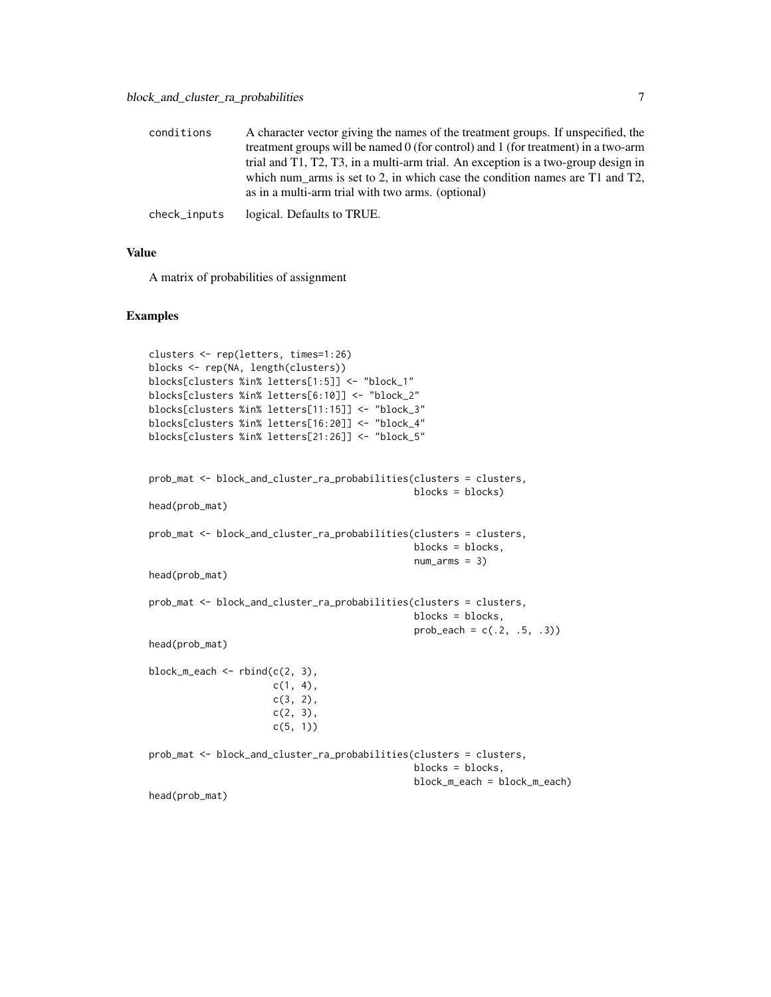| conditions   | A character vector giving the names of the treatment groups. If unspecified, the    |
|--------------|-------------------------------------------------------------------------------------|
|              | treatment groups will be named $0$ (for control) and 1 (for treatment) in a two-arm |
|              | trial and T1, T2, T3, in a multi-arm trial. An exception is a two-group design in   |
|              | which num arms is set to 2, in which case the condition names are $T1$ and $T2$ ,   |
|              | as in a multi-arm trial with two arms. (optional)                                   |
| check_inputs | logical. Defaults to TRUE.                                                          |

A matrix of probabilities of assignment

#### Examples

```
clusters <- rep(letters, times=1:26)
blocks <- rep(NA, length(clusters))
blocks[clusters %in% letters[1:5]] <- "block_1"
blocks[clusters %in% letters[6:10]] <- "block_2"
blocks[clusters %in% letters[11:15]] <- "block_3"
blocks[clusters %in% letters[16:20]] <- "block_4"
blocks[clusters %in% letters[21:26]] <- "block_5"
prob_mat <- block_and_cluster_ra_probabilities(clusters = clusters,
                                               blocks = blocks)
head(prob_mat)
prob_mat <- block_and_cluster_ra_probabilities(clusters = clusters,
                                               blocks = blocks,
                                               num_arms = 3)head(prob_mat)
prob_mat <- block_and_cluster_ra_probabilities(clusters = clusters,
                                               blocks = blocks,
                                               prob\_each = c(.2, .5, .3))head(prob_mat)
block_m_each \leq rbind(c(2, 3),
                      c(1, 4),c(3, 2),
                      c(2, 3),
                      c(5, 1))
prob_mat <- block_and_cluster_ra_probabilities(clusters = clusters,
                                               blocks = blocks,
                                               block_m_each = block_m_each)
head(prob_mat)
```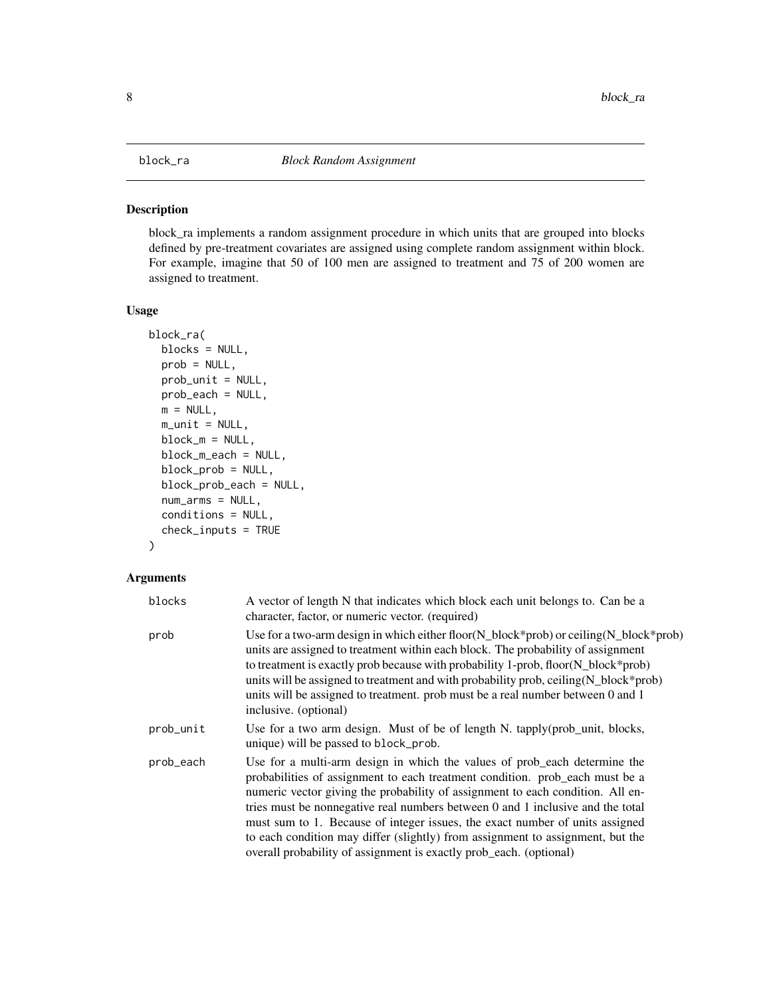<span id="page-7-0"></span>

#### Description

block\_ra implements a random assignment procedure in which units that are grouped into blocks defined by pre-treatment covariates are assigned using complete random assignment within block. For example, imagine that 50 of 100 men are assigned to treatment and 75 of 200 women are assigned to treatment.

#### Usage

```
block_ra(
 blocks = NULL,
  prob = NULL,
  prob_unit = NULL,
 prob_each = NULL,
 m = NULL,m\_unit = NULL,block_m = NULL,
 block_m_each = NULL,
  block_prob = NULL,
  block_prob_each = NULL,
  num_arms = NULL,
  conditions = NULL,
  check_inputs = TRUE
)
```

| blocks    | A vector of length N that indicates which block each unit belongs to. Can be a<br>character, factor, or numeric vector. (required)                                                                                                                                                                                                                                                                                                                                                                                                                                    |
|-----------|-----------------------------------------------------------------------------------------------------------------------------------------------------------------------------------------------------------------------------------------------------------------------------------------------------------------------------------------------------------------------------------------------------------------------------------------------------------------------------------------------------------------------------------------------------------------------|
| prob      | Use for a two-arm design in which either floor( $N_b$ block*prob) or ceiling( $N_b$ block*prob)<br>units are assigned to treatment within each block. The probability of assignment<br>to treatment is exactly prob because with probability 1-prob, floor(N_block*prob)<br>units will be assigned to treatment and with probability prob, ceiling (N_block*prob)<br>units will be assigned to treatment. prob must be a real number between 0 and 1<br>inclusive. (optional)                                                                                         |
| prob_unit | Use for a two arm design. Must of be of length N. tapply(prob_unit, blocks,<br>unique) will be passed to block_prob.                                                                                                                                                                                                                                                                                                                                                                                                                                                  |
| prob_each | Use for a multi-arm design in which the values of prob_each determine the<br>probabilities of assignment to each treatment condition. prob_each must be a<br>numeric vector giving the probability of assignment to each condition. All en-<br>tries must be nonnegative real numbers between 0 and 1 inclusive and the total<br>must sum to 1. Because of integer issues, the exact number of units assigned<br>to each condition may differ (slightly) from assignment to assignment, but the<br>overall probability of assignment is exactly prob_each. (optional) |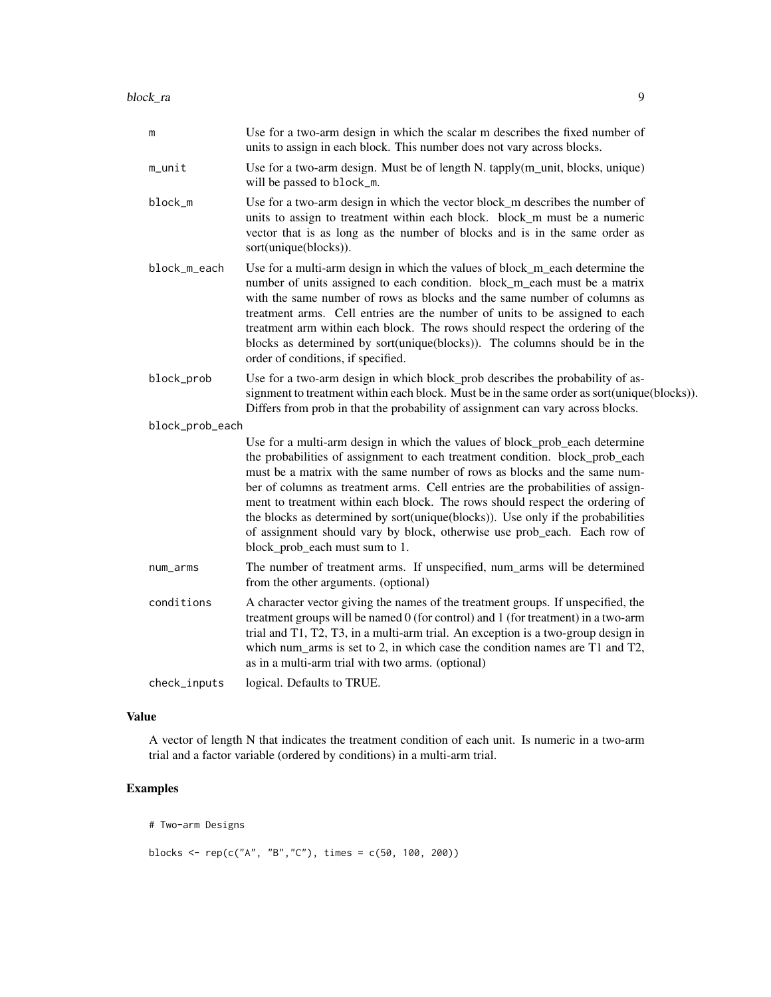| m               | Use for a two-arm design in which the scalar m describes the fixed number of<br>units to assign in each block. This number does not vary across blocks.                                                                                                                                                                                                                                                                                                                                                                                                                                                      |
|-----------------|--------------------------------------------------------------------------------------------------------------------------------------------------------------------------------------------------------------------------------------------------------------------------------------------------------------------------------------------------------------------------------------------------------------------------------------------------------------------------------------------------------------------------------------------------------------------------------------------------------------|
| m_unit          | Use for a two-arm design. Must be of length N. tapply(m_unit, blocks, unique)<br>will be passed to block_m.                                                                                                                                                                                                                                                                                                                                                                                                                                                                                                  |
| block_m         | Use for a two-arm design in which the vector block_m describes the number of<br>units to assign to treatment within each block. block_m must be a numeric<br>vector that is as long as the number of blocks and is in the same order as<br>sort(unique(blocks)).                                                                                                                                                                                                                                                                                                                                             |
| block_m_each    | Use for a multi-arm design in which the values of block_m_each determine the<br>number of units assigned to each condition. block_m_each must be a matrix<br>with the same number of rows as blocks and the same number of columns as<br>treatment arms. Cell entries are the number of units to be assigned to each<br>treatment arm within each block. The rows should respect the ordering of the<br>blocks as determined by sort(unique(blocks)). The columns should be in the<br>order of conditions, if specified.                                                                                     |
| block_prob      | Use for a two-arm design in which block_prob describes the probability of as-<br>signment to treatment within each block. Must be in the same order as sort(unique(blocks)).<br>Differs from prob in that the probability of assignment can vary across blocks.                                                                                                                                                                                                                                                                                                                                              |
| block_prob_each |                                                                                                                                                                                                                                                                                                                                                                                                                                                                                                                                                                                                              |
|                 | Use for a multi-arm design in which the values of block_prob_each determine<br>the probabilities of assignment to each treatment condition. block_prob_each<br>must be a matrix with the same number of rows as blocks and the same num-<br>ber of columns as treatment arms. Cell entries are the probabilities of assign-<br>ment to treatment within each block. The rows should respect the ordering of<br>the blocks as determined by sort(unique(blocks)). Use only if the probabilities<br>of assignment should vary by block, otherwise use prob_each. Each row of<br>block_prob_each must sum to 1. |
| num_arms        | The number of treatment arms. If unspecified, num_arms will be determined<br>from the other arguments. (optional)                                                                                                                                                                                                                                                                                                                                                                                                                                                                                            |
| conditions      | A character vector giving the names of the treatment groups. If unspecified, the<br>treatment groups will be named 0 (for control) and 1 (for treatment) in a two-arm<br>trial and T1, T2, T3, in a multi-arm trial. An exception is a two-group design in<br>which num_arms is set to 2, in which case the condition names are T1 and T2,<br>as in a multi-arm trial with two arms. (optional)                                                                                                                                                                                                              |
| check_inputs    | logical. Defaults to TRUE.                                                                                                                                                                                                                                                                                                                                                                                                                                                                                                                                                                                   |
|                 |                                                                                                                                                                                                                                                                                                                                                                                                                                                                                                                                                                                                              |

A vector of length N that indicates the treatment condition of each unit. Is numeric in a two-arm trial and a factor variable (ordered by conditions) in a multi-arm trial.

# Examples

# Two-arm Designs

blocks <- rep(c("A", "B","C"), times = c(50, 100, 200))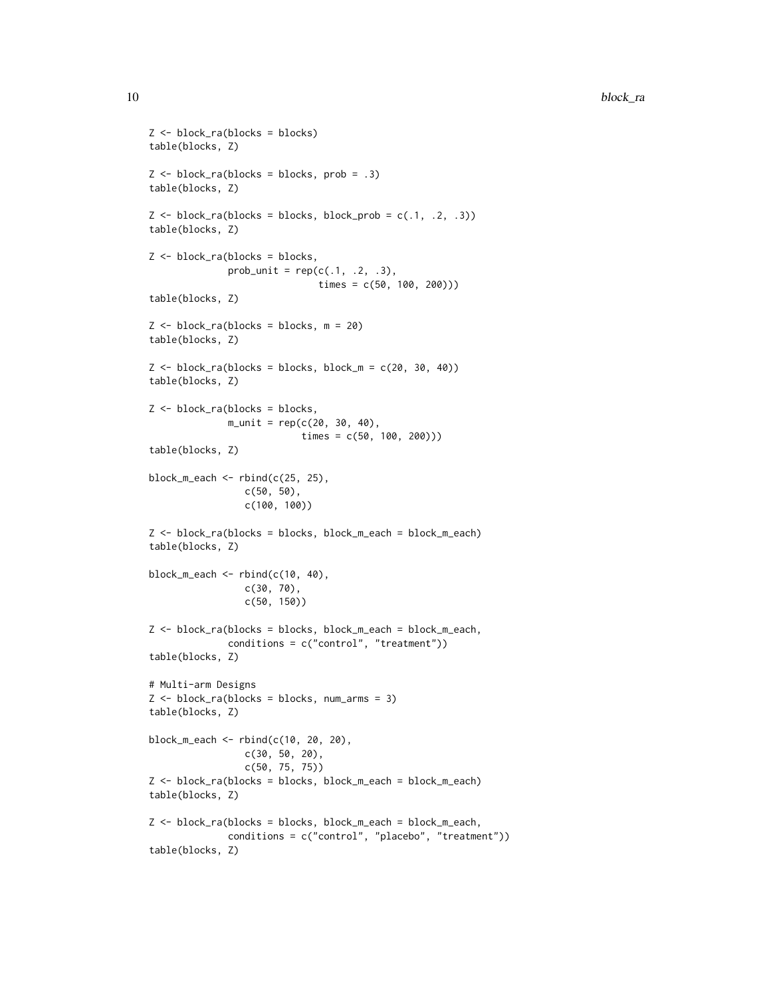```
Z <- block_ra(blocks = blocks)
table(blocks, Z)
Z \le - block_ra(blocks = blocks, prob = .3)
table(blocks, Z)
Z \leq - block_ra(blocks = blocks, block_prob = c(.1, .2, .3))
table(blocks, Z)
Z <- block_ra(blocks = blocks,
              prob\_unit = rep(c(.1, .2, .3),times = c(50, 100, 200)))
table(blocks, Z)
Z \le - block_ra(blocks = blocks, m = 20)
table(blocks, Z)
Z \le - block_ra(blocks = blocks, block_m = c(20, 30, 40))
table(blocks, Z)
Z <- block_ra(blocks = blocks,
              m\_unit = rep(c(20, 30, 40),times = c(50, 100, 200)))
table(blocks, Z)
block_m_each <- rbind(c(25, 25),c(50, 50),
                 c(100, 100))
Z <- block_ra(blocks = blocks, block_m_each = block_m_each)
table(blocks, Z)
block_m_each <- rbind(c(10, 40),c(30, 70),
                 c(50, 150))
Z <- block_ra(blocks = blocks, block_m_each = block_m_each,
              conditions = c("control", "treatment"))
table(blocks, Z)
# Multi-arm Designs
Z <- block_ra(blocks = blocks, num_arms = 3)
table(blocks, Z)
block_m_each <- rbind(c(10, 20, 20),
                 c(30, 50, 20),
                 c(50, 75, 75))
Z <- block_ra(blocks = blocks, block_m_each = block_m_each)
table(blocks, Z)
Z <- block_ra(blocks = blocks, block_m_each = block_m_each,
              conditions = c("control", "placebo", "treatment"))
table(blocks, Z)
```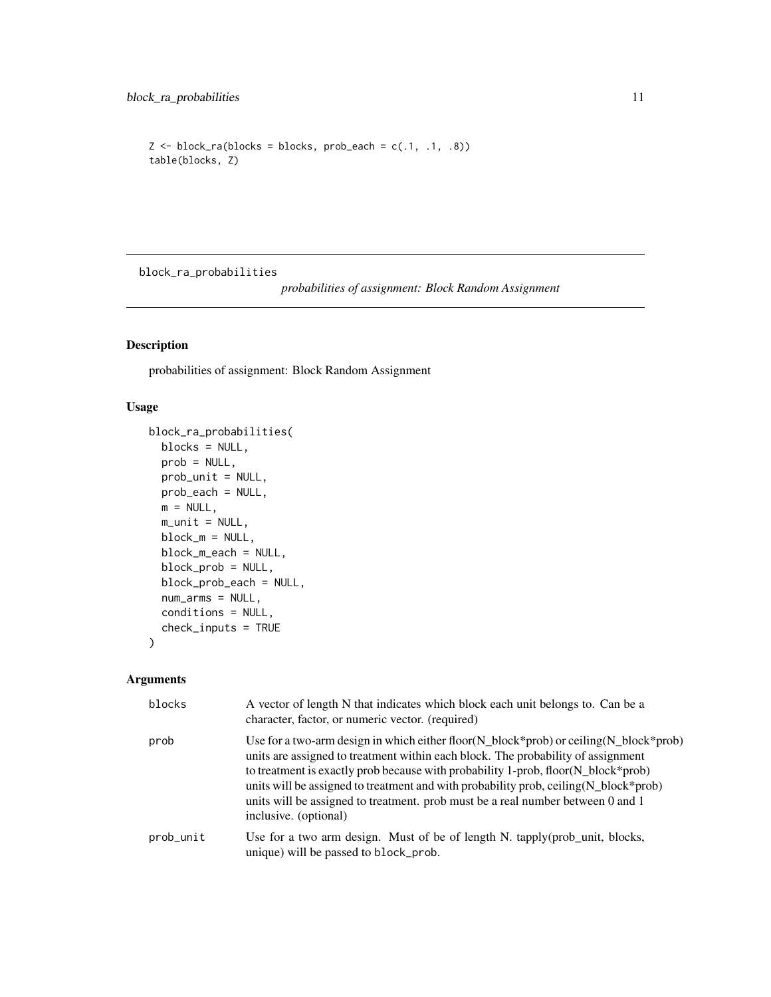```
Z \le - block_ra(blocks = blocks, prob_each = c(.1, .1, .8))
table(blocks, Z)
```
block\_ra\_probabilities

*probabilities of assignment: Block Random Assignment*

#### Description

probabilities of assignment: Block Random Assignment

#### Usage

```
block_ra_probabilities(
 blocks = NULL,
 prob = NULL,
 prob_unit = NULL,
 prob_each = NULL,
 m = NULL,m\_unit = NULL,block_m = NULL,
 block_m_each = NULL,
 block_prob = NULL,
 block_prob_each = NULL,
  num_arms = NULL,
  conditions = NULL,
  check_inputs = TRUE
\mathcal{L}
```

| blocks    | A vector of length N that indicates which block each unit belongs to. Can be a<br>character, factor, or numeric vector. (required)                                                                                                                                                                                                                                                                                                                                           |
|-----------|------------------------------------------------------------------------------------------------------------------------------------------------------------------------------------------------------------------------------------------------------------------------------------------------------------------------------------------------------------------------------------------------------------------------------------------------------------------------------|
| prob      | Use for a two-arm design in which either floor( $N_b$ block*prob) or ceiling( $N_b$ block*prob)<br>units are assigned to treatment within each block. The probability of assignment<br>to treatment is exactly prob because with probability 1-prob, floor(N_block*prob)<br>units will be assigned to treatment and with probability prob, ceiling(N_block*prob)<br>units will be assigned to treatment. prob must be a real number between 0 and 1<br>inclusive. (optional) |
| prob_unit | Use for a two arm design. Must of be of length N. tapply(prob_unit, blocks,<br>unique) will be passed to block_prob.                                                                                                                                                                                                                                                                                                                                                         |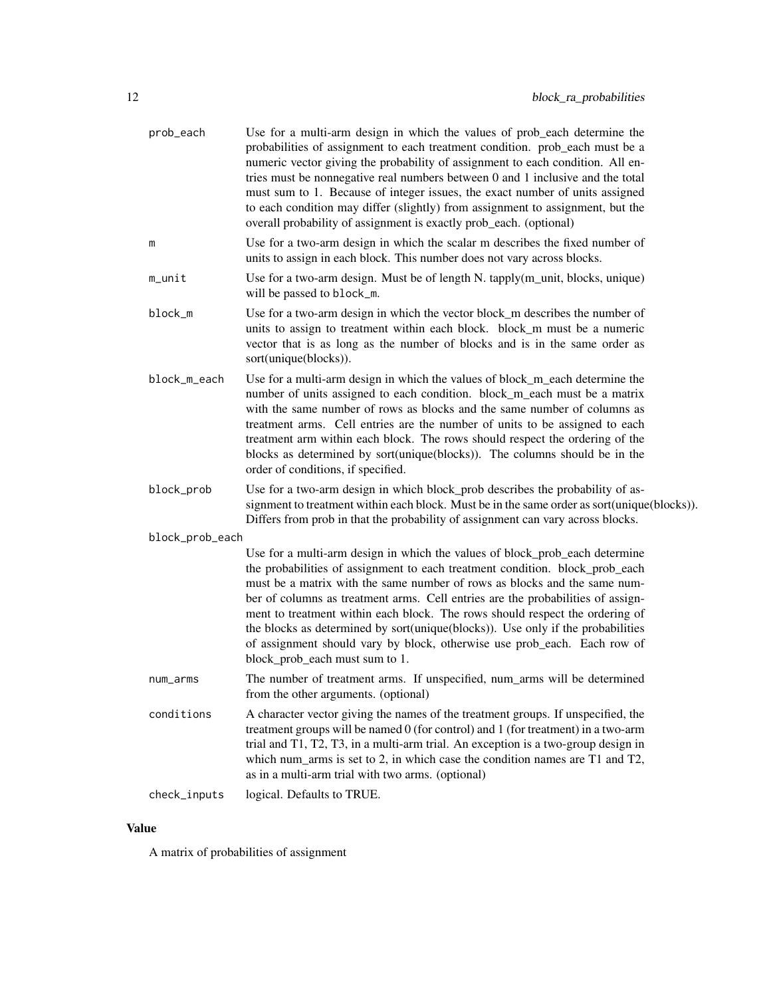| Use for a multi-arm design in which the values of prob_each determine the<br>probabilities of assignment to each treatment condition. prob_each must be a<br>numeric vector giving the probability of assignment to each condition. All en-<br>tries must be nonnegative real numbers between 0 and 1 inclusive and the total<br>must sum to 1. Because of integer issues, the exact number of units assigned<br>to each condition may differ (slightly) from assignment to assignment, but the<br>overall probability of assignment is exactly prob_each. (optional)                                        |
|--------------------------------------------------------------------------------------------------------------------------------------------------------------------------------------------------------------------------------------------------------------------------------------------------------------------------------------------------------------------------------------------------------------------------------------------------------------------------------------------------------------------------------------------------------------------------------------------------------------|
| Use for a two-arm design in which the scalar m describes the fixed number of<br>units to assign in each block. This number does not vary across blocks.                                                                                                                                                                                                                                                                                                                                                                                                                                                      |
| Use for a two-arm design. Must be of length N. tapply(m_unit, blocks, unique)<br>will be passed to block_m.                                                                                                                                                                                                                                                                                                                                                                                                                                                                                                  |
| Use for a two-arm design in which the vector block_m describes the number of<br>units to assign to treatment within each block. block_m must be a numeric<br>vector that is as long as the number of blocks and is in the same order as<br>sort(unique(blocks)).                                                                                                                                                                                                                                                                                                                                             |
| Use for a multi-arm design in which the values of block_m_each determine the<br>number of units assigned to each condition. block_m_each must be a matrix<br>with the same number of rows as blocks and the same number of columns as<br>treatment arms. Cell entries are the number of units to be assigned to each<br>treatment arm within each block. The rows should respect the ordering of the<br>blocks as determined by sort(unique(blocks)). The columns should be in the<br>order of conditions, if specified.                                                                                     |
| Use for a two-arm design in which block_prob describes the probability of as-<br>signment to treatment within each block. Must be in the same order as sort(unique(blocks)).<br>Differs from prob in that the probability of assignment can vary across blocks.                                                                                                                                                                                                                                                                                                                                              |
| block_prob_each                                                                                                                                                                                                                                                                                                                                                                                                                                                                                                                                                                                              |
| Use for a multi-arm design in which the values of block_prob_each determine<br>the probabilities of assignment to each treatment condition. block_prob_each<br>must be a matrix with the same number of rows as blocks and the same num-<br>ber of columns as treatment arms. Cell entries are the probabilities of assign-<br>ment to treatment within each block. The rows should respect the ordering of<br>the blocks as determined by sort(unique(blocks)). Use only if the probabilities<br>of assignment should vary by block, otherwise use prob_each. Each row of<br>block_prob_each must sum to 1. |
| The number of treatment arms. If unspecified, num_arms will be determined<br>from the other arguments. (optional)                                                                                                                                                                                                                                                                                                                                                                                                                                                                                            |
| A character vector giving the names of the treatment groups. If unspecified, the<br>treatment groups will be named 0 (for control) and 1 (for treatment) in a two-arm<br>trial and T1, T2, T3, in a multi-arm trial. An exception is a two-group design in<br>which num_arms is set to 2, in which case the condition names are T1 and T2,<br>as in a multi-arm trial with two arms. (optional)                                                                                                                                                                                                              |
| logical. Defaults to TRUE.                                                                                                                                                                                                                                                                                                                                                                                                                                                                                                                                                                                   |
|                                                                                                                                                                                                                                                                                                                                                                                                                                                                                                                                                                                                              |

A matrix of probabilities of assignment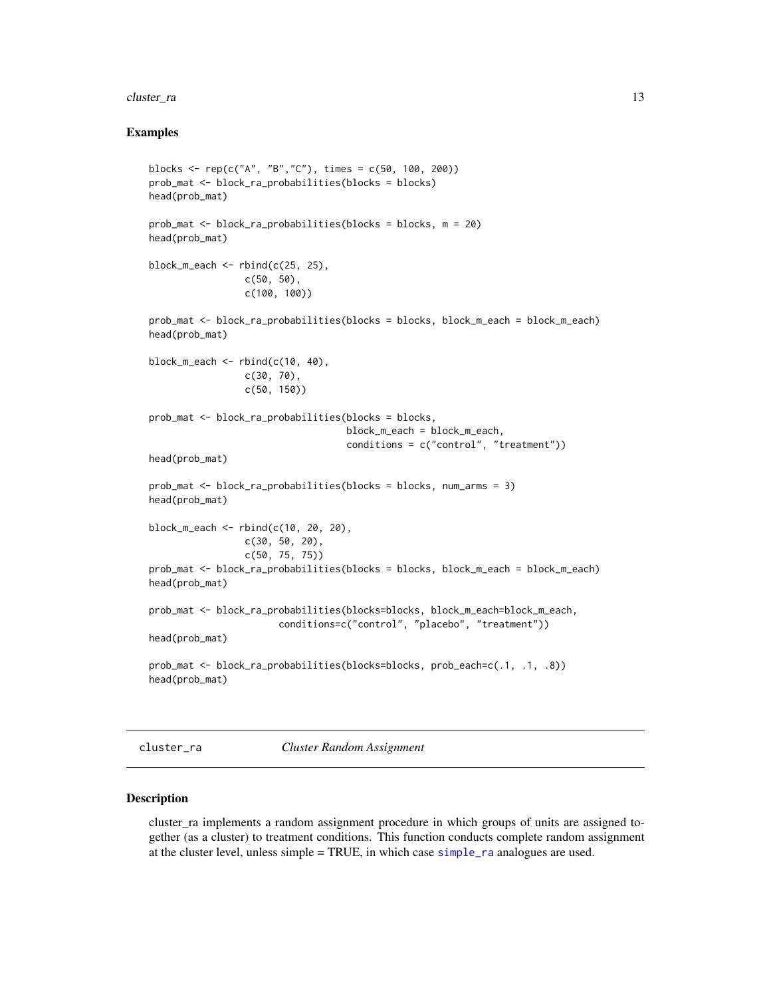#### <span id="page-12-0"></span>cluster\_ra 13

#### Examples

```
blocks <- rep(c("A", "B","C"), times = c(50, 100, 200))
prob_mat <- block_ra_probabilities(blocks = blocks)
head(prob_mat)
prob_mat <- block_ra_probabilities(blocks = blocks, m = 20)
head(prob_mat)
block_m_each \leq rbind(c(25, 25),
                 c(50, 50),
                 c(100, 100))
prob_mat <- block_ra_probabilities(blocks = blocks, block_m_each = block_m_each)
head(prob_mat)
block_m_each \leq rbind(c(10, 40),
                 c(30, 70),
                 c(50, 150))
prob_mat <- block_ra_probabilities(blocks = blocks,
                                   block_m_each = block_m_each,
                                   conditions = c("control", "treatment"))
head(prob_mat)
prob_mat <- block_ra_probabilities(blocks = blocks, num_arms = 3)
head(prob_mat)
block_m_each <- rbind(c(10, 20, 20),
                 c(30, 50, 20),
                 c(50, 75, 75))
prob_mat <- block_ra_probabilities(blocks = blocks, block_m_each = block_m_each)
head(prob_mat)
prob_mat <- block_ra_probabilities(blocks=blocks, block_m_each=block_m_each,
                       conditions=c("control", "placebo", "treatment"))
head(prob_mat)
prob_mat <- block_ra_probabilities(blocks=blocks, prob_each=c(.1, .1, .8))
head(prob_mat)
```
cluster\_ra *Cluster Random Assignment*

#### Description

cluster\_ra implements a random assignment procedure in which groups of units are assigned together (as a cluster) to treatment conditions. This function conducts complete random assignment at the cluster level, unless simple = TRUE, in which case [simple\\_ra](#page-46-1) analogues are used.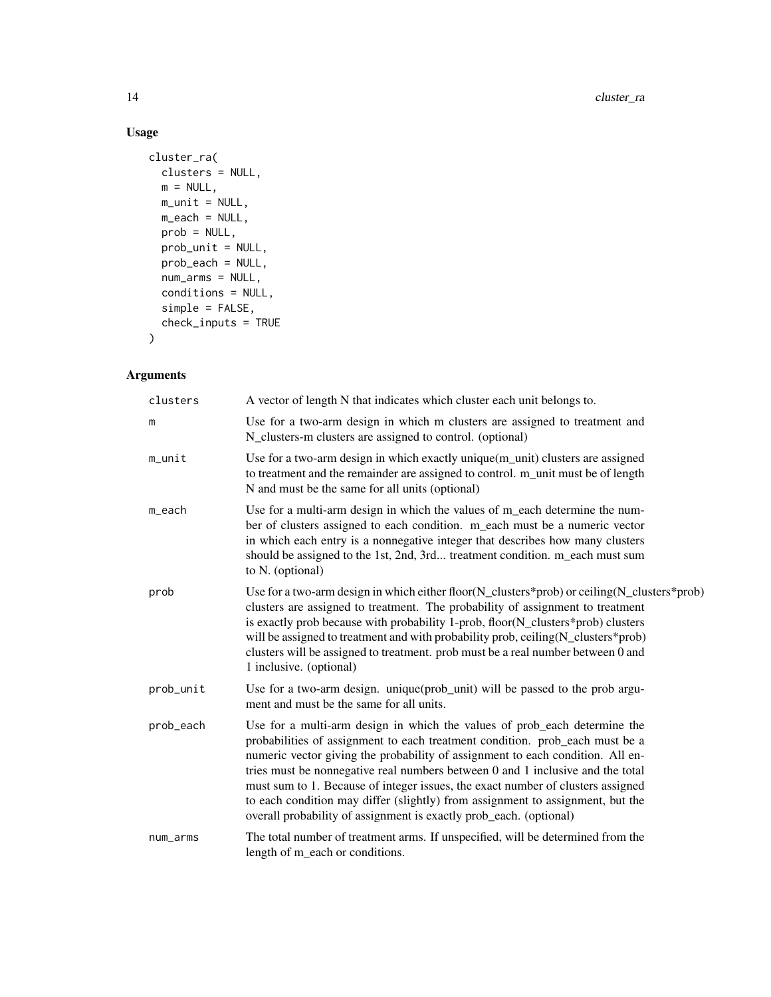# Usage

```
cluster_ra(
  clusters = NULL,
  m = NULL,m\_unit = NULL,m_each = NULL,
  prob = NULL,
  prob_unit = NULL,
  prob_each = NULL,
  num_arms = NULL,
  conditions = NULL,
  simple = FALSE,
  check_inputs = TRUE
\mathcal{L}
```

| clusters  | A vector of length N that indicates which cluster each unit belongs to.                                                                                                                                                                                                                                                                                                                                                                                                                                                                                                  |
|-----------|--------------------------------------------------------------------------------------------------------------------------------------------------------------------------------------------------------------------------------------------------------------------------------------------------------------------------------------------------------------------------------------------------------------------------------------------------------------------------------------------------------------------------------------------------------------------------|
| m         | Use for a two-arm design in which m clusters are assigned to treatment and<br>N_clusters-m clusters are assigned to control. (optional)                                                                                                                                                                                                                                                                                                                                                                                                                                  |
| m_unit    | Use for a two-arm design in which exactly unique(m_unit) clusters are assigned<br>to treatment and the remainder are assigned to control. m_unit must be of length<br>N and must be the same for all units (optional)                                                                                                                                                                                                                                                                                                                                                    |
| m_each    | Use for a multi-arm design in which the values of m_each determine the num-<br>ber of clusters assigned to each condition. m_each must be a numeric vector<br>in which each entry is a nonnegative integer that describes how many clusters<br>should be assigned to the 1st, 2nd, 3rd treatment condition. m_each must sum<br>to N. (optional)                                                                                                                                                                                                                          |
| prob      | Use for a two-arm design in which either floor( $N$ _clusters*prob) or ceiling( $N$ _clusters*prob)<br>clusters are assigned to treatment. The probability of assignment to treatment<br>is exactly prob because with probability 1-prob, floor(N_clusters*prob) clusters<br>will be assigned to treatment and with probability prob, ceiling(N_clusters*prob)<br>clusters will be assigned to treatment. prob must be a real number between 0 and<br>1 inclusive. (optional)                                                                                            |
| prob_unit | Use for a two-arm design. unique (prob_unit) will be passed to the prob argu-<br>ment and must be the same for all units.                                                                                                                                                                                                                                                                                                                                                                                                                                                |
| prob_each | Use for a multi-arm design in which the values of prob_each determine the<br>probabilities of assignment to each treatment condition. prob_each must be a<br>numeric vector giving the probability of assignment to each condition. All en-<br>tries must be nonnegative real numbers between 0 and 1 inclusive and the total<br>must sum to 1. Because of integer issues, the exact number of clusters assigned<br>to each condition may differ (slightly) from assignment to assignment, but the<br>overall probability of assignment is exactly prob_each. (optional) |
| num_arms  | The total number of treatment arms. If unspecified, will be determined from the<br>length of m_each or conditions.                                                                                                                                                                                                                                                                                                                                                                                                                                                       |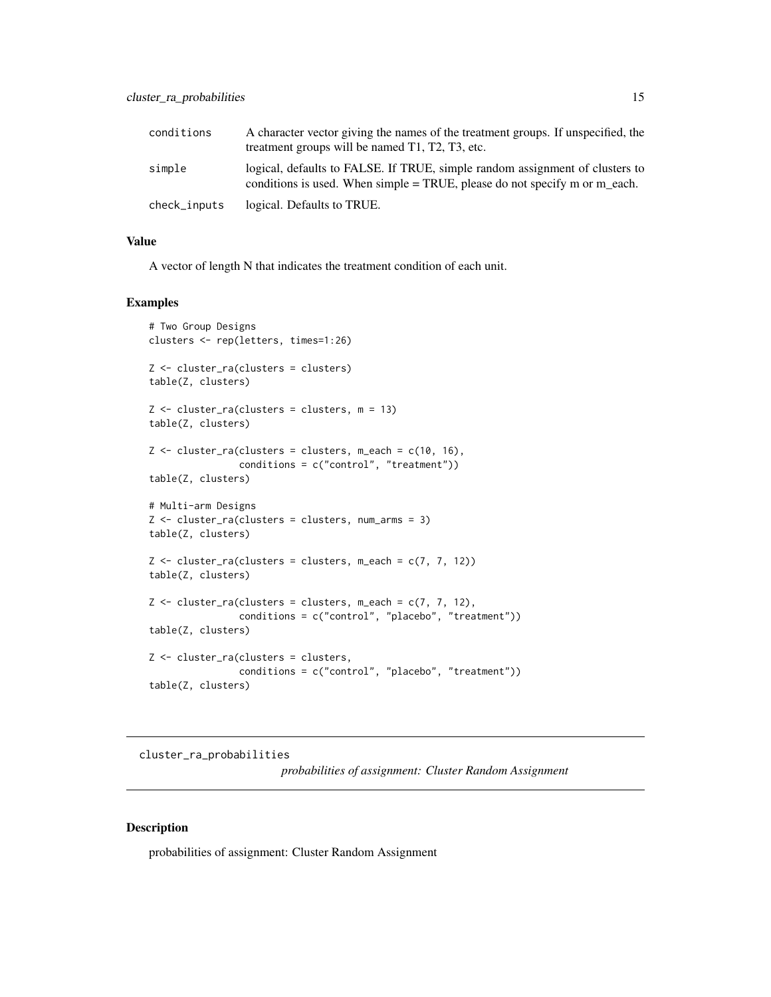<span id="page-14-0"></span>

| conditions   | A character vector giving the names of the treatment groups. If unspecified, the<br>treatment groups will be named T1, T2, T3, etc.                           |
|--------------|---------------------------------------------------------------------------------------------------------------------------------------------------------------|
| simple       | logical, defaults to FALSE. If TRUE, simple random assignment of clusters to<br>conditions is used. When simple $= TRUE$ , please do not specify m or m_each. |
| check_inputs | logical. Defaults to TRUE.                                                                                                                                    |

A vector of length N that indicates the treatment condition of each unit.

#### Examples

```
# Two Group Designs
clusters <- rep(letters, times=1:26)
Z <- cluster_ra(clusters = clusters)
table(Z, clusters)
Z \leq cluster_ra(clusters = clusters, m = 13)
table(Z, clusters)
Z \leq cluster_ra(clusters = clusters, m_each = c(10, 16),
                conditions = c("control", "treatment"))
table(Z, clusters)
# Multi-arm Designs
Z <- cluster_ra(clusters = clusters, num_arms = 3)
table(Z, clusters)
Z \leftarrow cluster_ra(clusters = clusters, m_each = c(7, 7, 12))
table(Z, clusters)
Z \leftarrow cluster_ra(clusters = clusters, m_each = c(7, 7, 12),
                conditions = c("control", "placebo", "treatment"))
table(Z, clusters)
Z <- cluster_ra(clusters = clusters,
                conditions = c("control", "placebo", "treatment"))
table(Z, clusters)
```
cluster\_ra\_probabilities

*probabilities of assignment: Cluster Random Assignment*

#### Description

probabilities of assignment: Cluster Random Assignment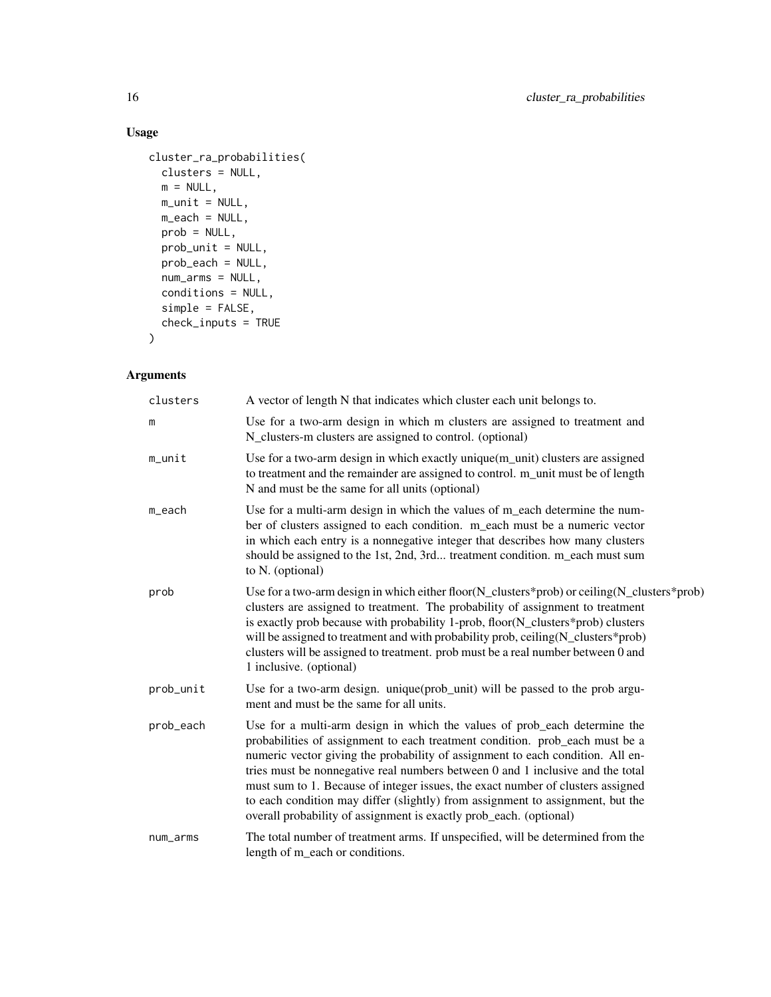# Usage

```
cluster_ra_probabilities(
 clusters = NULL,
 m = NULL,m\_unit = NULL,m_each = NULL,
 prob = NULL,
 prob_unit = NULL,
 prob_each = NULL,
 num_arms = NULL,
 conditions = NULL,
 simple = FALSE,
 check_inputs = TRUE
```
# $\mathcal{L}$

| clusters  | A vector of length N that indicates which cluster each unit belongs to.                                                                                                                                                                                                                                                                                                                                                                                                                                                                                                  |
|-----------|--------------------------------------------------------------------------------------------------------------------------------------------------------------------------------------------------------------------------------------------------------------------------------------------------------------------------------------------------------------------------------------------------------------------------------------------------------------------------------------------------------------------------------------------------------------------------|
| m         | Use for a two-arm design in which m clusters are assigned to treatment and<br>N_clusters-m clusters are assigned to control. (optional)                                                                                                                                                                                                                                                                                                                                                                                                                                  |
| m_unit    | Use for a two-arm design in which exactly unique(m_unit) clusters are assigned<br>to treatment and the remainder are assigned to control. m_unit must be of length<br>N and must be the same for all units (optional)                                                                                                                                                                                                                                                                                                                                                    |
| m_each    | Use for a multi-arm design in which the values of m_each determine the num-<br>ber of clusters assigned to each condition. m_each must be a numeric vector<br>in which each entry is a nonnegative integer that describes how many clusters<br>should be assigned to the 1st, 2nd, 3rd treatment condition. m_each must sum<br>to N. (optional)                                                                                                                                                                                                                          |
| prob      | Use for a two-arm design in which either floor(N_clusters*prob) or ceiling(N_clusters*prob)<br>clusters are assigned to treatment. The probability of assignment to treatment<br>is exactly prob because with probability 1-prob, floor(N_clusters*prob) clusters<br>will be assigned to treatment and with probability prob, ceiling(N_clusters*prob)<br>clusters will be assigned to treatment. prob must be a real number between 0 and<br>1 inclusive. (optional)                                                                                                    |
| prob_unit | Use for a two-arm design. unique (prob_unit) will be passed to the prob argu-<br>ment and must be the same for all units.                                                                                                                                                                                                                                                                                                                                                                                                                                                |
| prob_each | Use for a multi-arm design in which the values of prob_each determine the<br>probabilities of assignment to each treatment condition. prob_each must be a<br>numeric vector giving the probability of assignment to each condition. All en-<br>tries must be nonnegative real numbers between 0 and 1 inclusive and the total<br>must sum to 1. Because of integer issues, the exact number of clusters assigned<br>to each condition may differ (slightly) from assignment to assignment, but the<br>overall probability of assignment is exactly prob_each. (optional) |
| num_arms  | The total number of treatment arms. If unspecified, will be determined from the<br>length of m_each or conditions.                                                                                                                                                                                                                                                                                                                                                                                                                                                       |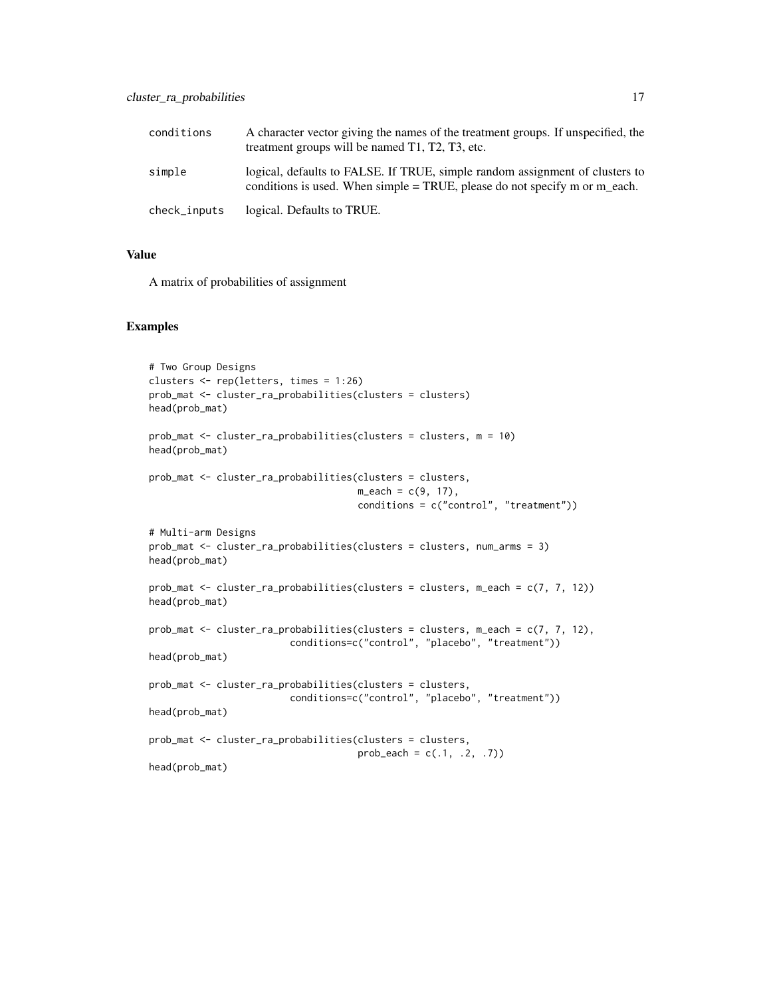| conditions   | A character vector giving the names of the treatment groups. If unspecified, the<br>treatment groups will be named T1, T2, T3, etc.                          |
|--------------|--------------------------------------------------------------------------------------------------------------------------------------------------------------|
| simple       | logical, defaults to FALSE. If TRUE, simple random assignment of clusters to<br>conditions is used. When simple $=$ TRUE, please do not specify m or m each. |
| check_inputs | logical. Defaults to TRUE.                                                                                                                                   |

A matrix of probabilities of assignment

#### Examples

```
# Two Group Designs
clusters <- rep(letters, times = 1:26)
prob_mat <- cluster_ra_probabilities(clusters = clusters)
head(prob_mat)
prob_mat <- cluster_ra_probabilities(clusters = clusters, m = 10)
head(prob_mat)
prob_mat <- cluster_ra_probabilities(clusters = clusters,
                                     m<sup>2</sup>each = c(9, 17),
                                     conditions = c("control", "treatment"))
# Multi-arm Designs
prob_mat <- cluster_ra_probabilities(clusters = clusters, num_arms = 3)
head(prob_mat)
prob_mat <- cluster_ra_probabilities(clusters = clusters, m_each = c(7, 7, 12))
head(prob_mat)
prob_mat <- cluster_ra_probabilities(clusters = clusters, m_each = c(7, 7, 12),
                         conditions=c("control", "placebo", "treatment"))
head(prob_mat)
prob_mat <- cluster_ra_probabilities(clusters = clusters,
                         conditions=c("control", "placebo", "treatment"))
head(prob_mat)
prob_mat <- cluster_ra_probabilities(clusters = clusters,
                                     prob\_each = c(.1, .2, .7))head(prob_mat)
```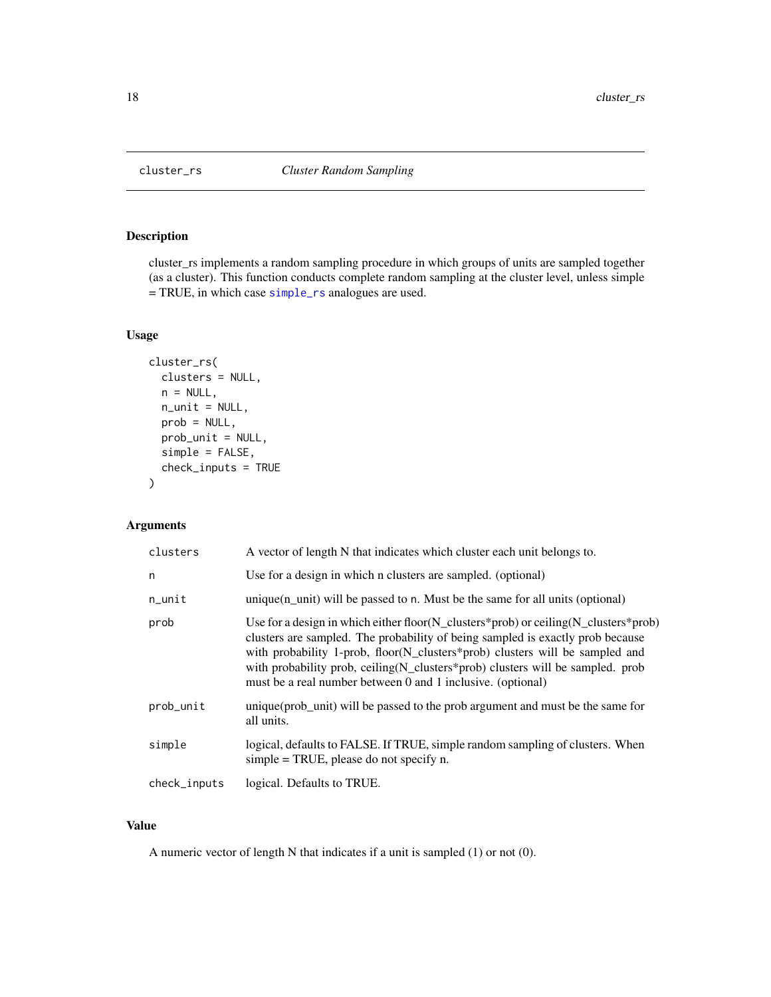<span id="page-17-0"></span>

#### Description

cluster\_rs implements a random sampling procedure in which groups of units are sampled together (as a cluster). This function conducts complete random sampling at the cluster level, unless simple = TRUE, in which case [simple\\_rs](#page-49-1) analogues are used.

#### Usage

```
cluster_rs(
  clusters = NULL,
  n = NULL,n_unit = NULL,
 prob = NULL,
 prob_unit = NULL,
  simple = FALSE,
  check_inputs = TRUE
)
```
# Arguments

| clusters     | A vector of length N that indicates which cluster each unit belongs to.                                                                                                                                                                                                                                                                                                                                 |
|--------------|---------------------------------------------------------------------------------------------------------------------------------------------------------------------------------------------------------------------------------------------------------------------------------------------------------------------------------------------------------------------------------------------------------|
| n            | Use for a design in which n clusters are sampled. (optional)                                                                                                                                                                                                                                                                                                                                            |
| $n$ _unit    | unique $(n$ _unit) will be passed to n. Must be the same for all units (optional)                                                                                                                                                                                                                                                                                                                       |
| prob         | Use for a design in which either floor(N_clusters*prob) or ceiling(N_clusters*prob)<br>clusters are sampled. The probability of being sampled is exactly prob because<br>with probability 1-prob, floor(N_clusters*prob) clusters will be sampled and<br>with probability prob, ceiling (N_clusters*prob) clusters will be sampled. prob<br>must be a real number between 0 and 1 inclusive. (optional) |
| prob_unit    | unique (prob_unit) will be passed to the prob argument and must be the same for<br>all units.                                                                                                                                                                                                                                                                                                           |
| simple       | logical, defaults to FALSE. If TRUE, simple random sampling of clusters. When<br>simple $=$ TRUE, please do not specify n.                                                                                                                                                                                                                                                                              |
| check_inputs | logical. Defaults to TRUE.                                                                                                                                                                                                                                                                                                                                                                              |

# Value

A numeric vector of length N that indicates if a unit is sampled (1) or not (0).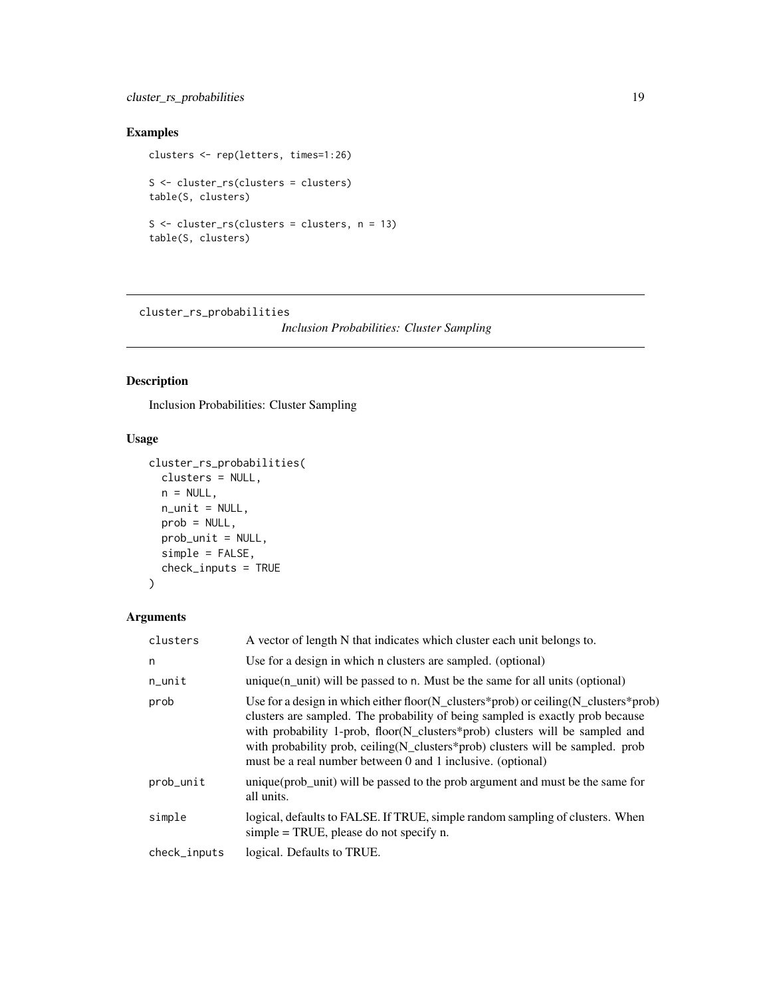# <span id="page-18-0"></span>cluster\_rs\_probabilities 19

# Examples

```
clusters <- rep(letters, times=1:26)
S <- cluster_rs(clusters = clusters)
table(S, clusters)
S <- cluster_rs(clusters = clusters, n = 13)
table(S, clusters)
```
cluster\_rs\_probabilities

*Inclusion Probabilities: Cluster Sampling*

# Description

Inclusion Probabilities: Cluster Sampling

# Usage

```
cluster_rs_probabilities(
  clusters = NULL,
  n = NULL,n_unit = NULL,
  prob = NULL,
  prob_unit = NULL,
  simple = FALSE,
  check_inputs = TRUE
\mathcal{L}
```

| clusters     | A vector of length N that indicates which cluster each unit belongs to.                                                                                                                                                                                                                                                                                                                                |
|--------------|--------------------------------------------------------------------------------------------------------------------------------------------------------------------------------------------------------------------------------------------------------------------------------------------------------------------------------------------------------------------------------------------------------|
| n            | Use for a design in which n clusters are sampled. (optional)                                                                                                                                                                                                                                                                                                                                           |
| $n$ _unit    | unique $(n$ unit) will be passed to n. Must be the same for all units (optional)                                                                                                                                                                                                                                                                                                                       |
| prob         | Use for a design in which either floor(N_clusters*prob) or ceiling(N_clusters*prob)<br>clusters are sampled. The probability of being sampled is exactly prob because<br>with probability 1-prob, floor(N_clusters*prob) clusters will be sampled and<br>with probability prob, ceiling(N_clusters*prob) clusters will be sampled. prob<br>must be a real number between 0 and 1 inclusive. (optional) |
| prob_unit    | unique (prob_unit) will be passed to the prob argument and must be the same for<br>all units.                                                                                                                                                                                                                                                                                                          |
| simple       | logical, defaults to FALSE. If TRUE, simple random sampling of clusters. When<br>simple $=$ TRUE, please do not specify n.                                                                                                                                                                                                                                                                             |
| check_inputs | logical. Defaults to TRUE.                                                                                                                                                                                                                                                                                                                                                                             |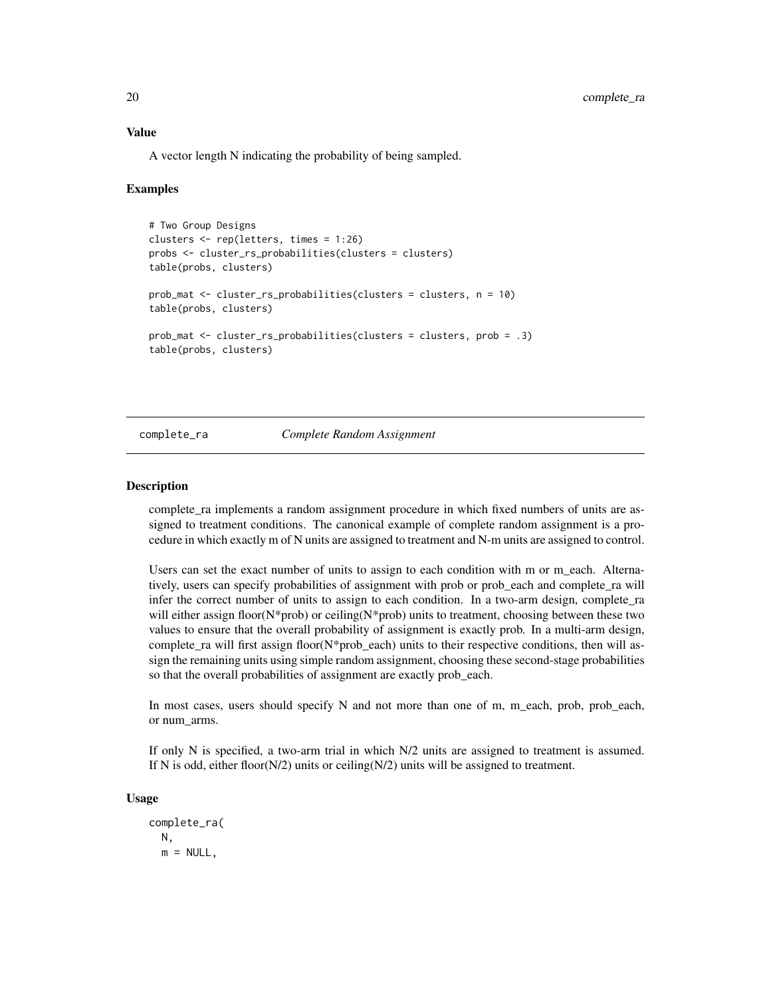<span id="page-19-0"></span>A vector length N indicating the probability of being sampled.

#### Examples

```
# Two Group Designs
clusters <- rep(letters, times = 1:26)
probs <- cluster_rs_probabilities(clusters = clusters)
table(probs, clusters)
prob_mat <- cluster_rs_probabilities(clusters = clusters, n = 10)
table(probs, clusters)
prob_mat <- cluster_rs_probabilities(clusters = clusters, prob = .3)
table(probs, clusters)
```
#### <span id="page-19-1"></span>complete\_ra *Complete Random Assignment*

#### **Description**

complete\_ra implements a random assignment procedure in which fixed numbers of units are assigned to treatment conditions. The canonical example of complete random assignment is a procedure in which exactly m of N units are assigned to treatment and N-m units are assigned to control.

Users can set the exact number of units to assign to each condition with m or m\_each. Alternatively, users can specify probabilities of assignment with prob or prob\_each and complete\_ra will infer the correct number of units to assign to each condition. In a two-arm design, complete\_ra will either assign floor(N\*prob) or ceiling(N\*prob) units to treatment, choosing between these two values to ensure that the overall probability of assignment is exactly prob. In a multi-arm design, complete\_ra will first assign floor( $N$ \*prob\_each) units to their respective conditions, then will assign the remaining units using simple random assignment, choosing these second-stage probabilities so that the overall probabilities of assignment are exactly prob\_each.

In most cases, users should specify N and not more than one of m, m\_each, prob, prob\_each, or num\_arms.

If only N is specified, a two-arm trial in which N/2 units are assigned to treatment is assumed. If N is odd, either floor( $N/2$ ) units or ceiling( $N/2$ ) units will be assigned to treatment.

#### Usage

complete\_ra( N,  $m = NULL,$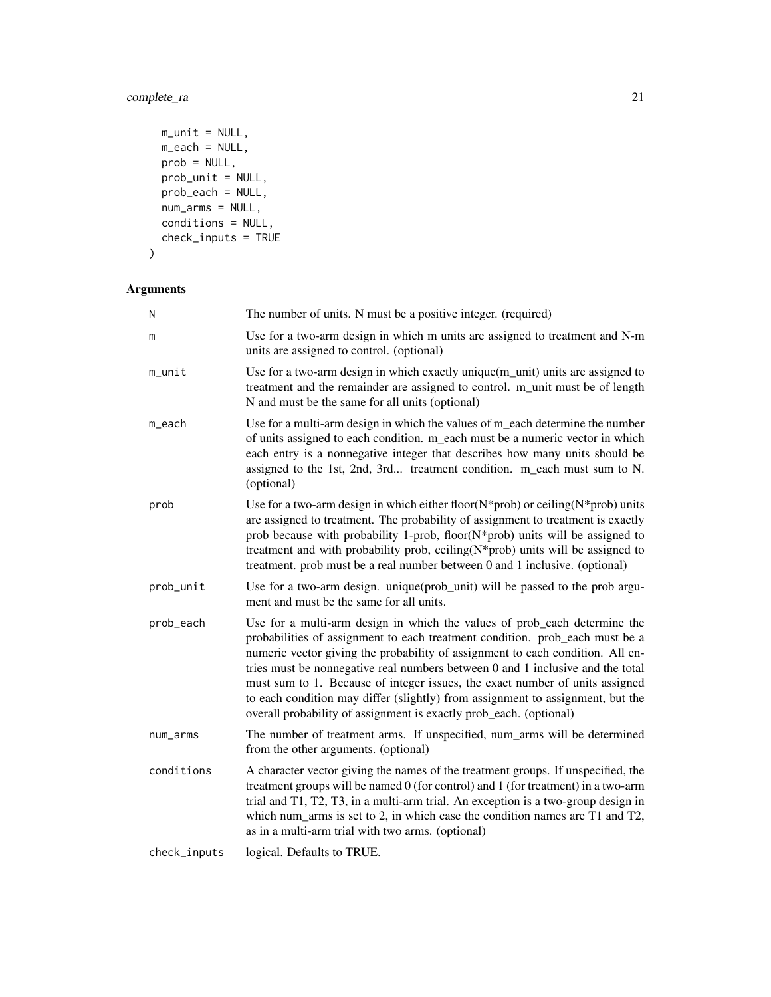# complete\_ra 21

```
m\_unit = NULL,m_each = NULL,
 prob = NULL,
 prob_unit = NULL,
 prob_ear = NULL,
 num_arms = NULL,
 conditions = NULL,
 check_inputs = TRUE
\mathcal{L}
```

| N            | The number of units. N must be a positive integer. (required)                                                                                                                                                                                                                                                                                                                                                                                                                                                                                                         |
|--------------|-----------------------------------------------------------------------------------------------------------------------------------------------------------------------------------------------------------------------------------------------------------------------------------------------------------------------------------------------------------------------------------------------------------------------------------------------------------------------------------------------------------------------------------------------------------------------|
| m            | Use for a two-arm design in which m units are assigned to treatment and N-m<br>units are assigned to control. (optional)                                                                                                                                                                                                                                                                                                                                                                                                                                              |
| m_unit       | Use for a two-arm design in which exactly unique(m_unit) units are assigned to<br>treatment and the remainder are assigned to control. m_unit must be of length<br>N and must be the same for all units (optional)                                                                                                                                                                                                                                                                                                                                                    |
| m_each       | Use for a multi-arm design in which the values of m_each determine the number<br>of units assigned to each condition. m_each must be a numeric vector in which<br>each entry is a nonnegative integer that describes how many units should be<br>assigned to the 1st, 2nd, 3rd treatment condition. m_each must sum to N.<br>(optional)                                                                                                                                                                                                                               |
| prob         | Use for a two-arm design in which either floor( $N$ *prob) or ceiling( $N$ *prob) units<br>are assigned to treatment. The probability of assignment to treatment is exactly<br>prob because with probability 1-prob, floor(N*prob) units will be assigned to<br>treatment and with probability prob, ceiling(N*prob) units will be assigned to<br>treatment. prob must be a real number between 0 and 1 inclusive. (optional)                                                                                                                                         |
| prob_unit    | Use for a two-arm design. unique(prob_unit) will be passed to the prob argu-<br>ment and must be the same for all units.                                                                                                                                                                                                                                                                                                                                                                                                                                              |
| prob_each    | Use for a multi-arm design in which the values of prob_each determine the<br>probabilities of assignment to each treatment condition. prob_each must be a<br>numeric vector giving the probability of assignment to each condition. All en-<br>tries must be nonnegative real numbers between 0 and 1 inclusive and the total<br>must sum to 1. Because of integer issues, the exact number of units assigned<br>to each condition may differ (slightly) from assignment to assignment, but the<br>overall probability of assignment is exactly prob_each. (optional) |
| num_arms     | The number of treatment arms. If unspecified, num_arms will be determined<br>from the other arguments. (optional)                                                                                                                                                                                                                                                                                                                                                                                                                                                     |
| conditions   | A character vector giving the names of the treatment groups. If unspecified, the<br>treatment groups will be named 0 (for control) and 1 (for treatment) in a two-arm<br>trial and T1, T2, T3, in a multi-arm trial. An exception is a two-group design in<br>which num_arms is set to 2, in which case the condition names are T1 and T2,<br>as in a multi-arm trial with two arms. (optional)                                                                                                                                                                       |
| check_inputs | logical. Defaults to TRUE.                                                                                                                                                                                                                                                                                                                                                                                                                                                                                                                                            |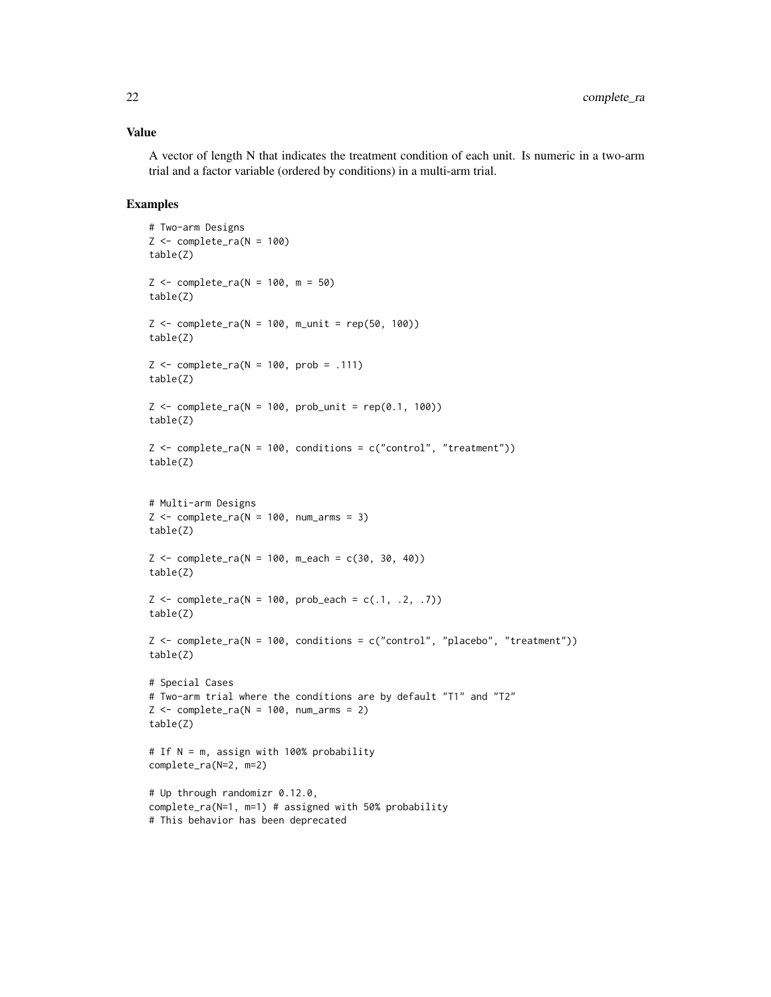A vector of length N that indicates the treatment condition of each unit. Is numeric in a two-arm trial and a factor variable (ordered by conditions) in a multi-arm trial.

#### Examples

```
# Two-arm Designs
Z \leftarrow \text{complete\_ra}(N = 100)table(Z)
Z \le - complete_ra(N = 100, m = 50)
table(Z)
Z \le complete_ra(N = 100, m_unit = rep(50, 100))
table(Z)
Z \le complete_ra(N = 100, prob = .111)
table(Z)
Z \leq complete_ra(N = 100, prob_unit = rep(0.1, 100))
table(Z)
Z \leq complete_ra(N = 100, conditions = c("control", "treatment"))
table(Z)
# Multi-arm Designs
Z \le complete_ra(N = 100, num_arms = 3)
table(Z)
Z \le complete_ra(N = 100, m_each = c(30, 30, 40))
table(Z)
Z \leq complete_ra(N = 100, prob_each = c(.1, .2, .7))
table(Z)
Z <- complete_ra(N = 100, conditions = c("control", "placebo", "treatment"))
table(Z)
# Special Cases
# Two-arm trial where the conditions are by default "T1" and "T2"
Z \leq complete_ra(N = 100, num_arms = 2)
table(Z)
# If N = m, assign with 100% probability
complete_ra(N=2, m=2)
# Up through randomizr 0.12.0,
complete_ra(N=1, m=1) # assigned with 50% probability
# This behavior has been deprecated
```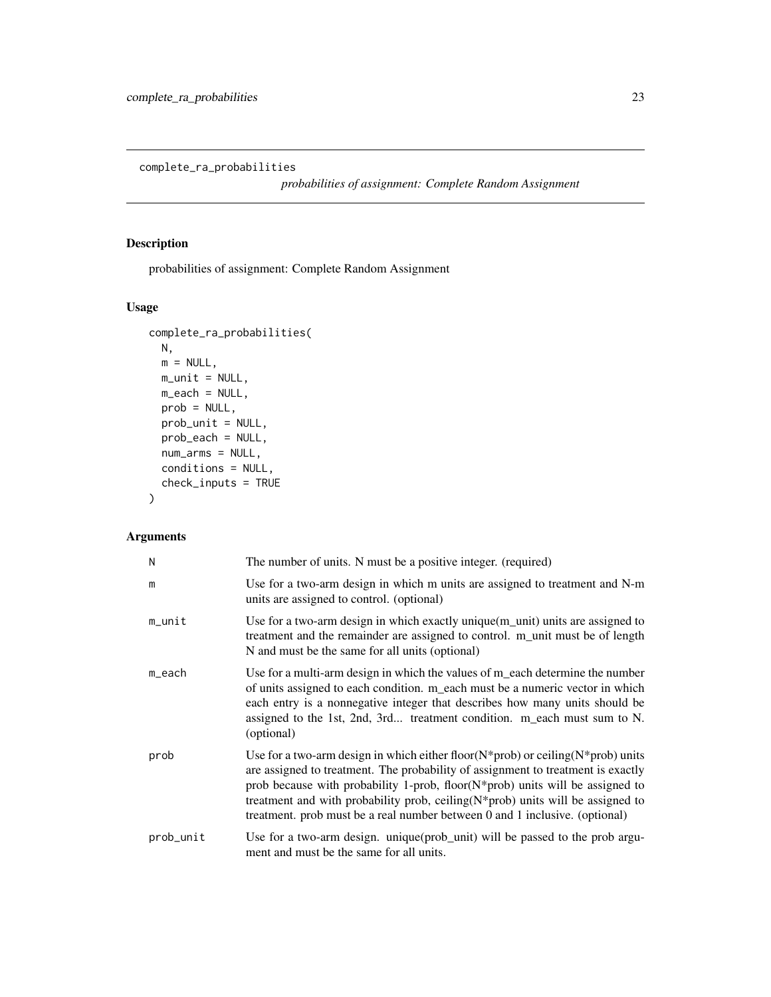<span id="page-22-0"></span>complete\_ra\_probabilities

*probabilities of assignment: Complete Random Assignment*

# Description

probabilities of assignment: Complete Random Assignment

# Usage

```
complete_ra_probabilities(
 N,
 m = NULL,m\_unit = NULL,m_each = NULL,
 prob = NULL,
 prob_unit = NULL,
 prob_each = NULL,
 num_arms = NULL,
 conditions = NULL,
 check_inputs = TRUE
)
```

| N         | The number of units. N must be a positive integer. (required)                                                                                                                                                                                                                                                                                                                                                                          |
|-----------|----------------------------------------------------------------------------------------------------------------------------------------------------------------------------------------------------------------------------------------------------------------------------------------------------------------------------------------------------------------------------------------------------------------------------------------|
| m         | Use for a two-arm design in which m units are assigned to treatment and N-m<br>units are assigned to control. (optional)                                                                                                                                                                                                                                                                                                               |
| m_unit    | Use for a two-arm design in which exactly unique(m_unit) units are assigned to<br>treatment and the remainder are assigned to control. m_unit must be of length<br>N and must be the same for all units (optional)                                                                                                                                                                                                                     |
| m_each    | Use for a multi-arm design in which the values of m_each determine the number<br>of units assigned to each condition. m_each must be a numeric vector in which<br>each entry is a nonnegative integer that describes how many units should be<br>assigned to the 1st, 2nd, 3rd treatment condition. m_each must sum to N.<br>(optional)                                                                                                |
| prob      | Use for a two-arm design in which either floor( $N$ *prob) or ceiling( $N$ *prob) units<br>are assigned to treatment. The probability of assignment to treatment is exactly<br>prob because with probability 1-prob, floor( $N$ *prob) units will be assigned to<br>treatment and with probability prob, ceiling $(N^*$ prob) units will be assigned to<br>treatment. prob must be a real number between 0 and 1 inclusive. (optional) |
| prob_unit | Use for a two-arm design. unique(prob_unit) will be passed to the prob argu-<br>ment and must be the same for all units.                                                                                                                                                                                                                                                                                                               |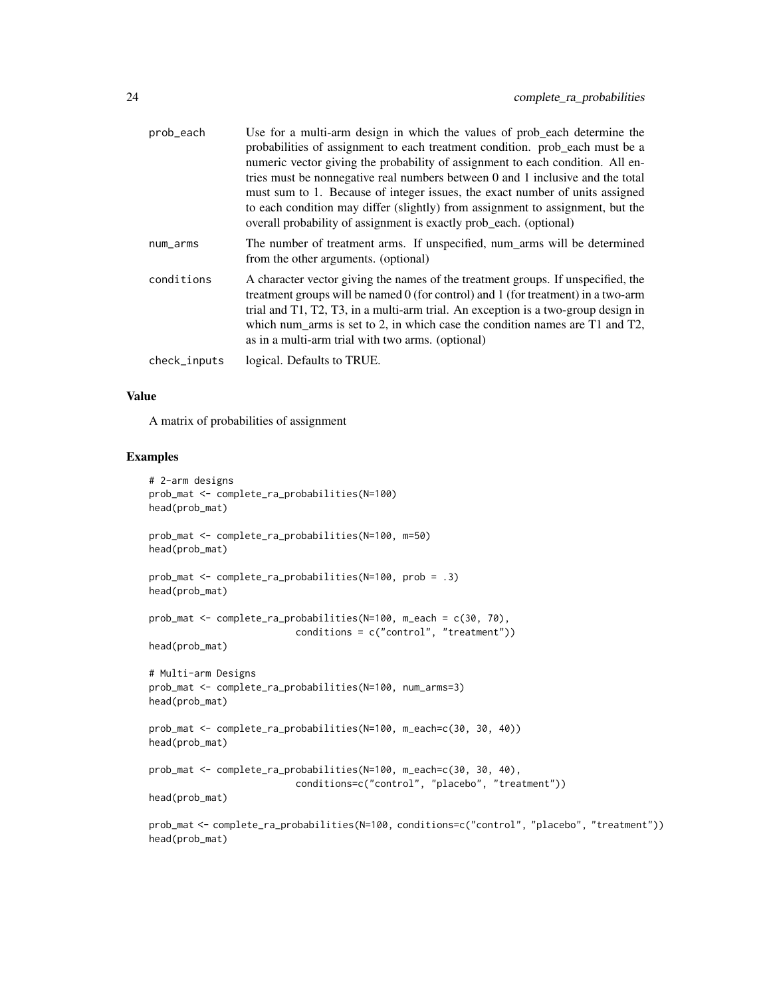| prob_each    | Use for a multi-arm design in which the values of prob_each determine the<br>probabilities of assignment to each treatment condition. prob_each must be a<br>numeric vector giving the probability of assignment to each condition. All en-<br>tries must be nonnegative real numbers between 0 and 1 inclusive and the total<br>must sum to 1. Because of integer issues, the exact number of units assigned<br>to each condition may differ (slightly) from assignment to assignment, but the<br>overall probability of assignment is exactly prob_each. (optional) |
|--------------|-----------------------------------------------------------------------------------------------------------------------------------------------------------------------------------------------------------------------------------------------------------------------------------------------------------------------------------------------------------------------------------------------------------------------------------------------------------------------------------------------------------------------------------------------------------------------|
| num_arms     | The number of treatment arms. If unspecified, num_arms will be determined<br>from the other arguments. (optional)                                                                                                                                                                                                                                                                                                                                                                                                                                                     |
| conditions   | A character vector giving the names of the treatment groups. If unspecified, the<br>treatment groups will be named 0 (for control) and 1 (for treatment) in a two-arm<br>trial and T1, T2, T3, in a multi-arm trial. An exception is a two-group design in<br>which num_arms is set to 2, in which case the condition names are T1 and T2,<br>as in a multi-arm trial with two arms. (optional)                                                                                                                                                                       |
| check_inputs | logical. Defaults to TRUE.                                                                                                                                                                                                                                                                                                                                                                                                                                                                                                                                            |

A matrix of probabilities of assignment

### Examples

```
# 2-arm designs
prob_mat <- complete_ra_probabilities(N=100)
head(prob_mat)
prob_mat <- complete_ra_probabilities(N=100, m=50)
head(prob_mat)
prob_mat <- complete_ra_probabilities(N=100, prob = .3)
head(prob_mat)
prob_mat <- complete_ra_probabilities(N=100, m_each = c(30, 70),
                          conditions = c("control", "treatment"))
head(prob_mat)
# Multi-arm Designs
prob_mat <- complete_ra_probabilities(N=100, num_arms=3)
head(prob_mat)
prob_mat <- complete_ra_probabilities(N=100, m_each=c(30, 30, 40))
head(prob_mat)
prob_mat <- complete_ra_probabilities(N=100, m_each=c(30, 30, 40),
                          conditions=c("control", "placebo", "treatment"))
head(prob_mat)
prob_mat <- complete_ra_probabilities(N=100, conditions=c("control", "placebo", "treatment"))
head(prob_mat)
```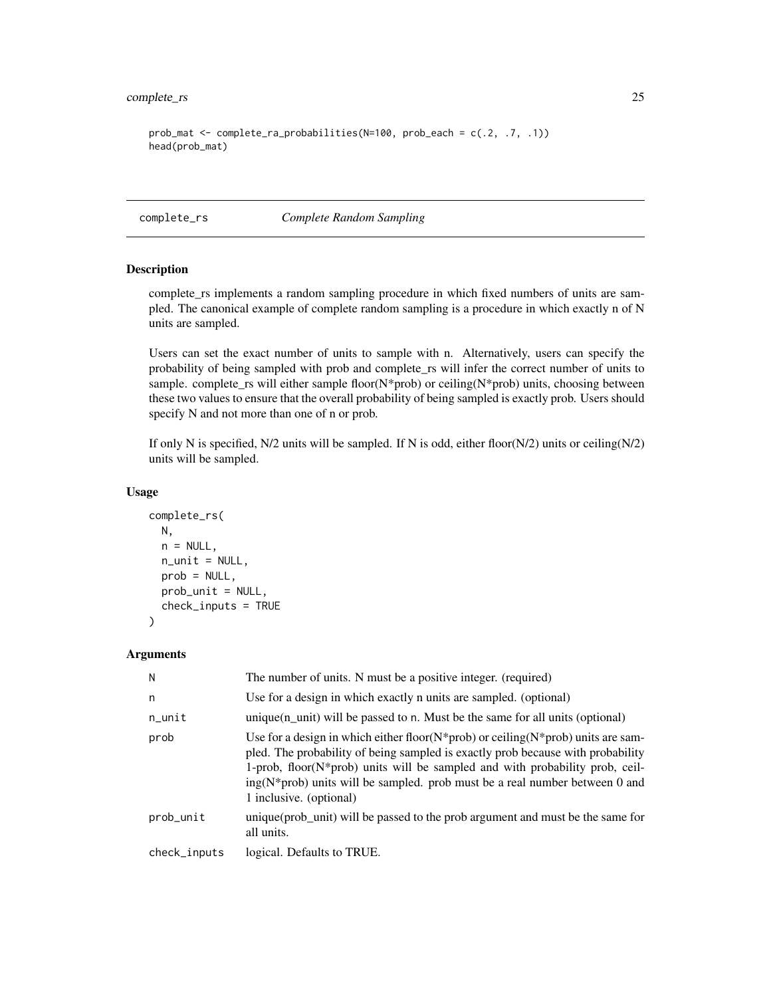### <span id="page-24-0"></span>complete\_rs 25

```
prob_mat <- complete_ra_probabilities(N=100, prob_each = c(.2, .7, .1))
head(prob_mat)
```
<span id="page-24-1"></span>complete\_rs *Complete Random Sampling*

### Description

complete\_rs implements a random sampling procedure in which fixed numbers of units are sampled. The canonical example of complete random sampling is a procedure in which exactly n of N units are sampled.

Users can set the exact number of units to sample with n. Alternatively, users can specify the probability of being sampled with prob and complete\_rs will infer the correct number of units to sample. complete\_rs will either sample floor(N\*prob) or ceiling(N\*prob) units, choosing between these two values to ensure that the overall probability of being sampled is exactly prob. Users should specify N and not more than one of n or prob.

If only N is specified,  $N/2$  units will be sampled. If N is odd, either floor( $N/2$ ) units or ceiling( $N/2$ ) units will be sampled.

```
complete_rs(
 N,
  n = NULL,n_unit = NULL,
 prob = NULL,
 prob_unit = NULL,
  check_inputs = TRUE
)
```

```
Arguments
```

| N            | The number of units. N must be a positive integer. (required)                                                                                                                                                                                                                                                                                                                 |
|--------------|-------------------------------------------------------------------------------------------------------------------------------------------------------------------------------------------------------------------------------------------------------------------------------------------------------------------------------------------------------------------------------|
| n            | Use for a design in which exactly n units are sampled. (optional)                                                                                                                                                                                                                                                                                                             |
| $n$ _unit    | unique $(n$ unit) will be passed to n. Must be the same for all units (optional)                                                                                                                                                                                                                                                                                              |
| prob         | Use for a design in which either floor $(N^*prob)$ or ceiling $(N^*prob)$ units are sam-<br>pled. The probability of being sampled is exactly prob because with probability<br>1-prob, floor( $N^*$ prob) units will be sampled and with probability prob, ceil-<br>$ing(N^*prob)$ units will be sampled. prob must be a real number between 0 and<br>1 inclusive. (optional) |
| prob_unit    | unique (prob_unit) will be passed to the prob argument and must be the same for<br>all units.                                                                                                                                                                                                                                                                                 |
| check_inputs | logical. Defaults to TRUE.                                                                                                                                                                                                                                                                                                                                                    |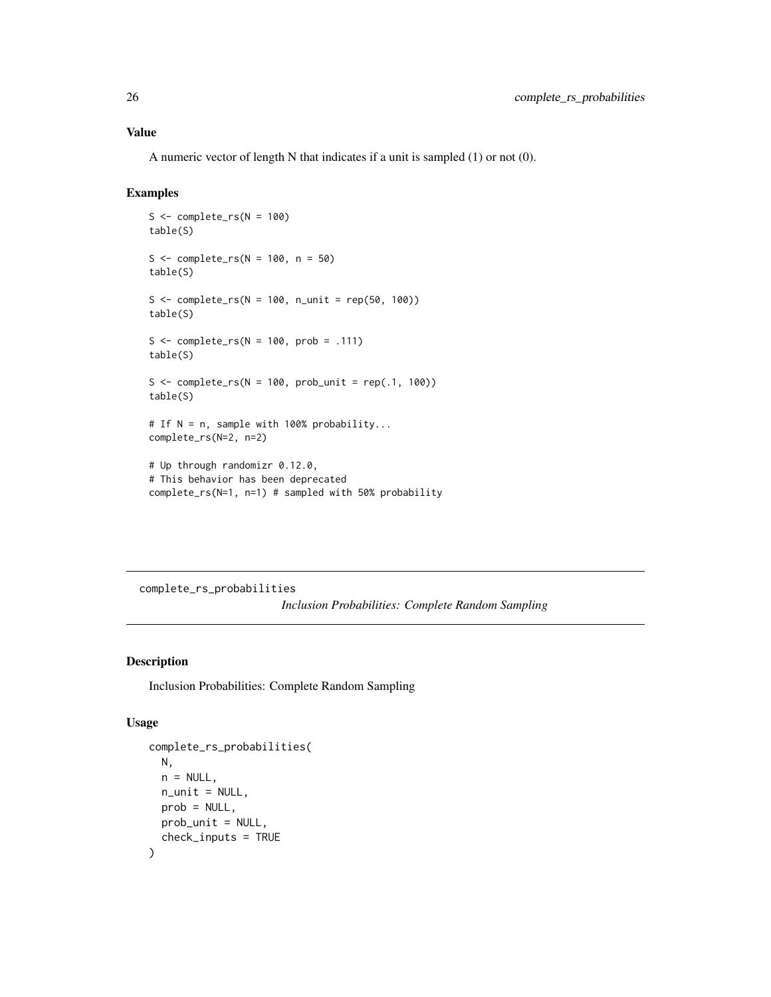<span id="page-25-0"></span>A numeric vector of length N that indicates if a unit is sampled (1) or not (0).

### Examples

```
S \leftarrow \text{complete\_rs}(N = 100)table(S)
S \le - complete_rs(N = 100, n = 50)
table(S)
S \leq complete_rs(N = 100, n_unit = rep(50, 100))
table(S)
S \leq complete_rs(N = 100, prob = .111)
table(S)
S \leq complete_rs(N = 100, prob_unit = rep(.1, 100))
table(S)
# If N = n, sample with 100% probability...
complete_rs(N=2, n=2)
# Up through randomizr 0.12.0,
# This behavior has been deprecated
complete_rs(N=1, n=1) # sampled with 50% probability
```
complete\_rs\_probabilities *Inclusion Probabilities: Complete Random Sampling*

#### Description

Inclusion Probabilities: Complete Random Sampling

```
complete_rs_probabilities(
 N,
 n = NULL,
 n_unit = NULL,
 prob = NULL,
 prob_unit = NULL,
  check_inputs = TRUE
)
```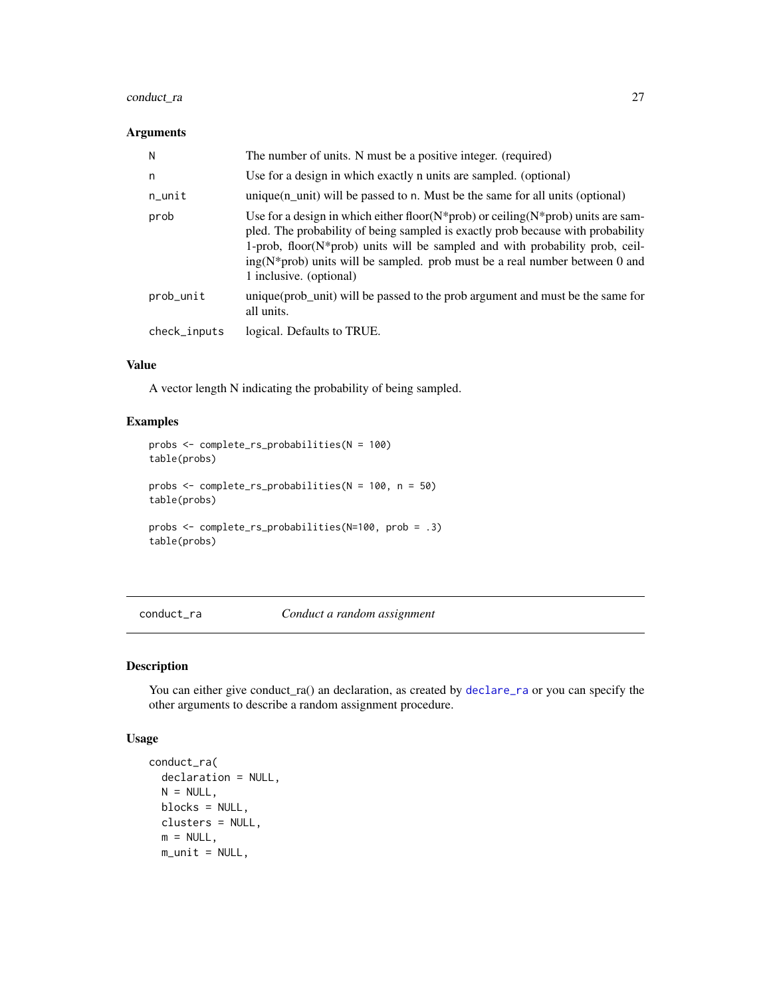### <span id="page-26-0"></span>conduct\_ra 27

#### Arguments

| N            | The number of units. N must be a positive integer. (required)                                                                                                                                                                                                                                                                                                                 |
|--------------|-------------------------------------------------------------------------------------------------------------------------------------------------------------------------------------------------------------------------------------------------------------------------------------------------------------------------------------------------------------------------------|
| n            | Use for a design in which exactly n units are sampled. (optional)                                                                                                                                                                                                                                                                                                             |
| n_unit       | $unique(n_unit)$ will be passed to n. Must be the same for all units (optional)                                                                                                                                                                                                                                                                                               |
| prob         | Use for a design in which either floor $(N^*prob)$ or ceiling $(N^*prob)$ units are sam-<br>pled. The probability of being sampled is exactly prob because with probability<br>1-prob, floor( $N^*$ prob) units will be sampled and with probability prob, ceil-<br>$ing(N^*prob)$ units will be sampled. prob must be a real number between 0 and<br>1 inclusive. (optional) |
| prob_unit    | unique (prob_unit) will be passed to the prob argument and must be the same for<br>all units.                                                                                                                                                                                                                                                                                 |
| check_inputs | logical. Defaults to TRUE.                                                                                                                                                                                                                                                                                                                                                    |

#### Value

A vector length N indicating the probability of being sampled.

### Examples

```
probs <- complete_rs_probabilities(N = 100)
table(probs)
probs <- complete_rs_probabilities(N = 100, n = 50)
table(probs)
probs <- complete_rs_probabilities(N=100, prob = .3)
table(probs)
```
<span id="page-26-1"></span>conduct\_ra *Conduct a random assignment*

### Description

You can either give conduct\_ra() an declaration, as created by [declare\\_ra](#page-30-1) or you can specify the other arguments to describe a random assignment procedure.

```
conduct_ra(
 declaration = NULL,
 N = NULL,blocks = NULL,
 clusters = NULL,
 m = NULL,m\_unit = NULL,
```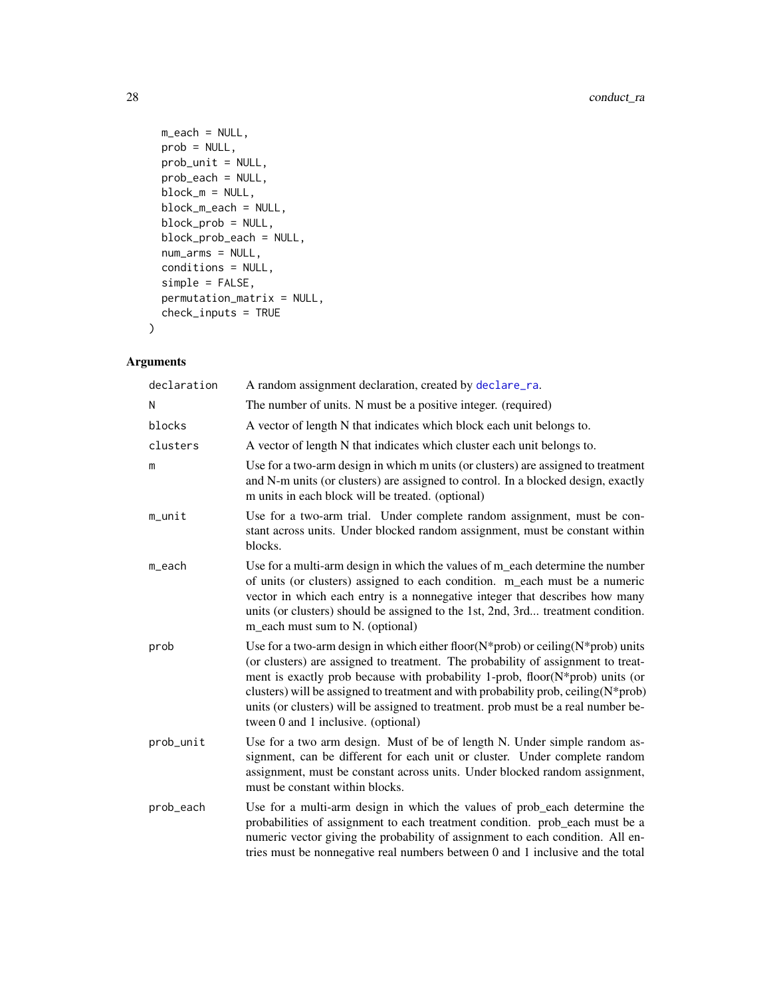```
m<sub>each</sub> = NULL,
prob = NULL,
prob_unit = NULL,
prob_each = NULL,
block_m = NULL,
block_m_each = NULL,
block_prob = NULL,
block_prob_each = NULL,
num_arms = NULL,
conditions = NULL,
simple = FALSE,
permutation_matrix = NULL,
check_inputs = TRUE
```
# Arguments

)

| declaration | A random assignment declaration, created by declare_ra.                                                                                                                                                                                                                                                                                                                                                                                                                            |
|-------------|------------------------------------------------------------------------------------------------------------------------------------------------------------------------------------------------------------------------------------------------------------------------------------------------------------------------------------------------------------------------------------------------------------------------------------------------------------------------------------|
| N           | The number of units. N must be a positive integer. (required)                                                                                                                                                                                                                                                                                                                                                                                                                      |
| blocks      | A vector of length N that indicates which block each unit belongs to.                                                                                                                                                                                                                                                                                                                                                                                                              |
| clusters    | A vector of length N that indicates which cluster each unit belongs to.                                                                                                                                                                                                                                                                                                                                                                                                            |
| m           | Use for a two-arm design in which m units (or clusters) are assigned to treatment<br>and N-m units (or clusters) are assigned to control. In a blocked design, exactly<br>m units in each block will be treated. (optional)                                                                                                                                                                                                                                                        |
| $m$ _unit   | Use for a two-arm trial. Under complete random assignment, must be con-<br>stant across units. Under blocked random assignment, must be constant within<br>blocks.                                                                                                                                                                                                                                                                                                                 |
| m_each      | Use for a multi-arm design in which the values of m_each determine the number<br>of units (or clusters) assigned to each condition. m_each must be a numeric<br>vector in which each entry is a nonnegative integer that describes how many<br>units (or clusters) should be assigned to the 1st, 2nd, 3rd treatment condition.<br>m_each must sum to N. (optional)                                                                                                                |
| prob        | Use for a two-arm design in which either floor( $N$ *prob) or ceiling( $N$ *prob) units<br>(or clusters) are assigned to treatment. The probability of assignment to treat-<br>ment is exactly prob because with probability 1-prob, floor(N*prob) units (or<br>clusters) will be assigned to treatment and with probability prob, ceiling $(N^*prob)$<br>units (or clusters) will be assigned to treatment. prob must be a real number be-<br>tween 0 and 1 inclusive. (optional) |
| prob_unit   | Use for a two arm design. Must of be of length N. Under simple random as-<br>signment, can be different for each unit or cluster. Under complete random<br>assignment, must be constant across units. Under blocked random assignment,<br>must be constant within blocks.                                                                                                                                                                                                          |
| prob_each   | Use for a multi-arm design in which the values of prob_each determine the<br>probabilities of assignment to each treatment condition. prob_each must be a<br>numeric vector giving the probability of assignment to each condition. All en-<br>tries must be nonnegative real numbers between 0 and 1 inclusive and the total                                                                                                                                                      |

<span id="page-27-0"></span>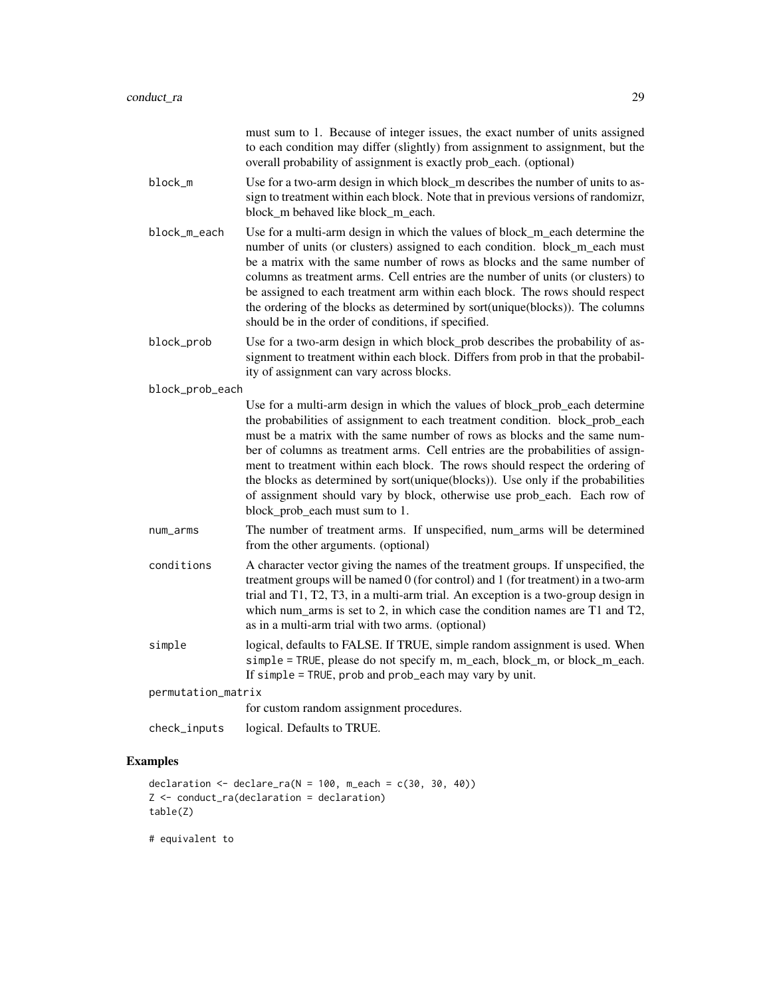|                    | must sum to 1. Because of integer issues, the exact number of units assigned<br>to each condition may differ (slightly) from assignment to assignment, but the<br>overall probability of assignment is exactly prob_each. (optional)                                                                                                                                                                                                                                                                                                                                                                         |  |
|--------------------|--------------------------------------------------------------------------------------------------------------------------------------------------------------------------------------------------------------------------------------------------------------------------------------------------------------------------------------------------------------------------------------------------------------------------------------------------------------------------------------------------------------------------------------------------------------------------------------------------------------|--|
| block_m            | Use for a two-arm design in which block_m describes the number of units to as-<br>sign to treatment within each block. Note that in previous versions of randomizr,<br>block_m behaved like block_m_each.                                                                                                                                                                                                                                                                                                                                                                                                    |  |
| block_m_each       | Use for a multi-arm design in which the values of block_m_each determine the<br>number of units (or clusters) assigned to each condition. block_m_each must<br>be a matrix with the same number of rows as blocks and the same number of<br>columns as treatment arms. Cell entries are the number of units (or clusters) to<br>be assigned to each treatment arm within each block. The rows should respect<br>the ordering of the blocks as determined by sort(unique(blocks)). The columns<br>should be in the order of conditions, if specified.                                                         |  |
| block_prob         | Use for a two-arm design in which block_prob describes the probability of as-<br>signment to treatment within each block. Differs from prob in that the probabil-<br>ity of assignment can vary across blocks.                                                                                                                                                                                                                                                                                                                                                                                               |  |
| block_prob_each    |                                                                                                                                                                                                                                                                                                                                                                                                                                                                                                                                                                                                              |  |
|                    | Use for a multi-arm design in which the values of block_prob_each determine<br>the probabilities of assignment to each treatment condition. block_prob_each<br>must be a matrix with the same number of rows as blocks and the same num-<br>ber of columns as treatment arms. Cell entries are the probabilities of assign-<br>ment to treatment within each block. The rows should respect the ordering of<br>the blocks as determined by sort(unique(blocks)). Use only if the probabilities<br>of assignment should vary by block, otherwise use prob_each. Each row of<br>block_prob_each must sum to 1. |  |
| num_arms           | The number of treatment arms. If unspecified, num_arms will be determined<br>from the other arguments. (optional)                                                                                                                                                                                                                                                                                                                                                                                                                                                                                            |  |
| conditions         | A character vector giving the names of the treatment groups. If unspecified, the<br>treatment groups will be named 0 (for control) and 1 (for treatment) in a two-arm<br>trial and T1, T2, T3, in a multi-arm trial. An exception is a two-group design in<br>which num_arms is set to 2, in which case the condition names are T1 and T2,<br>as in a multi-arm trial with two arms. (optional)                                                                                                                                                                                                              |  |
| simple             | logical, defaults to FALSE. If TRUE, simple random assignment is used. When<br>simple = TRUE, please do not specify m, m_each, block_m, or block_m_each.<br>If simple = TRUE, prob and prob_each may vary by unit.                                                                                                                                                                                                                                                                                                                                                                                           |  |
| permutation_matrix |                                                                                                                                                                                                                                                                                                                                                                                                                                                                                                                                                                                                              |  |
|                    | for custom random assignment procedures.                                                                                                                                                                                                                                                                                                                                                                                                                                                                                                                                                                     |  |
| check_inputs       | logical. Defaults to TRUE.                                                                                                                                                                                                                                                                                                                                                                                                                                                                                                                                                                                   |  |
|                    |                                                                                                                                                                                                                                                                                                                                                                                                                                                                                                                                                                                                              |  |

# Examples

```
declaration \leq declare_ra(N = 100, m_each = c(30, 30, 40))
Z <- conduct_ra(declaration = declaration)
table(Z)
```
# equivalent to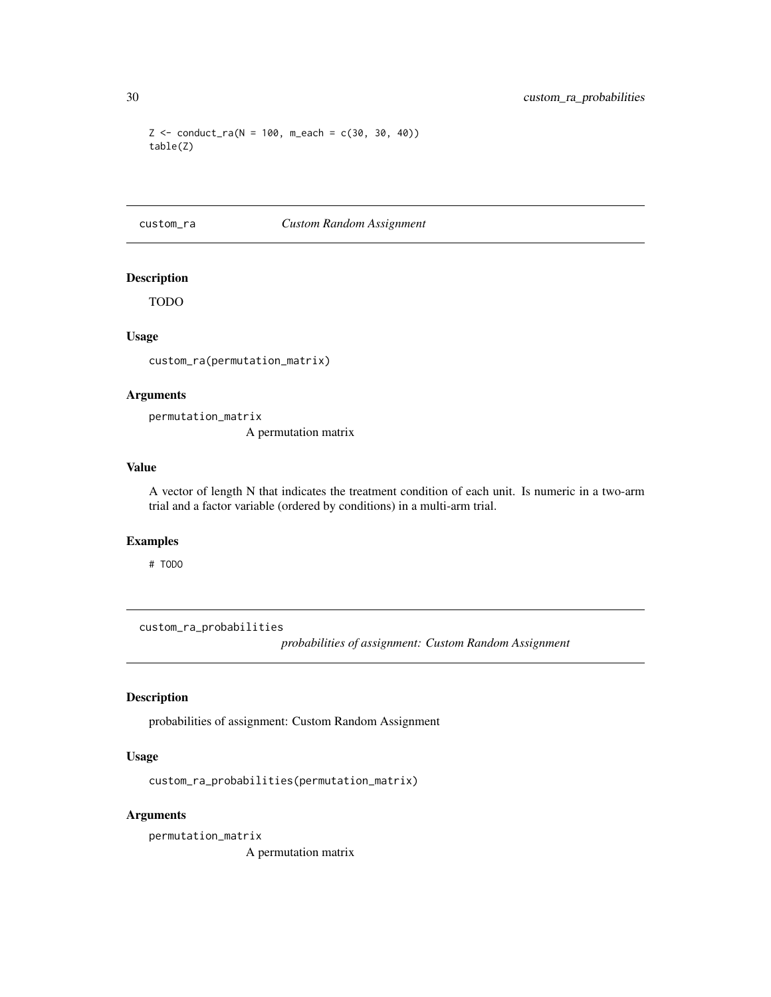```
Z \le conduct_ra(N = 100, m_each = c(30, 30, 40))
table(Z)
```
#### custom\_ra *Custom Random Assignment*

# Description

TODO

#### Usage

custom\_ra(permutation\_matrix)

#### Arguments

permutation\_matrix A permutation matrix

# Value

A vector of length N that indicates the treatment condition of each unit. Is numeric in a two-arm trial and a factor variable (ordered by conditions) in a multi-arm trial.

#### Examples

# TODO

custom\_ra\_probabilities

*probabilities of assignment: Custom Random Assignment*

# Description

probabilities of assignment: Custom Random Assignment

### Usage

```
custom_ra_probabilities(permutation_matrix)
```
#### Arguments

permutation\_matrix A permutation matrix

<span id="page-29-0"></span>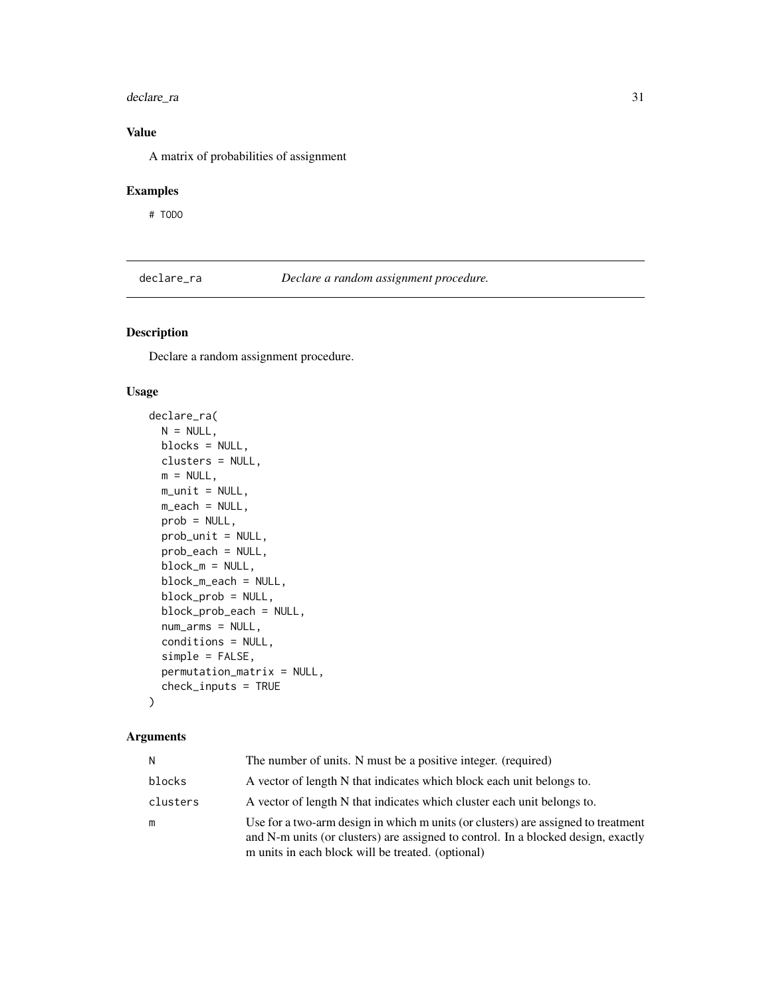### <span id="page-30-0"></span>declare\_ra 31

# Value

A matrix of probabilities of assignment

# Examples

# TODO

<span id="page-30-1"></span>declare\_ra *Declare a random assignment procedure.*

# Description

Declare a random assignment procedure.

#### Usage

```
declare_ra(
 N = NULL,blocks = NULL,
 clusters = NULL,
 m = NULL,m\_unit = NULL,m_each = NULL,
 prob = NULL,
 prob_unit = NULL,
 prob_each = NULL,
 block_m = NULL,
 block_m_each = NULL,
 block_prob = NULL,
  block_prob_each = NULL,
  num_arms = NULL,
  conditions = NULL,
  simple = FALSE,
  permutation_matrix = NULL,
  check_inputs = TRUE
\lambda
```

| N        | The number of units. N must be a positive integer. (required)                                                                                                                                                               |
|----------|-----------------------------------------------------------------------------------------------------------------------------------------------------------------------------------------------------------------------------|
| blocks   | A vector of length N that indicates which block each unit belongs to.                                                                                                                                                       |
| clusters | A vector of length N that indicates which cluster each unit belongs to.                                                                                                                                                     |
| m        | Use for a two-arm design in which m units (or clusters) are assigned to treatment<br>and N-m units (or clusters) are assigned to control. In a blocked design, exactly<br>m units in each block will be treated. (optional) |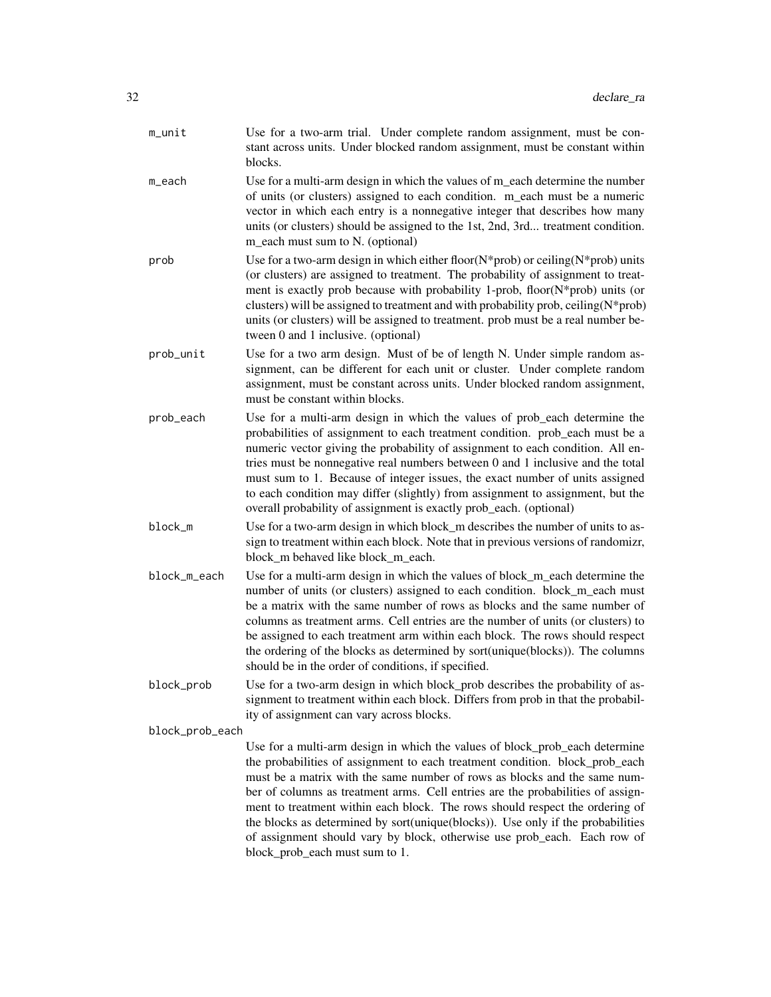- m\_unit Use for a two-arm trial. Under complete random assignment, must be constant across units. Under blocked random assignment, must be constant within blocks.
- m\_each Use for a multi-arm design in which the values of m\_each determine the number of units (or clusters) assigned to each condition. m\_each must be a numeric vector in which each entry is a nonnegative integer that describes how many units (or clusters) should be assigned to the 1st, 2nd, 3rd... treatment condition. m\_each must sum to N. (optional)
- prob Use for a two-arm design in which either floor( $N^*$ prob) or ceiling( $N^*$ prob) units (or clusters) are assigned to treatment. The probability of assignment to treatment is exactly prob because with probability 1-prob, floor(N\*prob) units (or clusters) will be assigned to treatment and with probability prob, ceiling( $N^*$ prob) units (or clusters) will be assigned to treatment. prob must be a real number between 0 and 1 inclusive. (optional)
- prob\_unit Use for a two arm design. Must of be of length N. Under simple random assignment, can be different for each unit or cluster. Under complete random assignment, must be constant across units. Under blocked random assignment, must be constant within blocks.
- prob\_each Use for a multi-arm design in which the values of prob\_each determine the probabilities of assignment to each treatment condition. prob\_each must be a numeric vector giving the probability of assignment to each condition. All entries must be nonnegative real numbers between 0 and 1 inclusive and the total must sum to 1. Because of integer issues, the exact number of units assigned to each condition may differ (slightly) from assignment to assignment, but the overall probability of assignment is exactly prob\_each. (optional)
- block\_m Use for a two-arm design in which block\_m describes the number of units to assign to treatment within each block. Note that in previous versions of randomizr, block m behaved like block m each.
- block\_m\_each Use for a multi-arm design in which the values of block\_m\_each determine the number of units (or clusters) assigned to each condition. block m each must be a matrix with the same number of rows as blocks and the same number of columns as treatment arms. Cell entries are the number of units (or clusters) to be assigned to each treatment arm within each block. The rows should respect the ordering of the blocks as determined by sort(unique(blocks)). The columns should be in the order of conditions, if specified.
- block\_prob Use for a two-arm design in which block\_prob describes the probability of assignment to treatment within each block. Differs from prob in that the probability of assignment can vary across blocks.

block\_prob\_each

Use for a multi-arm design in which the values of block\_prob\_each determine the probabilities of assignment to each treatment condition. block\_prob\_each must be a matrix with the same number of rows as blocks and the same number of columns as treatment arms. Cell entries are the probabilities of assignment to treatment within each block. The rows should respect the ordering of the blocks as determined by sort(unique(blocks)). Use only if the probabilities of assignment should vary by block, otherwise use prob\_each. Each row of block\_prob\_each must sum to 1.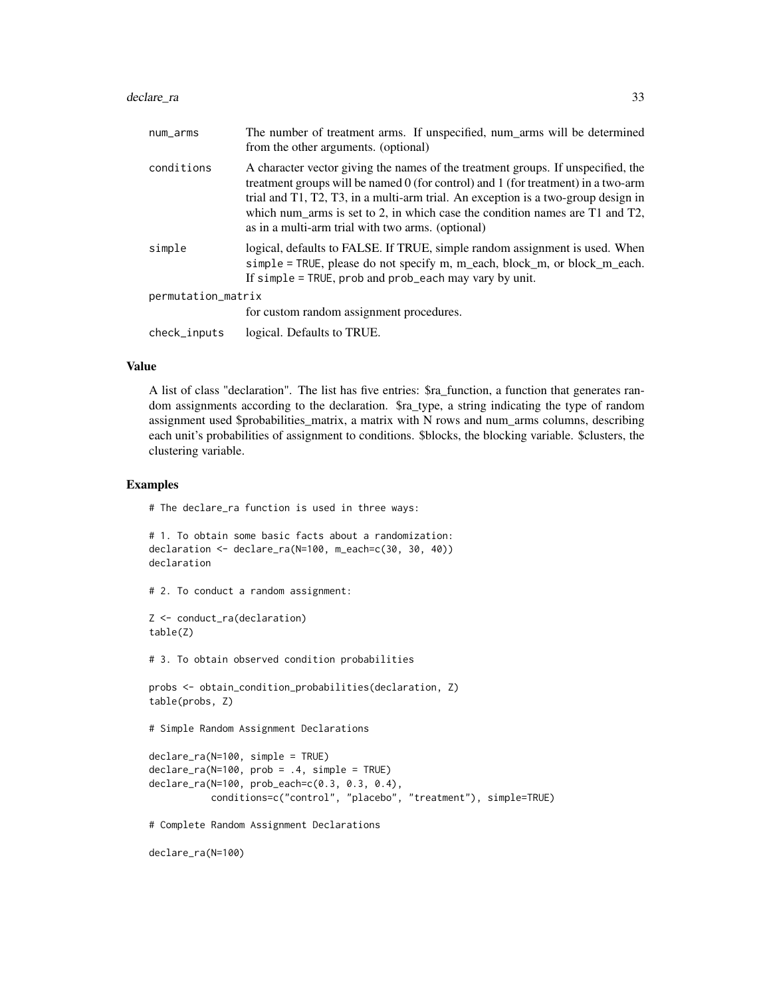#### declare\_ra 33

| num_arms           | The number of treatment arms. If unspecified, num_arms will be determined<br>from the other arguments. (optional)                                                                                                                                                                                                                                                                                      |
|--------------------|--------------------------------------------------------------------------------------------------------------------------------------------------------------------------------------------------------------------------------------------------------------------------------------------------------------------------------------------------------------------------------------------------------|
| conditions         | A character vector giving the names of the treatment groups. If unspecified, the<br>treatment groups will be named $0$ (for control) and 1 (for treatment) in a two-arm<br>trial and T1, T2, T3, in a multi-arm trial. An exception is a two-group design in<br>which num arms is set to 2, in which case the condition names are $T1$ and $T2$ ,<br>as in a multi-arm trial with two arms. (optional) |
| simple             | logical, defaults to FALSE. If TRUE, simple random assignment is used. When<br>simple = TRUE, please do not specify m, m_each, block_m, or block_m_each.<br>If simple = TRUE, prob and prob_each may vary by unit.                                                                                                                                                                                     |
| permutation_matrix |                                                                                                                                                                                                                                                                                                                                                                                                        |
|                    | for custom random assignment procedures.                                                                                                                                                                                                                                                                                                                                                               |
| check_inputs       | logical. Defaults to TRUE.                                                                                                                                                                                                                                                                                                                                                                             |
|                    |                                                                                                                                                                                                                                                                                                                                                                                                        |

#### Value

A list of class "declaration". The list has five entries: \$ra\_function, a function that generates random assignments according to the declaration. \$ra\_type, a string indicating the type of random assignment used \$probabilities\_matrix, a matrix with N rows and num\_arms columns, describing each unit's probabilities of assignment to conditions. \$blocks, the blocking variable. \$clusters, the clustering variable.

#### Examples

# The declare\_ra function is used in three ways:

```
# 1. To obtain some basic facts about a randomization:
declaration <- declare_ra(N=100, m_each=c(30, 30, 40))
declaration
```

```
# 2. To conduct a random assignment:
```

```
Z <- conduct_ra(declaration)
table(Z)
```
# 3. To obtain observed condition probabilities

```
probs <- obtain_condition_probabilities(declaration, Z)
table(probs, Z)
```
# Simple Random Assignment Declarations

```
declare_ra(N=100, simple = TRUE)
declare_ra(N=100, prob = .4, simple = TRUE)
declare_ra(N=100, prob_each=c(0.3, 0.3, 0.4),
           conditions=c("control", "placebo", "treatment"), simple=TRUE)
```
# Complete Random Assignment Declarations

```
declare_ra(N=100)
```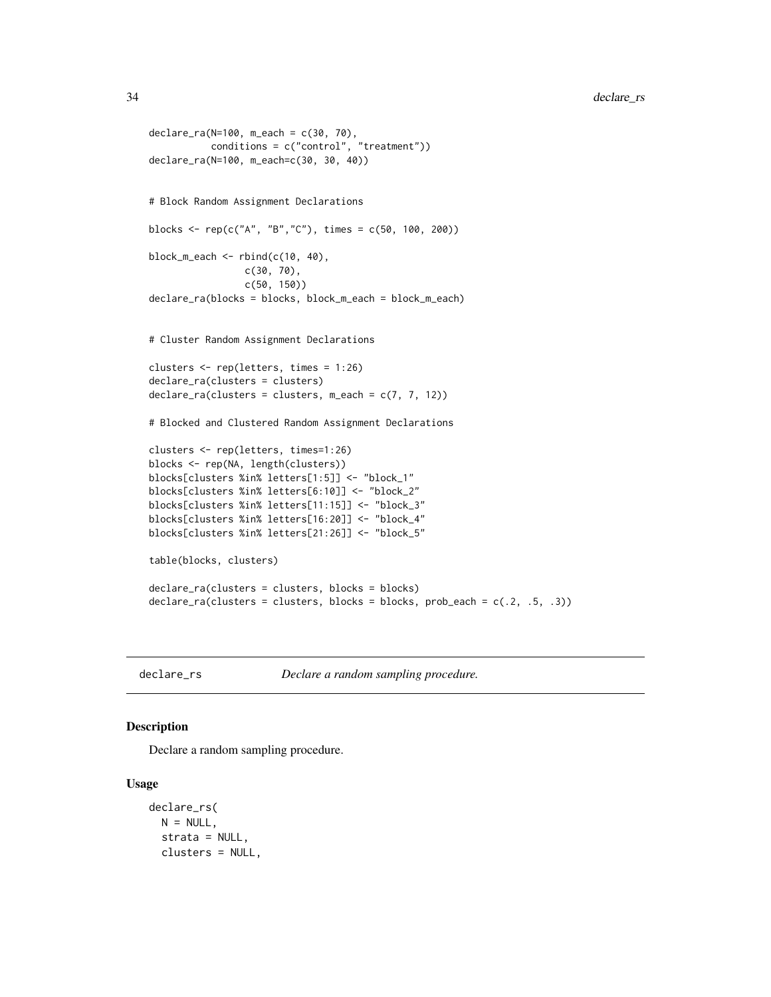```
declare_ra(N=100, m_each = c(30, 70),
           conditions = c("control", "treatment"))
declare_ra(N=100, m_each=c(30, 30, 40))
# Block Random Assignment Declarations
blocks <- rep(c("A", "B","C"), times = c(50, 100, 200))
block_m_each \leq rbind(c(10, 40),
                 c(30, 70),
                 c(50, 150))
declare_ra(blocks = blocks, block_m_each = block_m_each)
# Cluster Random Assignment Declarations
clusters <- rep(letters, times = 1:26)
declare_ra(clusters = clusters)
\text{declace}_\text{r} a(clusters = clusters, m_each = c(7, 7, 12))
# Blocked and Clustered Random Assignment Declarations
clusters <- rep(letters, times=1:26)
blocks <- rep(NA, length(clusters))
blocks[clusters %in% letters[1:5]] <- "block_1"
blocks[clusters %in% letters[6:10]] <- "block_2"
blocks[clusters %in% letters[11:15]] <- "block_3"
blocks[clusters %in% letters[16:20]] <- "block_4"
blocks[clusters %in% letters[21:26]] <- "block_5"
table(blocks, clusters)
declare_ra(clusters = clusters, blocks = blocks)
\text{dec}a\text{c}lusters = clusters, blocks = blocks, prob_each = c(.2, .5, .3))
```
<span id="page-33-1"></span>

declare\_rs *Declare a random sampling procedure.*

### Description

Declare a random sampling procedure.

```
declare_rs(
 N = NULL,strata = NULL,
 clusters = NULL,
```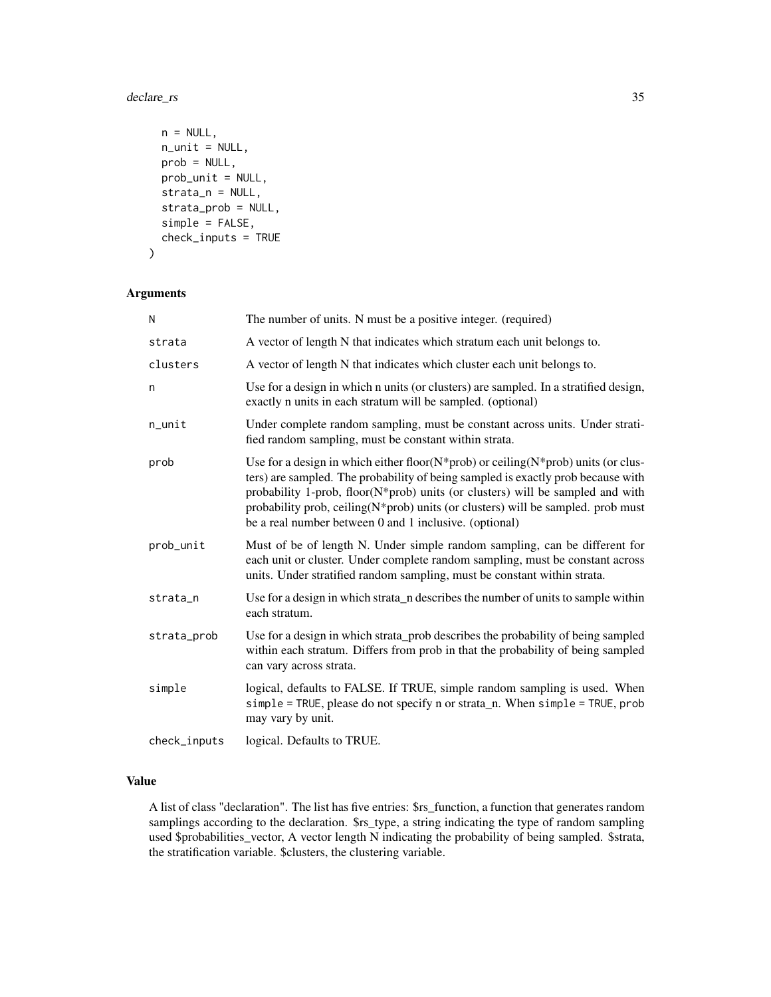### declare\_rs 35

```
n = NULL,n_unit = NULL,
 prob = NULL,
 prob_unit = NULL,
 strata_n = NULL,
  strata_prob = NULL,
 simple = FALSE,
 check_inputs = TRUE
)
```
#### Arguments

| N            | The number of units. N must be a positive integer. (required)                                                                                                                                                                                                                                                                                                                                                 |
|--------------|---------------------------------------------------------------------------------------------------------------------------------------------------------------------------------------------------------------------------------------------------------------------------------------------------------------------------------------------------------------------------------------------------------------|
| strata       | A vector of length N that indicates which stratum each unit belongs to.                                                                                                                                                                                                                                                                                                                                       |
| clusters     | A vector of length N that indicates which cluster each unit belongs to.                                                                                                                                                                                                                                                                                                                                       |
| n            | Use for a design in which n units (or clusters) are sampled. In a stratified design,<br>exactly n units in each stratum will be sampled. (optional)                                                                                                                                                                                                                                                           |
| $n$ _unit    | Under complete random sampling, must be constant across units. Under strati-<br>fied random sampling, must be constant within strata.                                                                                                                                                                                                                                                                         |
| prob         | Use for a design in which either floor( $N$ *prob) or ceiling( $N$ *prob) units (or clus-<br>ters) are sampled. The probability of being sampled is exactly prob because with<br>probability 1-prob, floor(N*prob) units (or clusters) will be sampled and with<br>probability prob, ceiling(N*prob) units (or clusters) will be sampled. prob must<br>be a real number between 0 and 1 inclusive. (optional) |
| prob_unit    | Must of be of length N. Under simple random sampling, can be different for<br>each unit or cluster. Under complete random sampling, must be constant across<br>units. Under stratified random sampling, must be constant within strata.                                                                                                                                                                       |
| strata_n     | Use for a design in which strata_n describes the number of units to sample within<br>each stratum.                                                                                                                                                                                                                                                                                                            |
| strata_prob  | Use for a design in which strata_prob describes the probability of being sampled<br>within each stratum. Differs from prob in that the probability of being sampled<br>can vary across strata.                                                                                                                                                                                                                |
| simple       | logical, defaults to FALSE. If TRUE, simple random sampling is used. When<br>simple = TRUE, please do not specify n or strata_n. When simple = TRUE, prob<br>may vary by unit.                                                                                                                                                                                                                                |
| check_inputs | logical. Defaults to TRUE.                                                                                                                                                                                                                                                                                                                                                                                    |

#### Value

A list of class "declaration". The list has five entries: \$rs\_function, a function that generates random samplings according to the declaration. \$rs\_type, a string indicating the type of random sampling used \$probabilities\_vector, A vector length N indicating the probability of being sampled. \$strata, the stratification variable. \$clusters, the clustering variable.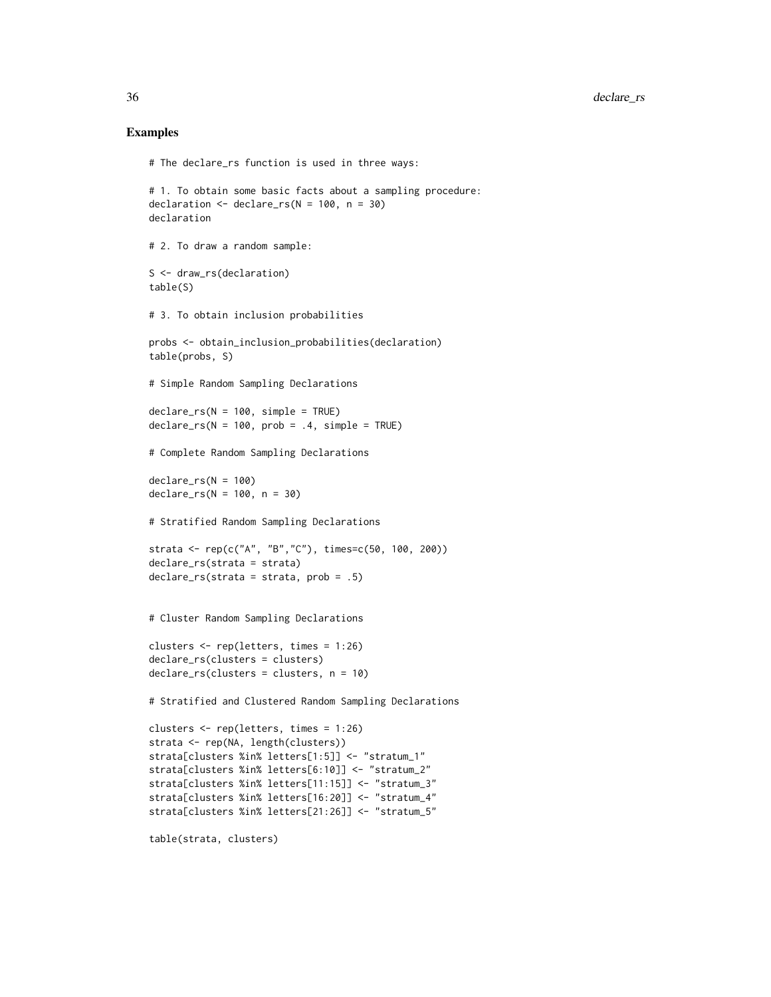#### Examples

```
# The declare_rs function is used in three ways:
# 1. To obtain some basic facts about a sampling procedure:
declaration \leq declare_rs(N = 100, n = 30)
declaration
# 2. To draw a random sample:
S <- draw_rs(declaration)
table(S)
# 3. To obtain inclusion probabilities
probs <- obtain_inclusion_probabilities(declaration)
table(probs, S)
# Simple Random Sampling Declarations
declare_r s(N = 100, simple = TRUE)\text{dec}lare_rs(N = 100, prob = .4, simple = TRUE)
# Complete Random Sampling Declarations
declare_rs(N = 100)
\text{declare}_{rs(N = 100, n = 30)}# Stratified Random Sampling Declarations
strata <- rep(c("A", "B","C"), times=c(50, 100, 200))
declare_rs(strata = strata)
declare_rs(strata = strata, prob = .5)
# Cluster Random Sampling Declarations
clusters <- rep(letters, times = 1:26)
declare_rs(clusters = clusters)
declare_rs(clusters = clusters, n = 10)
# Stratified and Clustered Random Sampling Declarations
clusters <- rep(letters, times = 1:26)
strata <- rep(NA, length(clusters))
strata[clusters %in% letters[1:5]] <- "stratum_1"
strata[clusters %in% letters[6:10]] <- "stratum_2"
strata[clusters %in% letters[11:15]] <- "stratum_3"
strata[clusters %in% letters[16:20]] <- "stratum_4"
strata[clusters %in% letters[21:26]] <- "stratum_5"
```
table(strata, clusters)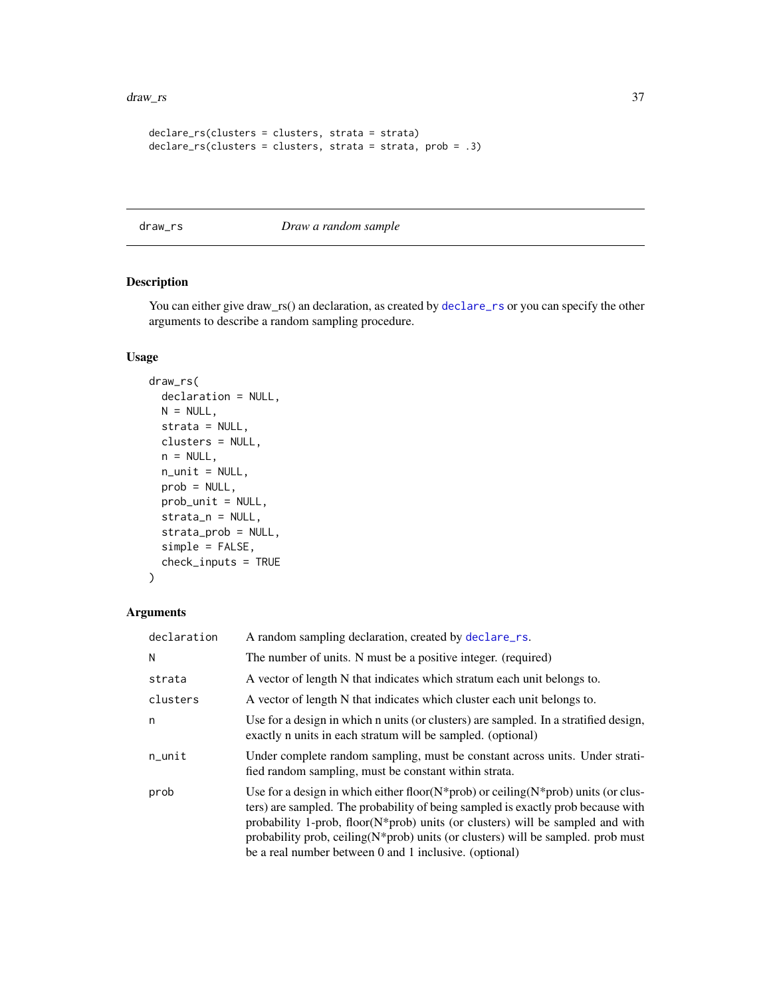#### <span id="page-36-0"></span>draw\_rs 37

```
declare_rs(clusters = clusters, strata = strata)
declare_rs(clusters = clusters, strata = strata, prob = .3)
```
draw\_rs *Draw a random sample*

# Description

You can either give draw\_rs() an declaration, as created by [declare\\_rs](#page-33-1) or you can specify the other arguments to describe a random sampling procedure.

#### Usage

```
draw_rs(
 declaration = NULL,
 N = NULL,strata = NULL,
 clusters = NULL,
 n = NULL,n_unit = NULL,
 prob = NULL,
 prob_unit = NULL,
  strata_n = NULL,
  strata_prob = NULL,
  simple = FALSE,
  check_inputs = TRUE
\lambda
```

| declaration | A random sampling declaration, created by declare_rs.                                                                                                                                                                                                                                                                                                                                                                     |
|-------------|---------------------------------------------------------------------------------------------------------------------------------------------------------------------------------------------------------------------------------------------------------------------------------------------------------------------------------------------------------------------------------------------------------------------------|
| N           | The number of units. N must be a positive integer. (required)                                                                                                                                                                                                                                                                                                                                                             |
| strata      | A vector of length N that indicates which stratum each unit belongs to.                                                                                                                                                                                                                                                                                                                                                   |
| clusters    | A vector of length N that indicates which cluster each unit belongs to.                                                                                                                                                                                                                                                                                                                                                   |
| n           | Use for a design in which n units (or clusters) are sampled. In a stratified design,<br>exactly n units in each stratum will be sampled. (optional)                                                                                                                                                                                                                                                                       |
| $n$ _unit   | Under complete random sampling, must be constant across units. Under strati-<br>fied random sampling, must be constant within strata.                                                                                                                                                                                                                                                                                     |
| prob        | Use for a design in which either floor( $N^*$ prob) or ceiling( $N^*$ prob) units (or clus-<br>ters) are sampled. The probability of being sampled is exactly prob because with<br>probability 1-prob, floor( $N^*$ prob) units (or clusters) will be sampled and with<br>probability prob, ceiling $(N^*$ prob) units (or clusters) will be sampled. prob must<br>be a real number between 0 and 1 inclusive. (optional) |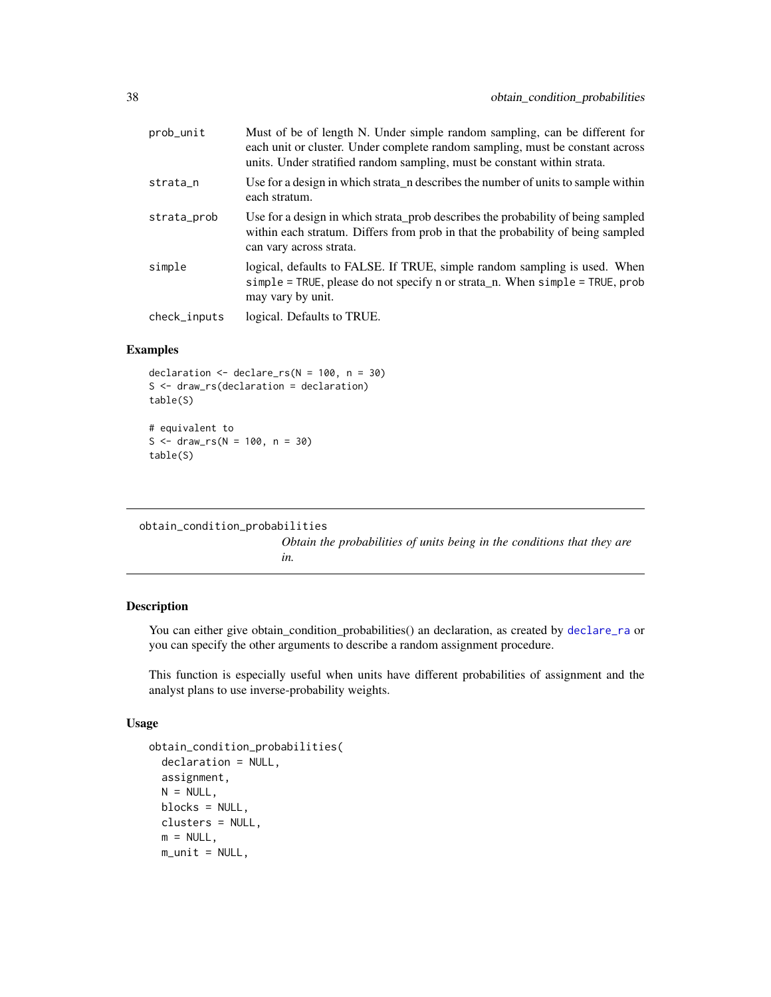<span id="page-37-0"></span>

| prob_unit    | Must of be of length N. Under simple random sampling, can be different for<br>each unit or cluster. Under complete random sampling, must be constant across<br>units. Under stratified random sampling, must be constant within strata. |
|--------------|-----------------------------------------------------------------------------------------------------------------------------------------------------------------------------------------------------------------------------------------|
| strata_n     | Use for a design in which strata n describes the number of units to sample within<br>each stratum.                                                                                                                                      |
| strata_prob  | Use for a design in which strata_prob describes the probability of being sampled<br>within each stratum. Differs from prob in that the probability of being sampled<br>can vary across strata.                                          |
| simple       | logical, defaults to FALSE. If TRUE, simple random sampling is used. When<br>simple = TRUE, please do not specify n or strata_n. When simple = TRUE, prob<br>may vary by unit.                                                          |
| check_inputs | logical. Defaults to TRUE.                                                                                                                                                                                                              |

#### Examples

```
declaration <- declare_rs(N = 100, n = 30)
S <- draw_rs(declaration = declaration)
table(S)
# equivalent to
S \leq - \text{draw} \, \text{rs}(N = 100, n = 30)table(S)
```

```
obtain_condition_probabilities
```
*Obtain the probabilities of units being in the conditions that they are in.*

#### Description

You can either give obtain\_condition\_probabilities() an declaration, as created by [declare\\_ra](#page-30-1) or you can specify the other arguments to describe a random assignment procedure.

This function is especially useful when units have different probabilities of assignment and the analyst plans to use inverse-probability weights.

```
obtain_condition_probabilities(
 declaration = NULL,
 assignment,
 N = NULL,blocks = NULL,
 clusters = NULL,
 m = NULL,m\_unit = NULL,
```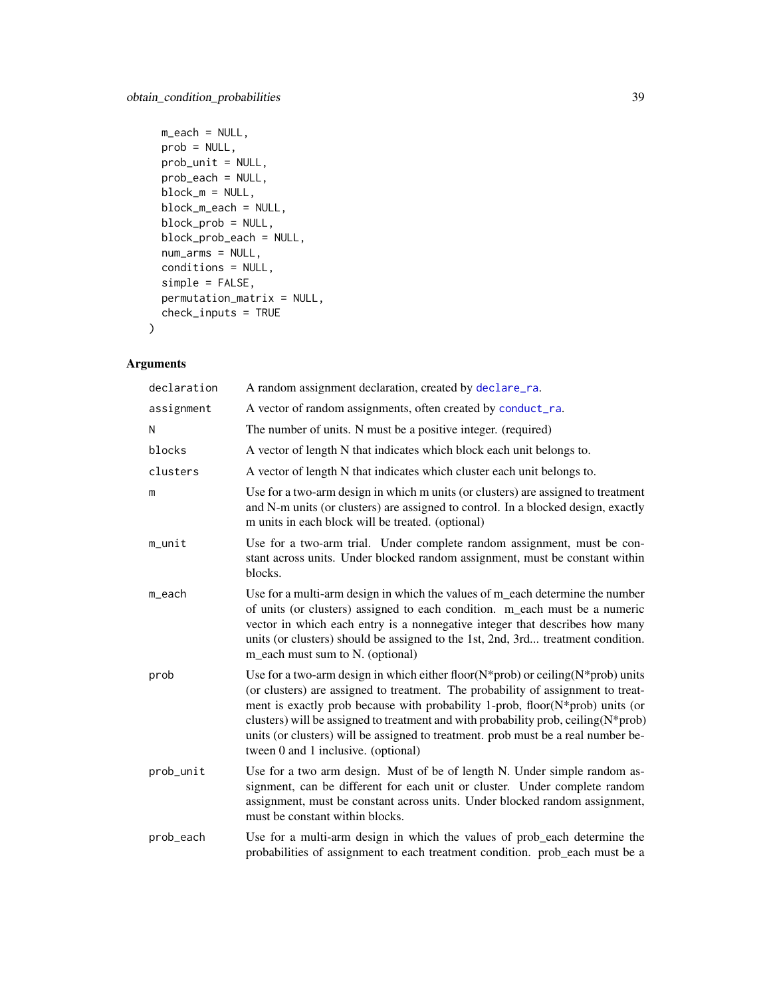```
m_each = NULL,
prob = NULL,
prob\_unit = NULL,prob_each = NULL,
block_m = NULL,block_m_each = NULL,
block_prob = NULL,
block_prob_each = NULL,
num_arms = NULL,
conditions = NULL,
simple = FALSE,
permutation_matrix = NULL,
check_inputs = TRUE
```
# Arguments

)

| declaration | A random assignment declaration, created by declare_ra.                                                                                                                                                                                                                                                                                                                                                                                                                        |
|-------------|--------------------------------------------------------------------------------------------------------------------------------------------------------------------------------------------------------------------------------------------------------------------------------------------------------------------------------------------------------------------------------------------------------------------------------------------------------------------------------|
| assignment  | A vector of random assignments, often created by conduct_ra.                                                                                                                                                                                                                                                                                                                                                                                                                   |
| N           | The number of units. N must be a positive integer. (required)                                                                                                                                                                                                                                                                                                                                                                                                                  |
| blocks      | A vector of length N that indicates which block each unit belongs to.                                                                                                                                                                                                                                                                                                                                                                                                          |
| clusters    | A vector of length N that indicates which cluster each unit belongs to.                                                                                                                                                                                                                                                                                                                                                                                                        |
| m           | Use for a two-arm design in which m units (or clusters) are assigned to treatment<br>and N-m units (or clusters) are assigned to control. In a blocked design, exactly<br>m units in each block will be treated. (optional)                                                                                                                                                                                                                                                    |
| m_unit      | Use for a two-arm trial. Under complete random assignment, must be con-<br>stant across units. Under blocked random assignment, must be constant within<br>blocks.                                                                                                                                                                                                                                                                                                             |
| m_each      | Use for a multi-arm design in which the values of m_each determine the number<br>of units (or clusters) assigned to each condition. m_each must be a numeric<br>vector in which each entry is a nonnegative integer that describes how many<br>units (or clusters) should be assigned to the 1st, 2nd, 3rd treatment condition.<br>m_each must sum to N. (optional)                                                                                                            |
| prob        | Use for a two-arm design in which either floor( $N$ *prob) or ceiling( $N$ *prob) units<br>(or clusters) are assigned to treatment. The probability of assignment to treat-<br>ment is exactly prob because with probability 1-prob, floor(N*prob) units (or<br>clusters) will be assigned to treatment and with probability prob, ceiling(N*prob)<br>units (or clusters) will be assigned to treatment. prob must be a real number be-<br>tween 0 and 1 inclusive. (optional) |
| prob_unit   | Use for a two arm design. Must of be of length N. Under simple random as-<br>signment, can be different for each unit or cluster. Under complete random<br>assignment, must be constant across units. Under blocked random assignment,<br>must be constant within blocks.                                                                                                                                                                                                      |
| prob_each   | Use for a multi-arm design in which the values of prob_each determine the<br>probabilities of assignment to each treatment condition. prob_each must be a                                                                                                                                                                                                                                                                                                                      |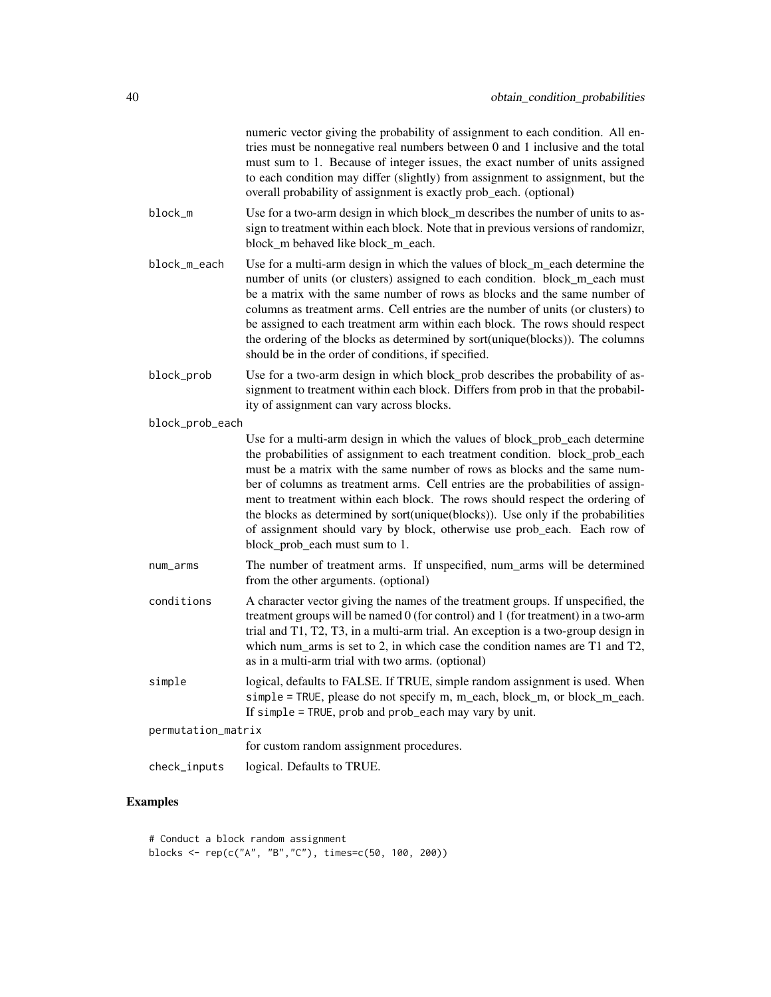|                    | numeric vector giving the probability of assignment to each condition. All en-<br>tries must be nonnegative real numbers between 0 and 1 inclusive and the total<br>must sum to 1. Because of integer issues, the exact number of units assigned<br>to each condition may differ (slightly) from assignment to assignment, but the<br>overall probability of assignment is exactly prob_each. (optional)                                                                                                                                                                                                     |
|--------------------|--------------------------------------------------------------------------------------------------------------------------------------------------------------------------------------------------------------------------------------------------------------------------------------------------------------------------------------------------------------------------------------------------------------------------------------------------------------------------------------------------------------------------------------------------------------------------------------------------------------|
| block_m            | Use for a two-arm design in which block_m describes the number of units to as-<br>sign to treatment within each block. Note that in previous versions of randomizr,<br>block_m behaved like block_m_each.                                                                                                                                                                                                                                                                                                                                                                                                    |
| block_m_each       | Use for a multi-arm design in which the values of block_m_each determine the<br>number of units (or clusters) assigned to each condition. block_m_each must<br>be a matrix with the same number of rows as blocks and the same number of<br>columns as treatment arms. Cell entries are the number of units (or clusters) to<br>be assigned to each treatment arm within each block. The rows should respect<br>the ordering of the blocks as determined by sort(unique(blocks)). The columns<br>should be in the order of conditions, if specified.                                                         |
| block_prob         | Use for a two-arm design in which block_prob describes the probability of as-<br>signment to treatment within each block. Differs from prob in that the probabil-<br>ity of assignment can vary across blocks.                                                                                                                                                                                                                                                                                                                                                                                               |
| block_prob_each    |                                                                                                                                                                                                                                                                                                                                                                                                                                                                                                                                                                                                              |
|                    | Use for a multi-arm design in which the values of block_prob_each determine<br>the probabilities of assignment to each treatment condition. block_prob_each<br>must be a matrix with the same number of rows as blocks and the same num-<br>ber of columns as treatment arms. Cell entries are the probabilities of assign-<br>ment to treatment within each block. The rows should respect the ordering of<br>the blocks as determined by sort(unique(blocks)). Use only if the probabilities<br>of assignment should vary by block, otherwise use prob_each. Each row of<br>block_prob_each must sum to 1. |
| num_arms           | The number of treatment arms. If unspecified, num_arms will be determined<br>from the other arguments. (optional)                                                                                                                                                                                                                                                                                                                                                                                                                                                                                            |
| conditions         | A character vector giving the names of the treatment groups. If unspecified, the<br>treatment groups will be named 0 (for control) and 1 (for treatment) in a two-arm<br>trial and T1, T2, T3, in a multi-arm trial. An exception is a two-group design in<br>which num_arms is set to 2, in which case the condition names are T1 and T2,<br>as in a multi-arm trial with two arms. (optional)                                                                                                                                                                                                              |
| simple             | logical, defaults to FALSE. If TRUE, simple random assignment is used. When<br>simple = TRUE, please do not specify m, m_each, block_m, or block_m_each.<br>If simple = TRUE, prob and prob_each may vary by unit.                                                                                                                                                                                                                                                                                                                                                                                           |
| permutation_matrix |                                                                                                                                                                                                                                                                                                                                                                                                                                                                                                                                                                                                              |
|                    | for custom random assignment procedures.                                                                                                                                                                                                                                                                                                                                                                                                                                                                                                                                                                     |
| check_inputs       | logical. Defaults to TRUE.                                                                                                                                                                                                                                                                                                                                                                                                                                                                                                                                                                                   |

# Examples

# Conduct a block random assignment blocks <- rep(c("A", "B","C"), times=c(50, 100, 200))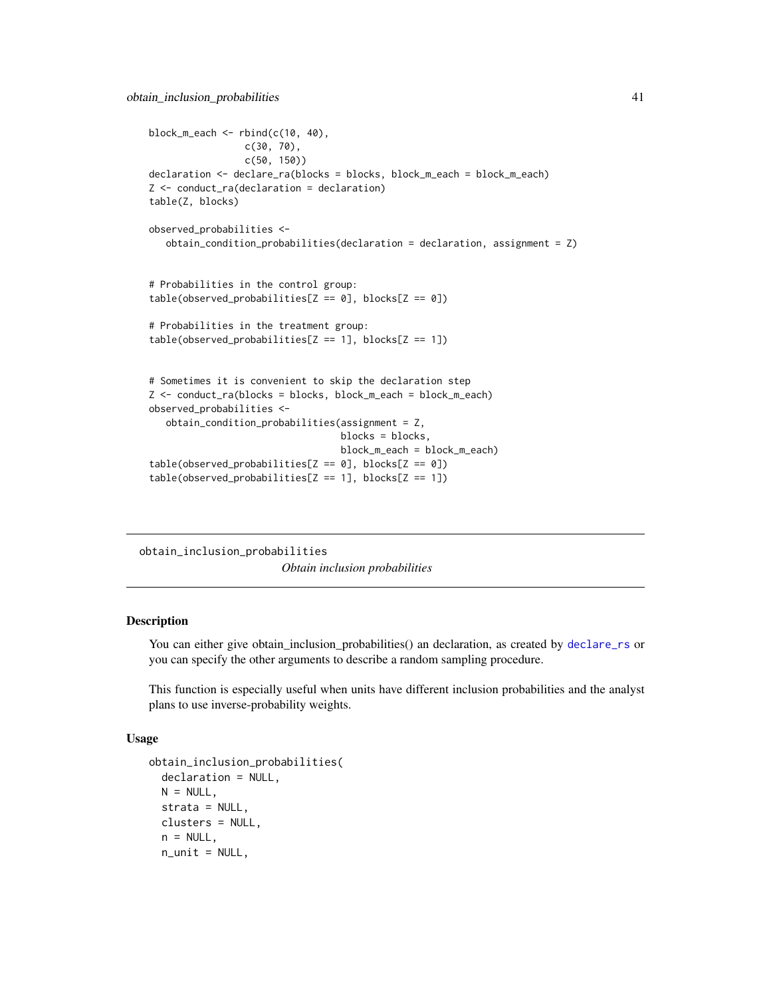```
block_m_each \leftarrow rbind(c(10, 40),c(30, 70),
                 c(50, 150))
declaration <- declare_ra(blocks = blocks, block_m_each = block_m_each)
Z <- conduct_ra(declaration = declaration)
table(Z, blocks)
observed_probabilities <-
  obtain_condition_probabilities(declaration = declaration, assignment = Z)
# Probabilities in the control group:
table(observed_probabilities[Z == 0], blocks[Z == 0])# Probabilities in the treatment group:
table(observed_probabilities[Z == 1], blocks[Z == 1])# Sometimes it is convenient to skip the declaration step
Z <- conduct_ra(blocks = blocks, block_m_each = block_m_each)
observed_probabilities <-
   obtain_condition_probabilities(assignment = Z,
                                  blocks = blocks,
                                  block_m_each = block_m_each)
table(observed_probability = 0], blocks[Z == 0])table(observed_probabilities[Z == 1], blocks[Z == 1])
```
obtain\_inclusion\_probabilities *Obtain inclusion probabilities*

#### Description

You can either give obtain\_inclusion\_probabilities() an declaration, as created by [declare\\_rs](#page-33-1) or you can specify the other arguments to describe a random sampling procedure.

This function is especially useful when units have different inclusion probabilities and the analyst plans to use inverse-probability weights.

```
obtain_inclusion_probabilities(
  declaration = NULL,
 N = NULL,
  strata = NULL,
 clusters = NULL,
  n = NULL,n_unit = NULL,
```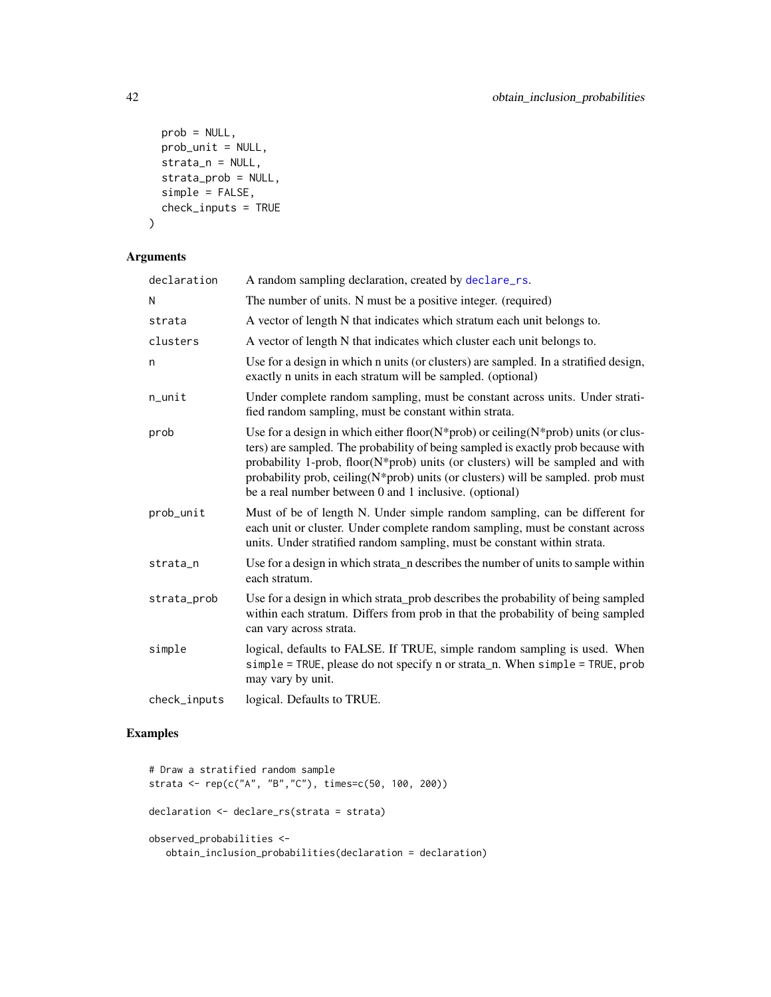```
prob = NULL,
 prob_unit = NULL,
 strata_n = NULL,
 strata_prob = NULL,
 simple = FALSE,
 check_inputs = TRUE
)
```
# Arguments

| declaration  | A random sampling declaration, created by declare_rs.                                                                                                                                                                                                                                                                                                                                                         |
|--------------|---------------------------------------------------------------------------------------------------------------------------------------------------------------------------------------------------------------------------------------------------------------------------------------------------------------------------------------------------------------------------------------------------------------|
| N            | The number of units. N must be a positive integer. (required)                                                                                                                                                                                                                                                                                                                                                 |
| strata       | A vector of length N that indicates which stratum each unit belongs to.                                                                                                                                                                                                                                                                                                                                       |
| clusters     | A vector of length N that indicates which cluster each unit belongs to.                                                                                                                                                                                                                                                                                                                                       |
| n            | Use for a design in which n units (or clusters) are sampled. In a stratified design,<br>exactly n units in each stratum will be sampled. (optional)                                                                                                                                                                                                                                                           |
| n_unit       | Under complete random sampling, must be constant across units. Under strati-<br>fied random sampling, must be constant within strata.                                                                                                                                                                                                                                                                         |
| prob         | Use for a design in which either floor( $N$ *prob) or ceiling( $N$ *prob) units (or clus-<br>ters) are sampled. The probability of being sampled is exactly prob because with<br>probability 1-prob, floor(N*prob) units (or clusters) will be sampled and with<br>probability prob, ceiling(N*prob) units (or clusters) will be sampled. prob must<br>be a real number between 0 and 1 inclusive. (optional) |
| prob_unit    | Must of be of length N. Under simple random sampling, can be different for<br>each unit or cluster. Under complete random sampling, must be constant across<br>units. Under stratified random sampling, must be constant within strata.                                                                                                                                                                       |
| strata_n     | Use for a design in which strata_n describes the number of units to sample within<br>each stratum.                                                                                                                                                                                                                                                                                                            |
| strata_prob  | Use for a design in which strata_prob describes the probability of being sampled<br>within each stratum. Differs from prob in that the probability of being sampled<br>can vary across strata.                                                                                                                                                                                                                |
| simple       | logical, defaults to FALSE. If TRUE, simple random sampling is used. When<br>simple = TRUE, please do not specify n or strata_n. When simple = TRUE, prob<br>may vary by unit.                                                                                                                                                                                                                                |
| check_inputs | logical. Defaults to TRUE.                                                                                                                                                                                                                                                                                                                                                                                    |

### Examples

```
# Draw a stratified random sample
strata <- rep(c("A", "B","C"), times=c(50, 100, 200))
declaration <- declare_rs(strata = strata)
observed_probabilities <-
  obtain_inclusion_probabilities(declaration = declaration)
```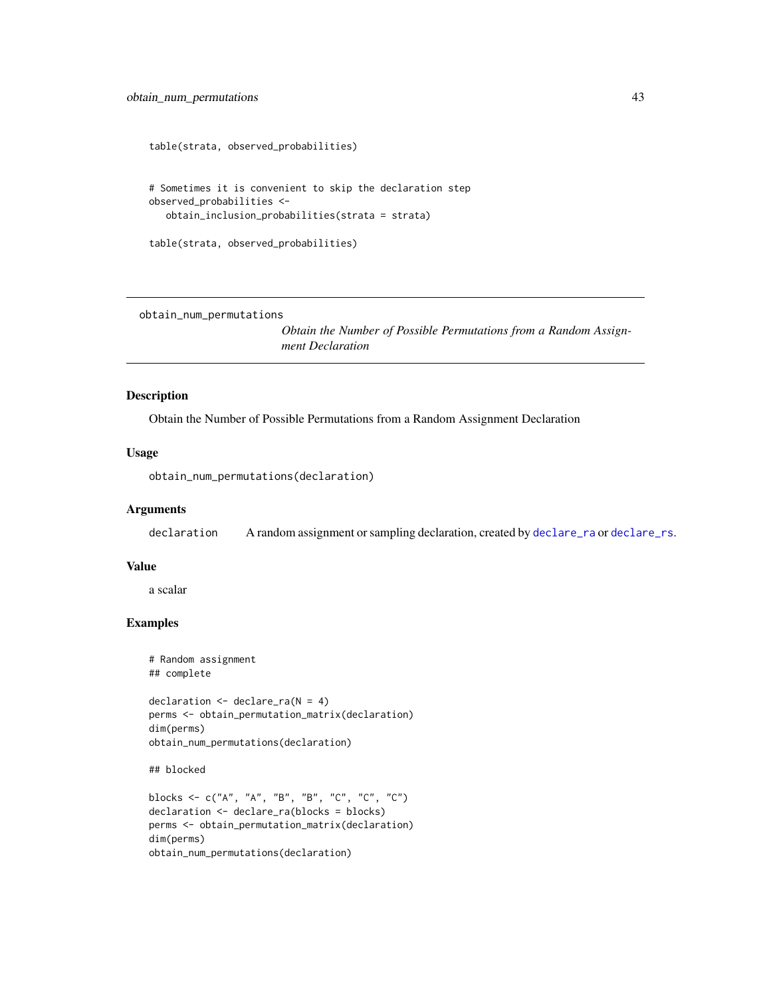```
table(strata, observed_probabilities)
# Sometimes it is convenient to skip the declaration step
observed_probabilities <-
  obtain_inclusion_probabilities(strata = strata)
table(strata, observed_probabilities)
```
obtain\_num\_permutations

*Obtain the Number of Possible Permutations from a Random Assignment Declaration*

#### Description

Obtain the Number of Possible Permutations from a Random Assignment Declaration

#### Usage

```
obtain_num_permutations(declaration)
```
#### Arguments

declaration A random assignment or sampling declaration, created by [declare\\_ra](#page-30-1) or [declare\\_rs](#page-33-1).

#### Value

a scalar

# Examples

```
# Random assignment
## complete
declaration \leq declare_ra(N = 4)
perms <- obtain_permutation_matrix(declaration)
dim(perms)
obtain_num_permutations(declaration)
```
## blocked

```
blocks <- c("A", "A", "B", "B", "C", "C", "C")
declaration <- declare_ra(blocks = blocks)
perms <- obtain_permutation_matrix(declaration)
dim(perms)
obtain_num_permutations(declaration)
```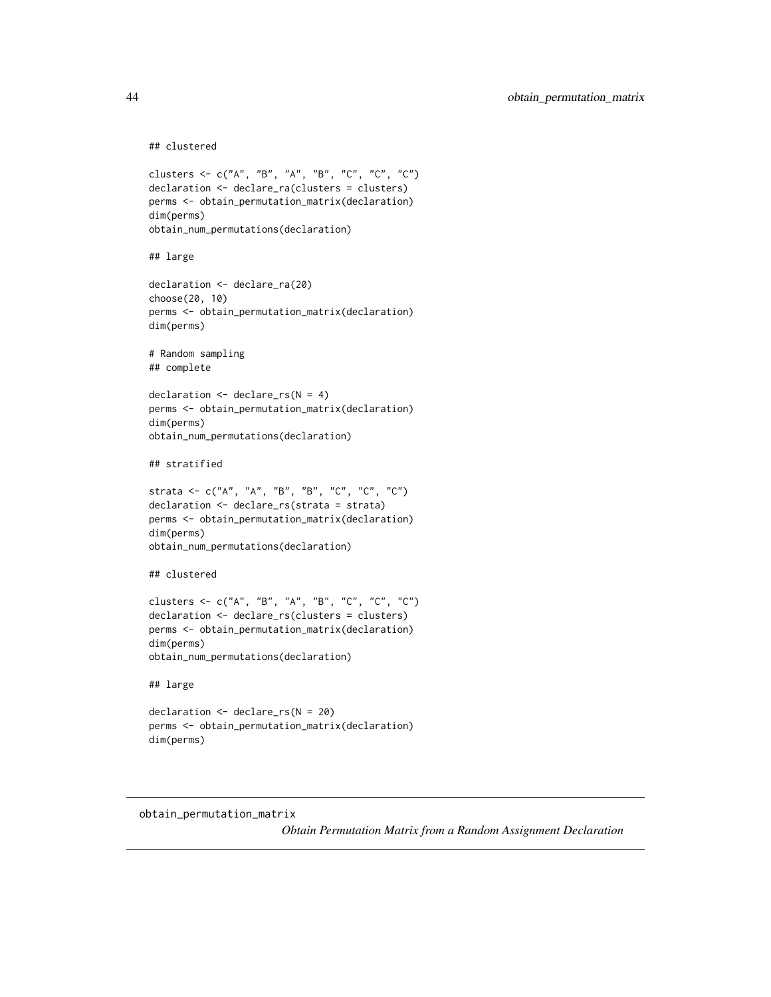#### ## clustered

```
clusters <- c("A", "B", "A", "B", "C", "C", "C")
declaration <- declare_ra(clusters = clusters)
perms <- obtain_permutation_matrix(declaration)
dim(perms)
obtain_num_permutations(declaration)
## large
declaration <- declare_ra(20)
choose(20, 10)
perms <- obtain_permutation_matrix(declaration)
dim(perms)
# Random sampling
## complete
declaration <- declare_rs(N = 4)
perms <- obtain_permutation_matrix(declaration)
dim(perms)
obtain_num_permutations(declaration)
## stratified
strata <- c("A", "A", "B", "B", "C", "C", "C")
declaration <- declare_rs(strata = strata)
perms <- obtain_permutation_matrix(declaration)
dim(perms)
obtain_num_permutations(declaration)
## clustered
clusters <- c("A", "B", "A", "B", "C", "C", "C")
declaration <- declare_rs(clusters = clusters)
perms <- obtain_permutation_matrix(declaration)
dim(perms)
obtain_num_permutations(declaration)
## large
declaration <- declare_rs(N = 20)
perms <- obtain_permutation_matrix(declaration)
```
obtain\_permutation\_matrix

dim(perms)

*Obtain Permutation Matrix from a Random Assignment Declaration*

<span id="page-43-0"></span>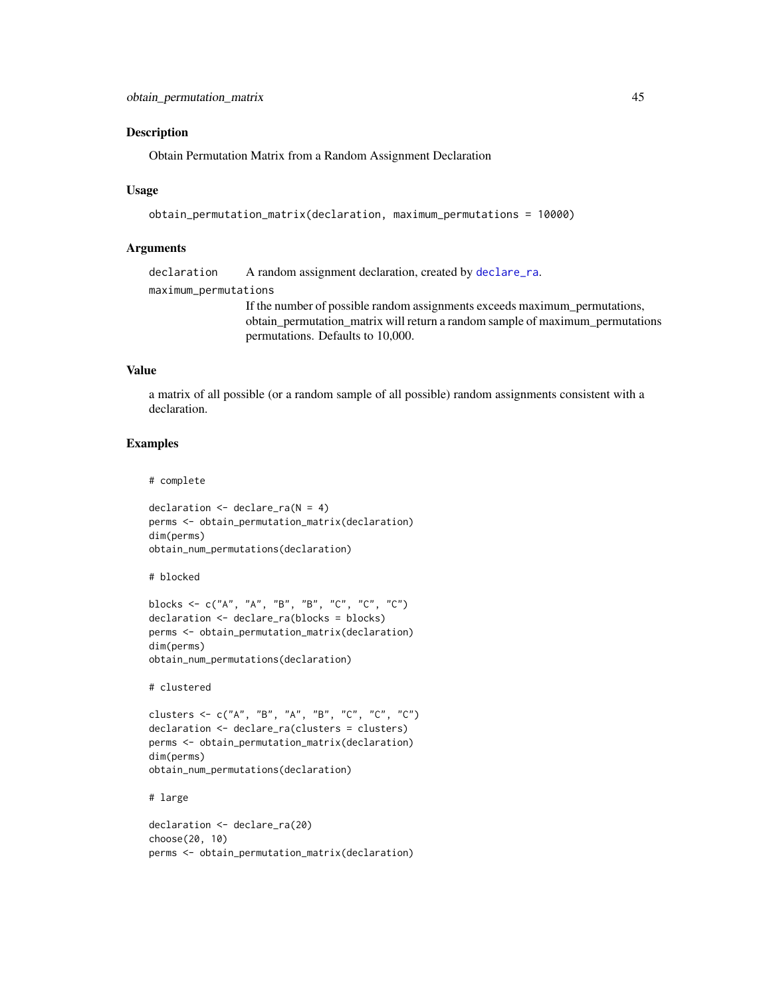#### <span id="page-44-0"></span>Description

Obtain Permutation Matrix from a Random Assignment Declaration

#### Usage

```
obtain_permutation_matrix(declaration, maximum_permutations = 10000)
```
#### Arguments

declaration A random assignment declaration, created by [declare\\_ra](#page-30-1). maximum\_permutations If the number of possible random assignments exceeds maximum\_permutations, obtain\_permutation\_matrix will return a random sample of maximum\_permutations permutations. Defaults to 10,000.

#### Value

a matrix of all possible (or a random sample of all possible) random assignments consistent with a declaration.

# Examples

```
# complete
```

```
declaration \leq declare_ra(N = 4)
perms <- obtain_permutation_matrix(declaration)
dim(perms)
obtain_num_permutations(declaration)
```
# blocked

```
blocks <- c("A", "A", "B", "B", "C", "C", "C")
declaration <- declare_ra(blocks = blocks)
perms <- obtain_permutation_matrix(declaration)
dim(perms)
obtain_num_permutations(declaration)
```
# clustered

```
clusters <- c("A", "B", "A", "B", "C", "C", "C")
declaration <- declare_ra(clusters = clusters)
perms <- obtain_permutation_matrix(declaration)
dim(perms)
obtain_num_permutations(declaration)
```
# large

```
declaration <- declare_ra(20)
choose(20, 10)
perms <- obtain_permutation_matrix(declaration)
```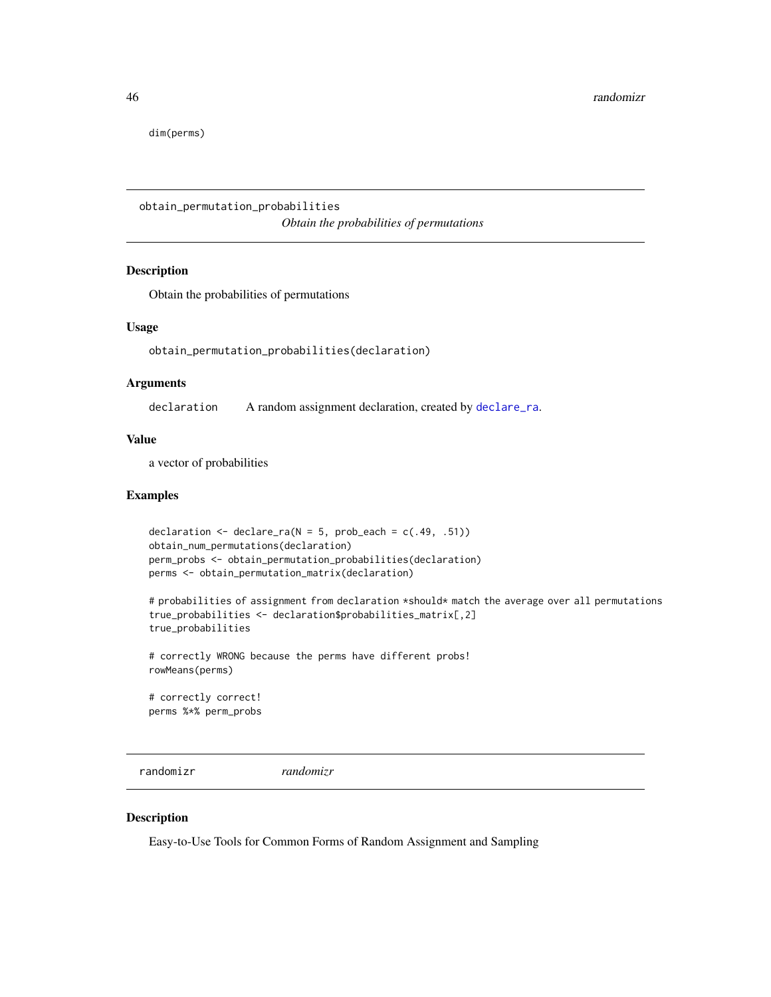<span id="page-45-0"></span>dim(perms)

obtain\_permutation\_probabilities *Obtain the probabilities of permutations*

#### Description

Obtain the probabilities of permutations

#### Usage

obtain\_permutation\_probabilities(declaration)

#### Arguments

declaration A random assignment declaration, created by [declare\\_ra](#page-30-1).

#### Value

a vector of probabilities

#### Examples

```
declaration \leq declare_ra(N = 5, prob_each = c(.49, .51))
obtain_num_permutations(declaration)
perm_probs <- obtain_permutation_probabilities(declaration)
perms <- obtain_permutation_matrix(declaration)
```
# probabilities of assignment from declaration \*should\* match the average over all permutations true\_probabilities <- declaration\$probabilities\_matrix[,2] true\_probabilities

# correctly WRONG because the perms have different probs! rowMeans(perms)

# correctly correct! perms %\*% perm\_probs

randomizr *randomizr*

### Description

Easy-to-Use Tools for Common Forms of Random Assignment and Sampling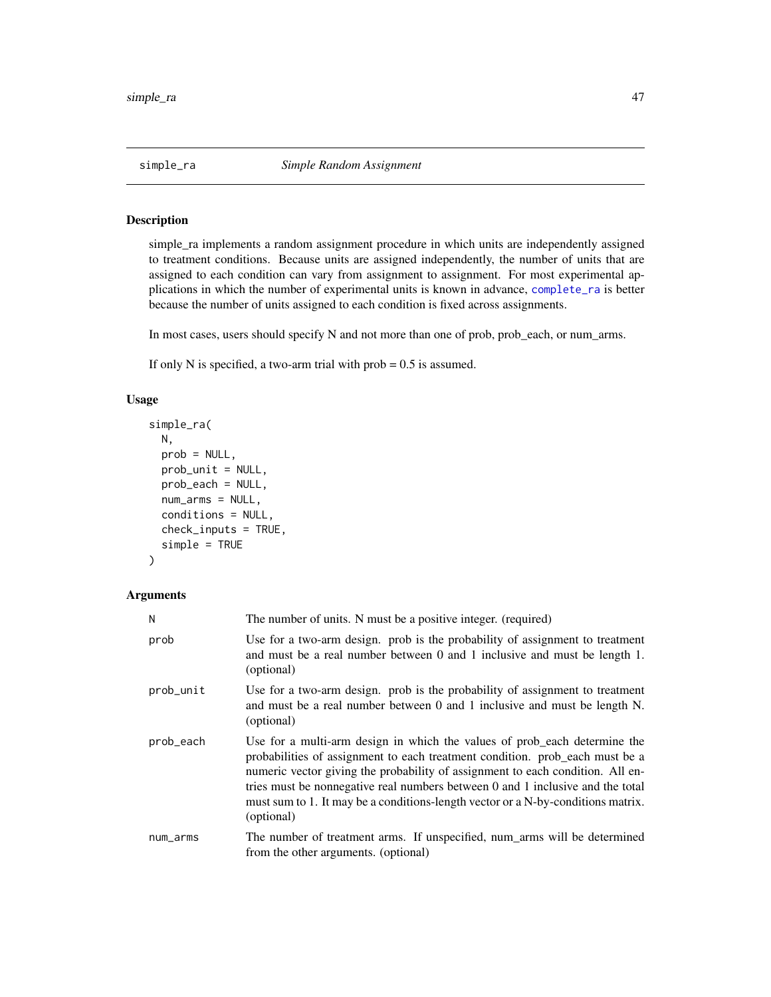<span id="page-46-1"></span><span id="page-46-0"></span>

### Description

simple\_ra implements a random assignment procedure in which units are independently assigned to treatment conditions. Because units are assigned independently, the number of units that are assigned to each condition can vary from assignment to assignment. For most experimental applications in which the number of experimental units is known in advance, [complete\\_ra](#page-19-1) is better because the number of units assigned to each condition is fixed across assignments.

In most cases, users should specify N and not more than one of prob, prob\_each, or num\_arms.

If only N is specified, a two-arm trial with  $prob = 0.5$  is assumed.

#### Usage

```
simple_ra(
 N,
 prob = NULL,
 prob_unit = NULL,
 prob_each = NULL,
 num_arms = NULL,
  conditions = NULL,
 check_inputs = TRUE,
  simple = TRUE
)
```

| Ν         | The number of units. N must be a positive integer. (required)                                                                                                                                                                                                                                                                                                                                                                   |
|-----------|---------------------------------------------------------------------------------------------------------------------------------------------------------------------------------------------------------------------------------------------------------------------------------------------------------------------------------------------------------------------------------------------------------------------------------|
| prob      | Use for a two-arm design. prob is the probability of assignment to treatment<br>and must be a real number between $0$ and $1$ inclusive and must be length $1$ .<br>(optional)                                                                                                                                                                                                                                                  |
| prob_unit | Use for a two-arm design. prob is the probability of assignment to treatment<br>and must be a real number between 0 and 1 inclusive and must be length N.<br>(optional)                                                                                                                                                                                                                                                         |
| prob_each | Use for a multi-arm design in which the values of prob_each determine the<br>probabilities of assignment to each treatment condition. prob_each must be a<br>numeric vector giving the probability of assignment to each condition. All en-<br>tries must be nonnegative real numbers between 0 and 1 inclusive and the total<br>must sum to 1. It may be a conditions-length vector or a N-by-conditions matrix.<br>(optional) |
| num_arms  | The number of treatment arms. If unspecified, num_arms will be determined<br>from the other arguments. (optional)                                                                                                                                                                                                                                                                                                               |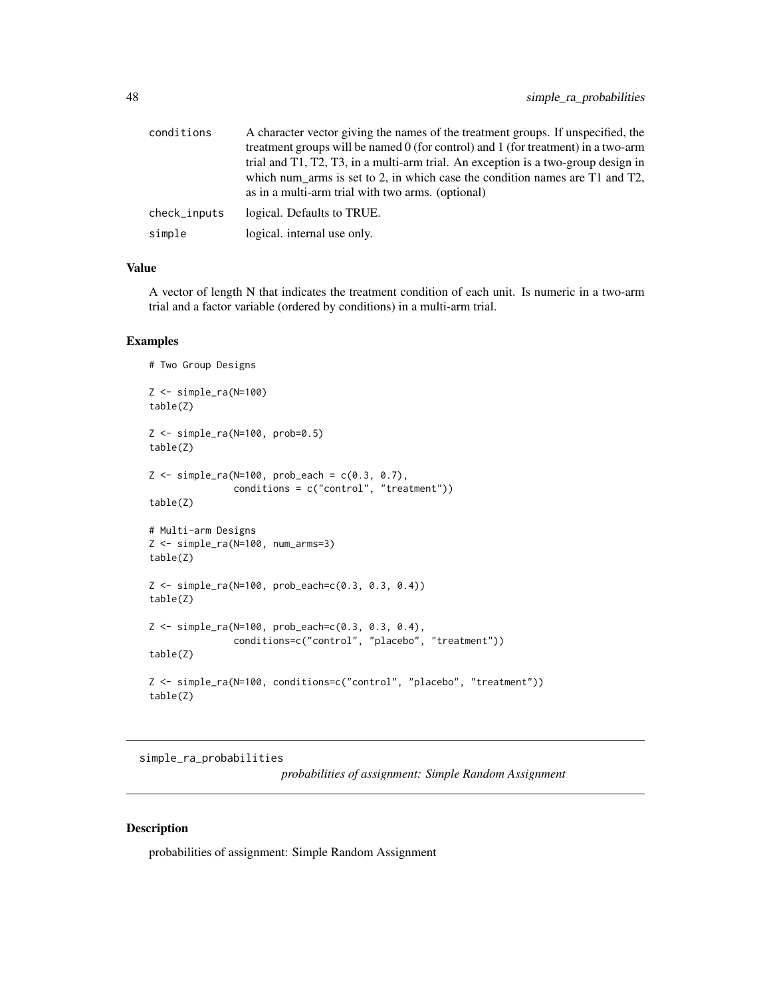<span id="page-47-0"></span>

| conditions   | A character vector giving the names of the treatment groups. If unspecified, the<br>treatment groups will be named 0 (for control) and 1 (for treatment) in a two-arm<br>trial and T1, T2, T3, in a multi-arm trial. An exception is a two-group design in |
|--------------|------------------------------------------------------------------------------------------------------------------------------------------------------------------------------------------------------------------------------------------------------------|
|              | which num arms is set to 2, in which case the condition names are $T1$ and $T2$ ,<br>as in a multi-arm trial with two arms. (optional)                                                                                                                     |
| check_inputs | logical. Defaults to TRUE.                                                                                                                                                                                                                                 |
| simple       | logical. internal use only.                                                                                                                                                                                                                                |

A vector of length N that indicates the treatment condition of each unit. Is numeric in a two-arm trial and a factor variable (ordered by conditions) in a multi-arm trial.

#### Examples

```
# Two Group Designs
Z <- simple_ra(N=100)
table(Z)
Z <- simple_ra(N=100, prob=0.5)
table(Z)
Z \le - \text{simple-ra}(N=100, \text{prob}\text{.} and = c(0.3, 0.7),conditions = c("control", "treatment"))
table(Z)
# Multi-arm Designs
Z <- simple_ra(N=100, num_arms=3)
table(Z)
Z <- simple_ra(N=100, prob_each=c(0.3, 0.3, 0.4))
table(Z)
Z <- simple_ra(N=100, prob_each=c(0.3, 0.3, 0.4),
               conditions=c("control", "placebo", "treatment"))
table(Z)
Z <- simple_ra(N=100, conditions=c("control", "placebo", "treatment"))
table(Z)
```
simple\_ra\_probabilities

*probabilities of assignment: Simple Random Assignment*

# Description

probabilities of assignment: Simple Random Assignment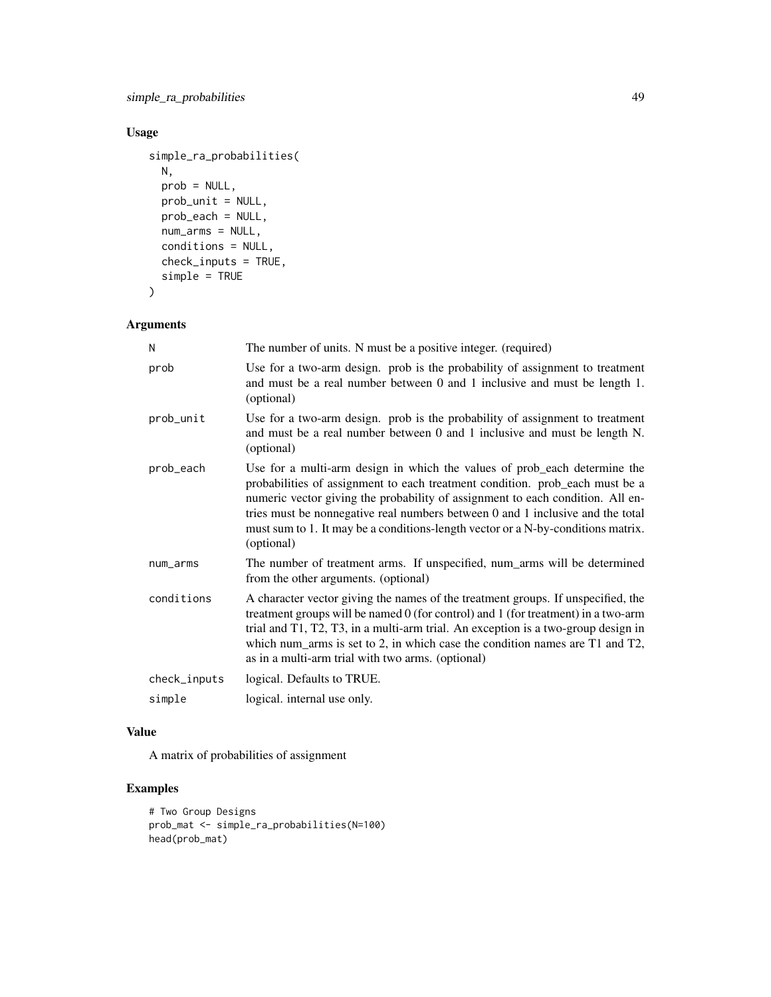simple\_ra\_probabilities 49

# Usage

```
simple_ra_probabilities(
 N,
 prob = NULL,
 prob_unit = NULL,
 prob_each = NULL,
 num_arms = NULL,
  conditions = NULL,
 check_inputs = TRUE,
 simple = TRUE
\mathcal{L}
```

```
Arguments
```

| N            | The number of units. N must be a positive integer. (required)                                                                                                                                                                                                                                                                                                                                                                   |
|--------------|---------------------------------------------------------------------------------------------------------------------------------------------------------------------------------------------------------------------------------------------------------------------------------------------------------------------------------------------------------------------------------------------------------------------------------|
| prob         | Use for a two-arm design. prob is the probability of assignment to treatment<br>and must be a real number between 0 and 1 inclusive and must be length 1.<br>(optional)                                                                                                                                                                                                                                                         |
| prob_unit    | Use for a two-arm design. prob is the probability of assignment to treatment<br>and must be a real number between 0 and 1 inclusive and must be length N.<br>(optional)                                                                                                                                                                                                                                                         |
| prob_each    | Use for a multi-arm design in which the values of prob_each determine the<br>probabilities of assignment to each treatment condition. prob_each must be a<br>numeric vector giving the probability of assignment to each condition. All en-<br>tries must be nonnegative real numbers between 0 and 1 inclusive and the total<br>must sum to 1. It may be a conditions-length vector or a N-by-conditions matrix.<br>(optional) |
| num_arms     | The number of treatment arms. If unspecified, num_arms will be determined<br>from the other arguments. (optional)                                                                                                                                                                                                                                                                                                               |
| conditions   | A character vector giving the names of the treatment groups. If unspecified, the<br>treatment groups will be named 0 (for control) and 1 (for treatment) in a two-arm<br>trial and T1, T2, T3, in a multi-arm trial. An exception is a two-group design in<br>which num_arms is set to 2, in which case the condition names are $T1$ and $T2$ ,<br>as in a multi-arm trial with two arms. (optional)                            |
| check_inputs | logical. Defaults to TRUE.                                                                                                                                                                                                                                                                                                                                                                                                      |
| simple       | logical. internal use only.                                                                                                                                                                                                                                                                                                                                                                                                     |

# Value

A matrix of probabilities of assignment

# Examples

```
# Two Group Designs
prob_mat <- simple_ra_probabilities(N=100)
head(prob_mat)
```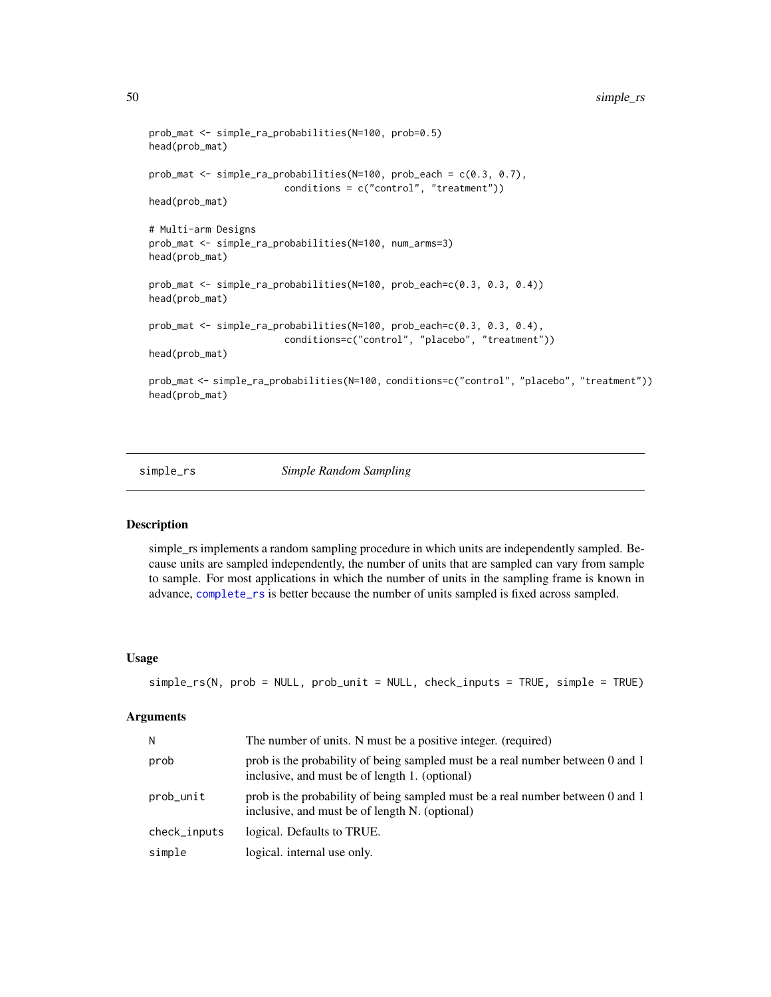```
prob_mat <- simple_ra_probabilities(N=100, prob=0.5)
head(prob_mat)
prob_mat <- simple_ra_probabilities(N=100, prob_each = c(0.3, 0.7),
                        conditions = c("control", "treatment"))
head(prob_mat)
# Multi-arm Designs
prob_mat <- simple_ra_probabilities(N=100, num_arms=3)
head(prob_mat)
prob_mat <- simple_ra_probabilities(N=100, prob_each=c(0.3, 0.3, 0.4))
head(prob_mat)
prob_mat <- simple_ra_probabilities(N=100, prob_each=c(0.3, 0.3, 0.4),
                        conditions=c("control", "placebo", "treatment"))
head(prob_mat)
prob_mat <- simple_ra_probabilities(N=100, conditions=c("control", "placebo", "treatment"))
head(prob_mat)
```
<span id="page-49-1"></span>

#### simple\_rs *Simple Random Sampling*

#### Description

simple\_rs implements a random sampling procedure in which units are independently sampled. Because units are sampled independently, the number of units that are sampled can vary from sample to sample. For most applications in which the number of units in the sampling frame is known in advance, [complete\\_rs](#page-24-1) is better because the number of units sampled is fixed across sampled.

#### Usage

```
simple_rs(N, prob = NULL, prob_unit = NULL, check_inputs = TRUE, simple = TRUE)
```

| N            | The number of units. N must be a positive integer. (required)                                                                    |
|--------------|----------------------------------------------------------------------------------------------------------------------------------|
| prob         | prob is the probability of being sampled must be a real number between 0 and 1<br>inclusive, and must be of length 1. (optional) |
| prob_unit    | prob is the probability of being sampled must be a real number between 0 and 1<br>inclusive, and must be of length N. (optional) |
| check_inputs | logical. Defaults to TRUE.                                                                                                       |
| simple       | logical. internal use only.                                                                                                      |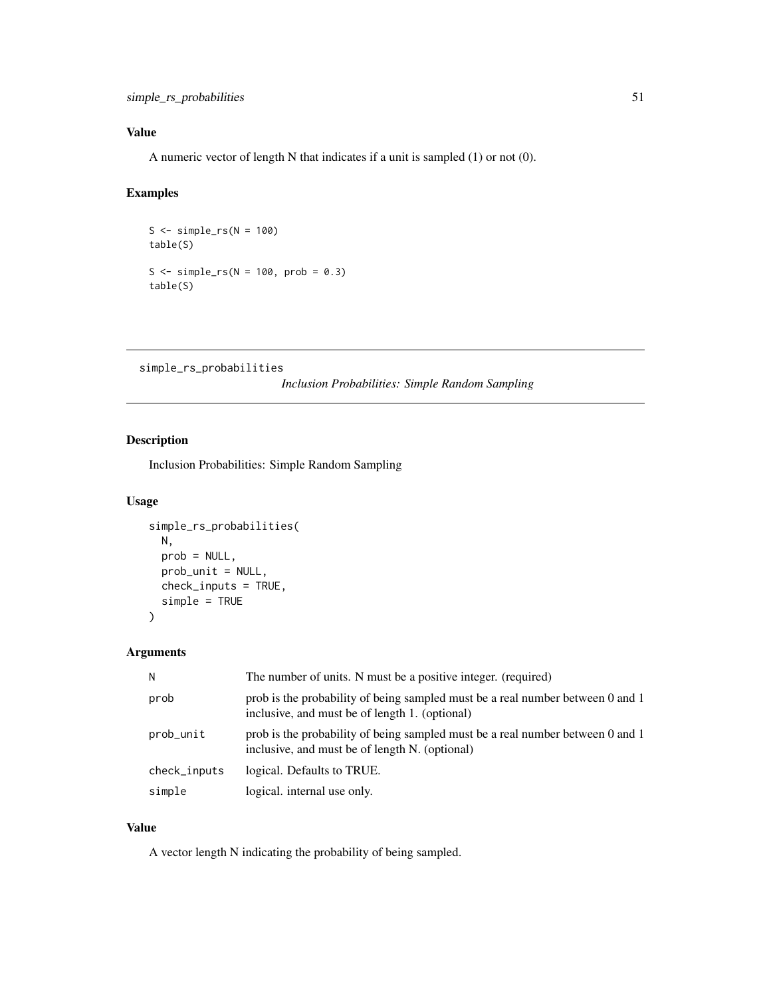<span id="page-50-0"></span>A numeric vector of length N that indicates if a unit is sampled (1) or not (0).

### Examples

 $S \leftarrow simple\_rs(N = 100)$ table(S) S  $\le$  simple\_rs(N = 100, prob = 0.3) table(S)

```
simple_rs_probabilities
```
*Inclusion Probabilities: Simple Random Sampling*

### Description

Inclusion Probabilities: Simple Random Sampling

#### Usage

```
simple_rs_probabilities(
  N,
  prob = NULL,
  prob_unit = NULL,
  check_inputs = TRUE,
  simple = TRUE
\overline{\phantom{a}}
```
#### Arguments

| N            | The number of units. N must be a positive integer. (required)                                                                    |
|--------------|----------------------------------------------------------------------------------------------------------------------------------|
| prob         | prob is the probability of being sampled must be a real number between 0 and 1<br>inclusive, and must be of length 1. (optional) |
| prob_unit    | prob is the probability of being sampled must be a real number between 0 and 1<br>inclusive, and must be of length N. (optional) |
| check_inputs | logical. Defaults to TRUE.                                                                                                       |
| simple       | logical. internal use only.                                                                                                      |

#### Value

A vector length N indicating the probability of being sampled.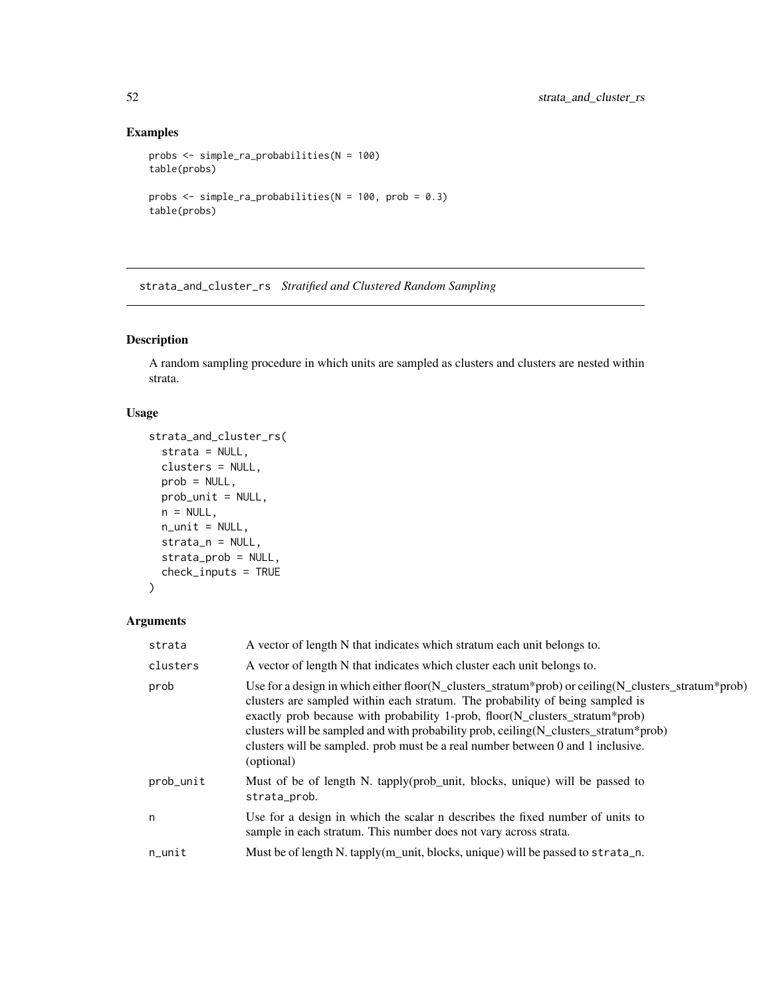# Examples

```
probs <- simple_ra_probabilities(N = 100)
table(probs)
probs <- simple_ra_probabilities(N = 100, prob = 0.3)
table(probs)
```
strata\_and\_cluster\_rs *Stratified and Clustered Random Sampling*

# Description

A random sampling procedure in which units are sampled as clusters and clusters are nested within strata.

#### Usage

```
strata_and_cluster_rs(
 strata = NULL,
 clusters = NULL,
 prob = NULL,
 prob_unit = NULL,
 n = NULL,n_unit = NULL,
 strata_n = NULL,
 strata_prob = NULL,
 check_inputs = TRUE
)
```

| strata    | A vector of length N that indicates which stratum each unit belongs to.                                                                                                                                                                                                                                                                                                                                                                                                |
|-----------|------------------------------------------------------------------------------------------------------------------------------------------------------------------------------------------------------------------------------------------------------------------------------------------------------------------------------------------------------------------------------------------------------------------------------------------------------------------------|
| clusters  | A vector of length N that indicates which cluster each unit belongs to.                                                                                                                                                                                                                                                                                                                                                                                                |
| prob      | Use for a design in which either floor( $N$ _clusters_stratum*prob) or ceiling( $N$ _clusters_stratum*prob)<br>clusters are sampled within each stratum. The probability of being sampled is<br>exactly prob because with probability 1-prob, floor(N_clusters_stratum*prob)<br>clusters will be sampled and with probability prob, ceiling (N_clusters_stratum*prob)<br>clusters will be sampled. prob must be a real number between 0 and 1 inclusive.<br>(optional) |
| prob_unit | Must of be of length N. tapply(prob_unit, blocks, unique) will be passed to<br>strata_prob.                                                                                                                                                                                                                                                                                                                                                                            |
| n         | Use for a design in which the scalar n describes the fixed number of units to<br>sample in each stratum. This number does not vary across strata.                                                                                                                                                                                                                                                                                                                      |
| n_unit    | Must be of length N. tapply(m_unit, blocks, unique) will be passed to strata_n.                                                                                                                                                                                                                                                                                                                                                                                        |

<span id="page-51-0"></span>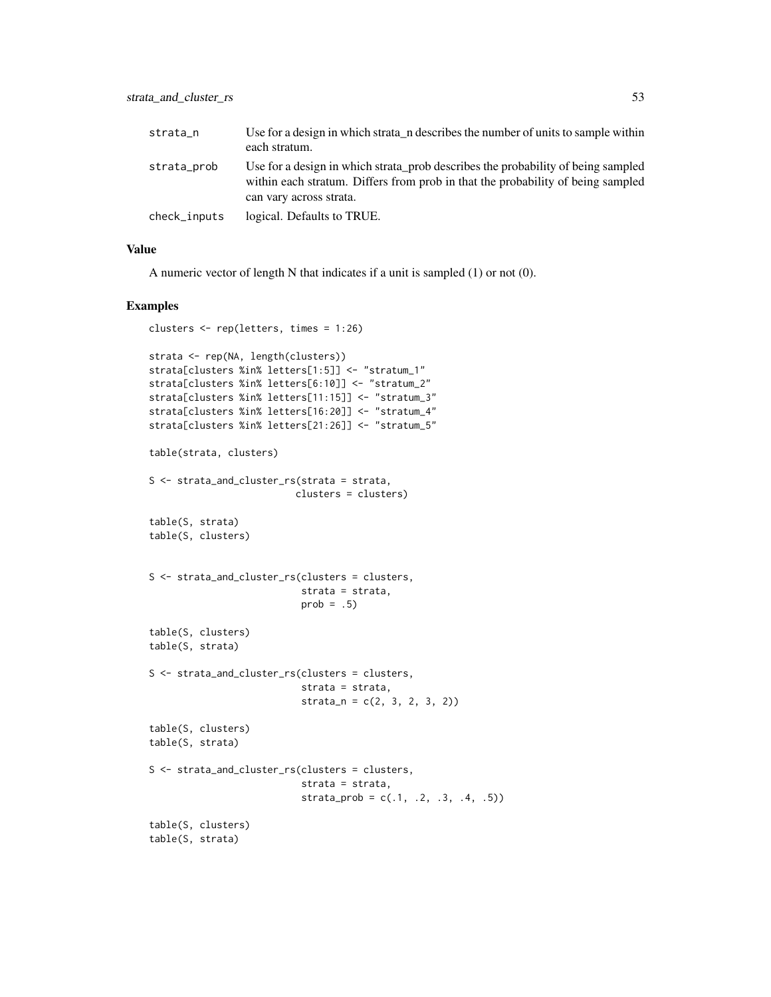| strata_n     | Use for a design in which strata n describes the number of units to sample within<br>each stratum.                                                                                             |
|--------------|------------------------------------------------------------------------------------------------------------------------------------------------------------------------------------------------|
| strata_prob  | Use for a design in which strata prob describes the probability of being sampled<br>within each stratum. Differs from prob in that the probability of being sampled<br>can vary across strata. |
| check_inputs | logical. Defaults to TRUE.                                                                                                                                                                     |

A numeric vector of length N that indicates if a unit is sampled (1) or not (0).

#### Examples

```
clusters <- rep(letters, times = 1:26)
strata <- rep(NA, length(clusters))
strata[clusters %in% letters[1:5]] <- "stratum_1"
strata[clusters %in% letters[6:10]] <- "stratum_2"
strata[clusters %in% letters[11:15]] <- "stratum_3"
strata[clusters %in% letters[16:20]] <- "stratum_4"
strata[clusters %in% letters[21:26]] <- "stratum_5"
table(strata, clusters)
S <- strata_and_cluster_rs(strata = strata,
                         clusters = clusters)
table(S, strata)
table(S, clusters)
S <- strata_and_cluster_rs(clusters = clusters,
                           strata = strata,
                           prob = .5table(S, clusters)
table(S, strata)
S <- strata_and_cluster_rs(clusters = clusters,
                           strata = strata,
                           strata_n = c(2, 3, 2, 3, 2)table(S, clusters)
table(S, strata)
S <- strata_and_cluster_rs(clusters = clusters,
                           strata = strata,
                           strata_prob = c(.1, .2, .3, .4, .5))table(S, clusters)
table(S, strata)
```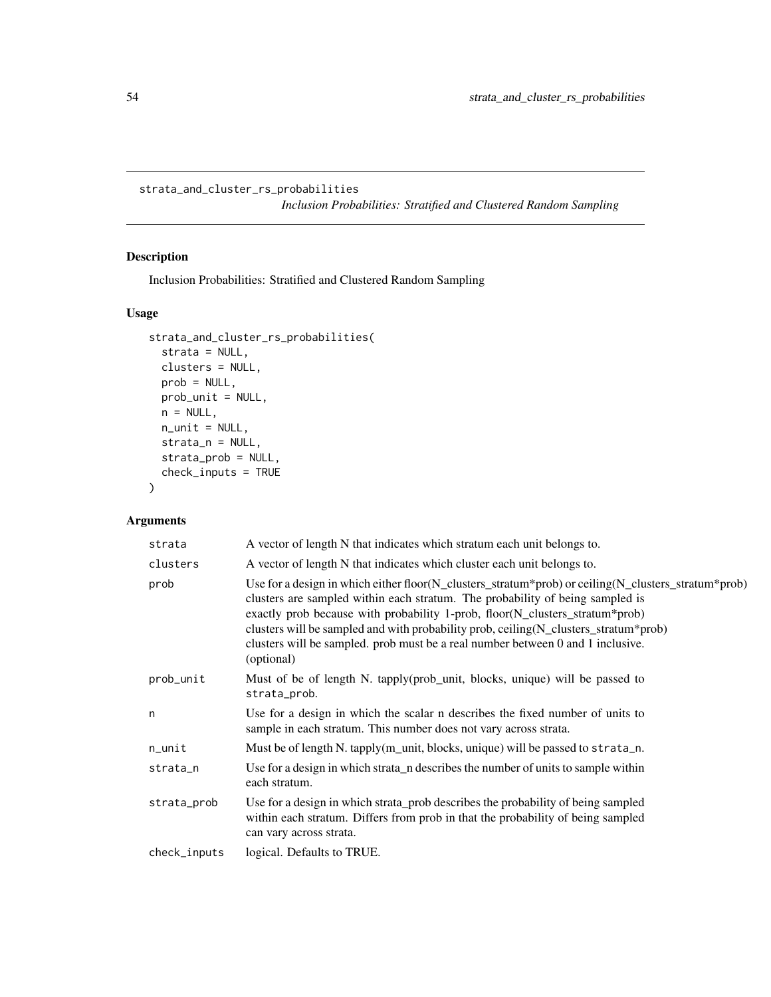<span id="page-53-0"></span>strata\_and\_cluster\_rs\_probabilities *Inclusion Probabilities: Stratified and Clustered Random Sampling*

# Description

Inclusion Probabilities: Stratified and Clustered Random Sampling

#### Usage

```
strata_and_cluster_rs_probabilities(
  strata = NULL,
 clusters = NULL,
 prob = NULL,
 prob_unit = NULL,
 n = NULL,n_unit = NULL,
 strata_n = NULL,
 strata_prob = NULL,
 check_inputs = TRUE
)
```

| strata       | A vector of length N that indicates which stratum each unit belongs to.                                                                                                                                                                                                                                                                                                                                                                                        |
|--------------|----------------------------------------------------------------------------------------------------------------------------------------------------------------------------------------------------------------------------------------------------------------------------------------------------------------------------------------------------------------------------------------------------------------------------------------------------------------|
| clusters     | A vector of length N that indicates which cluster each unit belongs to.                                                                                                                                                                                                                                                                                                                                                                                        |
| prob         | Use for a design in which either floor(N_clusters_stratum*prob) or ceiling(N_clusters_stratum*prob)<br>clusters are sampled within each stratum. The probability of being sampled is<br>exactly prob because with probability 1-prob, floor(N_clusters_stratum*prob)<br>clusters will be sampled and with probability prob, ceiling (N_clusters_stratum*prob)<br>clusters will be sampled. prob must be a real number between 0 and 1 inclusive.<br>(optional) |
| prob_unit    | Must of be of length N. tapply(prob_unit, blocks, unique) will be passed to<br>strata_prob.                                                                                                                                                                                                                                                                                                                                                                    |
| n            | Use for a design in which the scalar n describes the fixed number of units to<br>sample in each stratum. This number does not vary across strata.                                                                                                                                                                                                                                                                                                              |
| n_unit       | Must be of length N. tapply(m_unit, blocks, unique) will be passed to strata_n.                                                                                                                                                                                                                                                                                                                                                                                |
| strata_n     | Use for a design in which strata n describes the number of units to sample within<br>each stratum.                                                                                                                                                                                                                                                                                                                                                             |
| strata_prob  | Use for a design in which strata prob describes the probability of being sampled<br>within each stratum. Differs from prob in that the probability of being sampled<br>can vary across strata.                                                                                                                                                                                                                                                                 |
| check_inputs | logical. Defaults to TRUE.                                                                                                                                                                                                                                                                                                                                                                                                                                     |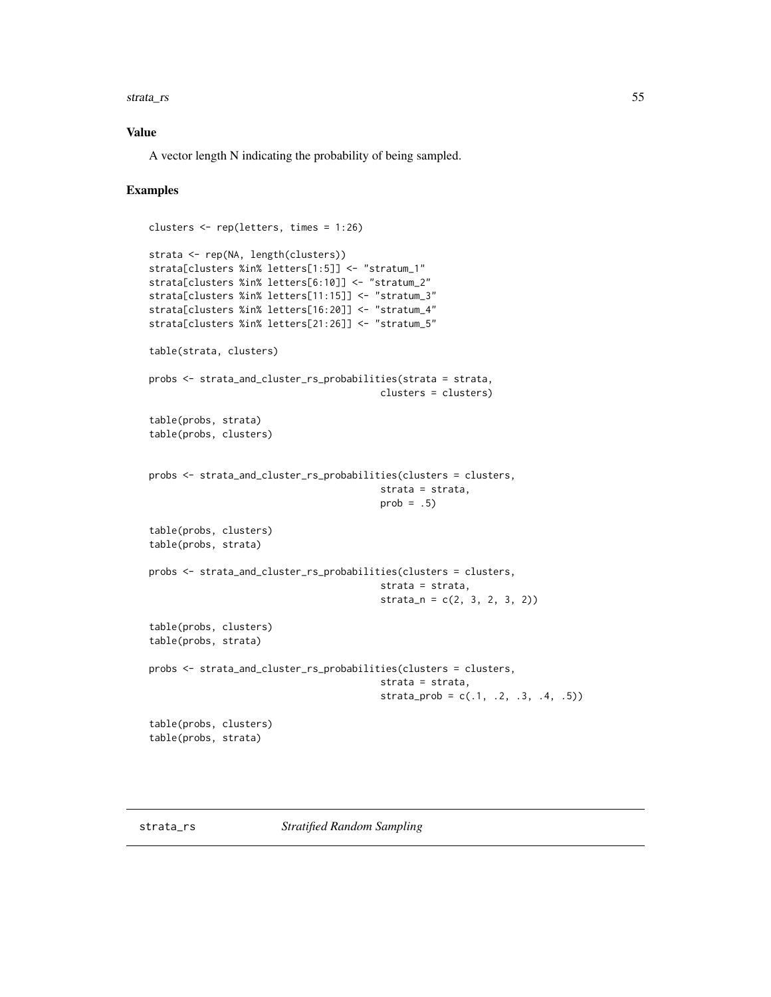<span id="page-54-0"></span>strata\_rs 55

#### Value

A vector length N indicating the probability of being sampled.

#### Examples

```
clusters <- rep(letters, times = 1:26)
strata <- rep(NA, length(clusters))
strata[clusters %in% letters[1:5]] <- "stratum_1"
strata[clusters %in% letters[6:10]] <- "stratum_2"
strata[clusters %in% letters[11:15]] <- "stratum_3"
strata[clusters %in% letters[16:20]] <- "stratum_4"
strata[clusters %in% letters[21:26]] <- "stratum_5"
table(strata, clusters)
probs <- strata_and_cluster_rs_probabilities(strata = strata,
                                         clusters = clusters)
table(probs, strata)
table(probs, clusters)
probs <- strata_and_cluster_rs_probabilities(clusters = clusters,
                                         strata = strata,
                                         prob = .5)
table(probs, clusters)
table(probs, strata)
probs <- strata_and_cluster_rs_probabilities(clusters = clusters,
                                         strata = strata,
                                         strain_n = c(2, 3, 2, 3, 2))table(probs, clusters)
table(probs, strata)
probs <- strata_and_cluster_rs_probabilities(clusters = clusters,
                                         strata = strata,
                                         strata\_prob = c(.1, .2, .3, .4, .5))table(probs, clusters)
table(probs, strata)
```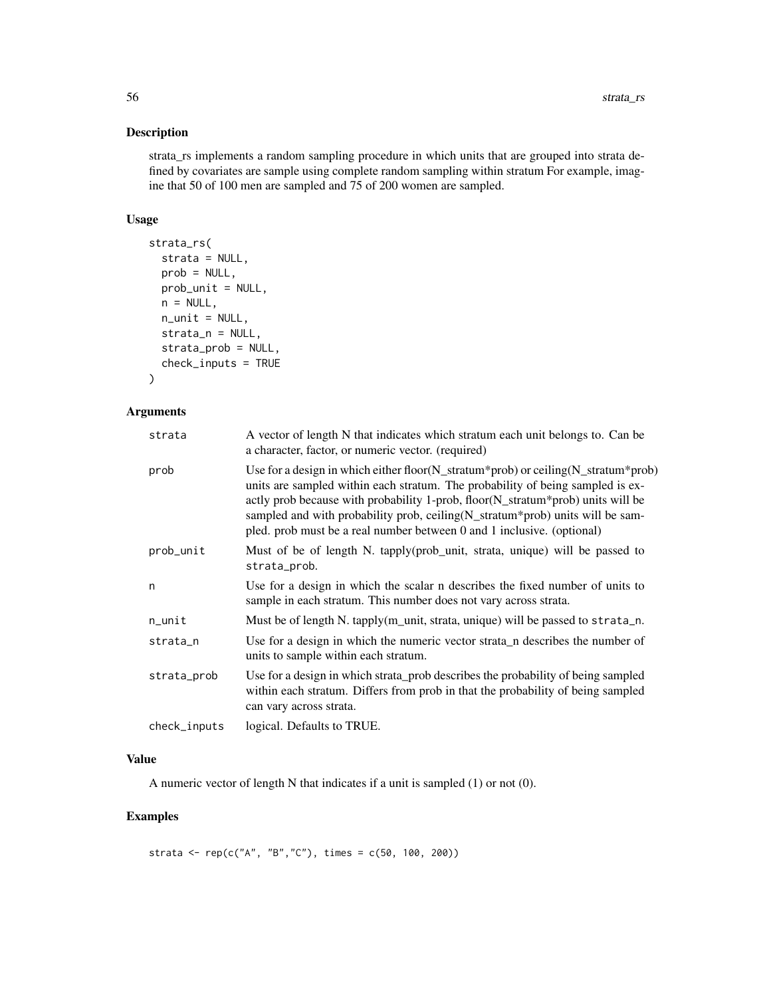#### Description

strata\_rs implements a random sampling procedure in which units that are grouped into strata defined by covariates are sample using complete random sampling within stratum For example, imagine that 50 of 100 men are sampled and 75 of 200 women are sampled.

#### Usage

```
strata_rs(
  strata = NULL,
 prob = NULL,
 prob_unit = NULL,
 n = NULL,n_unit = NULL,
  strata_n = NULL,
 strata_prob = NULL,
 check_inputs = TRUE
)
```
#### Arguments

| strata       | A vector of length N that indicates which stratum each unit belongs to. Can be<br>a character, factor, or numeric vector. (required)                                                                                                                                                                                                                                                                                                           |
|--------------|------------------------------------------------------------------------------------------------------------------------------------------------------------------------------------------------------------------------------------------------------------------------------------------------------------------------------------------------------------------------------------------------------------------------------------------------|
| prob         | Use for a design in which either floor( $N_{\text{r}}$ stratum*prob) or ceiling( $N_{\text{r}}$ stratum*prob)<br>units are sampled within each stratum. The probability of being sampled is ex-<br>actly prob because with probability 1-prob, floor(N_stratum*prob) units will be<br>sampled and with probability prob, ceiling (N_stratum*prob) units will be sam-<br>pled. prob must be a real number between 0 and 1 inclusive. (optional) |
| prob_unit    | Must of be of length N. tapply(prob_unit, strata, unique) will be passed to<br>strata_prob.                                                                                                                                                                                                                                                                                                                                                    |
| n            | Use for a design in which the scalar n describes the fixed number of units to<br>sample in each stratum. This number does not vary across strata.                                                                                                                                                                                                                                                                                              |
| n_unit       | Must be of length N. tapply( $m$ _unit, strata, unique) will be passed to strata_n.                                                                                                                                                                                                                                                                                                                                                            |
| strata_n     | Use for a design in which the numeric vector strata n describes the number of<br>units to sample within each stratum.                                                                                                                                                                                                                                                                                                                          |
| strata_prob  | Use for a design in which strata_prob describes the probability of being sampled<br>within each stratum. Differs from prob in that the probability of being sampled<br>can vary across strata.                                                                                                                                                                                                                                                 |
| check_inputs | logical. Defaults to TRUE.                                                                                                                                                                                                                                                                                                                                                                                                                     |

# Value

A numeric vector of length N that indicates if a unit is sampled (1) or not (0).

# Examples

strata <- rep(c("A", "B","C"), times =  $c(50, 100, 200)$ )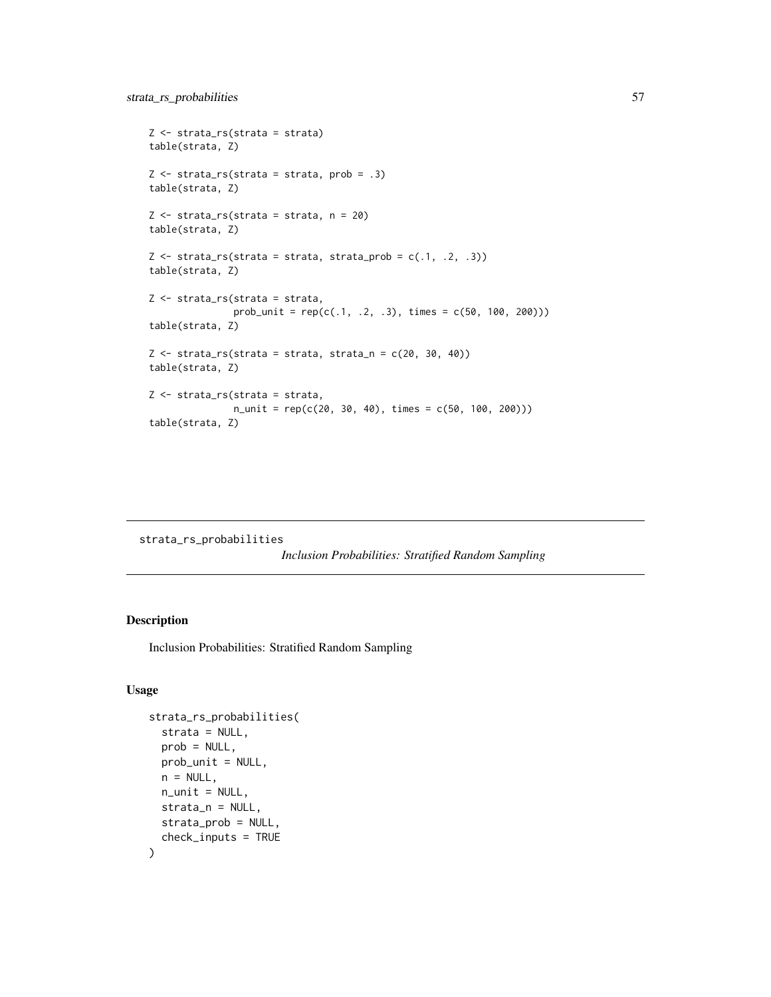```
Z <- strata_rs(strata = strata)
table(strata, Z)
Z \le - strata_rs(strata = strata, prob = .3)
table(strata, Z)
Z <- strata_rs(strata = strata, n = 20)
table(strata, Z)
Z \leftarrow strata_rs(strata = strata, strata_prob = c(.1, .2, .3))
table(strata, Z)
Z <- strata_rs(strata = strata,
                prob\_unit = rep(c(.1, .2, .3), times = c(50, 100, 200)))table(strata, Z)
Z \leftarrow \text{strata}_{S}(\text{strata} = \text{strata}, \text{strata}_{S} = c(20, 30, 40))table(strata, Z)
Z <- strata_rs(strata = strata,
                n_unit = rep(c(20, 30, 40), times = c(50, 100, 200)))
table(strata, Z)
```
strata\_rs\_probabilities

*Inclusion Probabilities: Stratified Random Sampling*

#### Description

Inclusion Probabilities: Stratified Random Sampling

```
strata_rs_probabilities(
  strata = NULL,
 prob = NULL,
 prob_unit = NULL,
 n = NULL,
 n_unit = NULL,
 strata_n = NULL,
 strata_prob = NULL,
  check_inputs = TRUE
)
```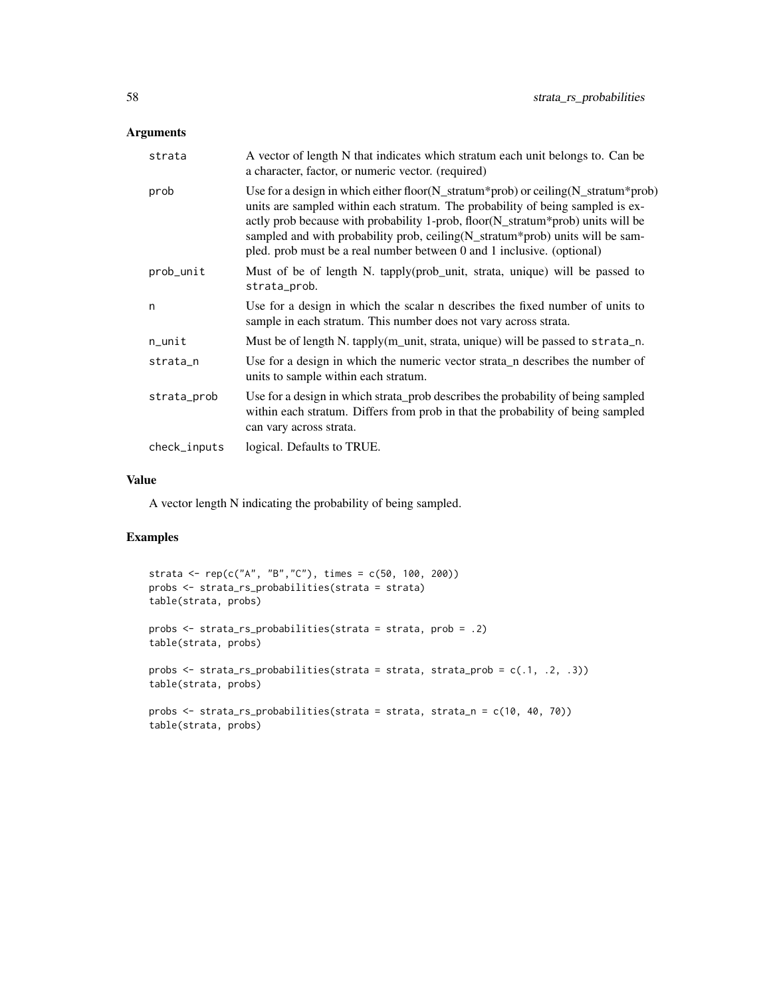#### Arguments

| strata       | A vector of length N that indicates which stratum each unit belongs to. Can be<br>a character, factor, or numeric vector. (required)                                                                                                                                                                                                                                                                                                           |
|--------------|------------------------------------------------------------------------------------------------------------------------------------------------------------------------------------------------------------------------------------------------------------------------------------------------------------------------------------------------------------------------------------------------------------------------------------------------|
| prob         | Use for a design in which either floor( $N_{\text{r}}$ stratum*prob) or ceiling( $N_{\text{r}}$ stratum*prob)<br>units are sampled within each stratum. The probability of being sampled is ex-<br>actly prob because with probability 1-prob, floor(N_stratum*prob) units will be<br>sampled and with probability prob, ceiling (N_stratum*prob) units will be sam-<br>pled. prob must be a real number between 0 and 1 inclusive. (optional) |
| prob_unit    | Must of be of length N. tapply(prob_unit, strata, unique) will be passed to<br>strata_prob.                                                                                                                                                                                                                                                                                                                                                    |
| n            | Use for a design in which the scalar n describes the fixed number of units to<br>sample in each stratum. This number does not vary across strata.                                                                                                                                                                                                                                                                                              |
| n_unit       | Must be of length N. tapply(m_unit, strata, unique) will be passed to strata_n.                                                                                                                                                                                                                                                                                                                                                                |
| strata_n     | Use for a design in which the numeric vector strata n describes the number of<br>units to sample within each stratum.                                                                                                                                                                                                                                                                                                                          |
| strata_prob  | Use for a design in which strata_prob describes the probability of being sampled<br>within each stratum. Differs from prob in that the probability of being sampled<br>can vary across strata.                                                                                                                                                                                                                                                 |
| check_inputs | logical. Defaults to TRUE.                                                                                                                                                                                                                                                                                                                                                                                                                     |

# Value

A vector length N indicating the probability of being sampled.

#### Examples

```
strata <- rep(c("A", "B","C"), times = c(50, 100, 200))
probs <- strata_rs_probabilities(strata = strata)
table(strata, probs)
probs <- strata_rs_probabilities(strata = strata, prob = .2)
table(strata, probs)
probs <- strata_rs_probabilities(strata = strata, strata_prob = c(.1, .2, .3))
table(strata, probs)
probs <- strata_rs_probabilities(strata = strata, strata_n = c(10, 40, 70))
table(strata, probs)
```